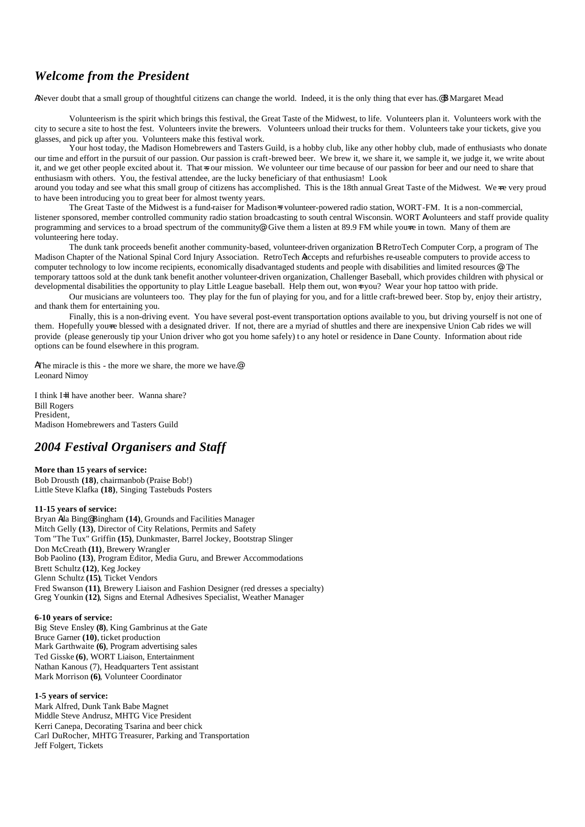## *Welcome from the President*

ANever doubt that a small group of thoughtful citizens can change the world. Indeed, it is the only thing that ever has.@B Margaret Mead

Volunteerism is the spirit which brings this festival, the Great Taste of the Midwest, to life. Volunteers plan it. Volunteers work with the city to secure a site to host the fest. Volunteers invite the brewers. Volunteers unload their trucks for them. Volunteers take your tickets, give you glasses, and pick up after you. Volunteers make this festival work.

Your host today, the Madison Homebrewers and Tasters Guild, is a hobby club, like any other hobby club, made of enthusiasts who donate our time and effort in the pursuit of our passion. Our passion is craft-brewed beer. We brew it, we share it, we sample it, we judge it, we write about it, and we get other people excited about it. That=s our mission. We volunteer our time because of our passion for beer and our need to share that enthusiasm with others. You, the festival attendee, are the lucky beneficiary of that enthusiasm! Look

around you today and see what this small group of citizens has accomplished. This is the 18th annual Great Taste of the Midwest. We∢e very proud to have been introducing you to great beer for almost twenty years.

The Great Taste of the Midwest is a fund-raiser for Madison=s volunteer-powered radio station, WORT-FM. It is a non-commercial, listener sponsored, member controlled community radio station broadcasting to south central Wisconsin. WORT Avolunteers and staff provide quality programming and services to a broad spectrum of the community®. Give them a listen at 89.9 FM while you=re in town. Many of them are volunteering here today.

The dunk tank proceeds benefit another community-based, volunteer-driven organization B RetroTech Computer Corp, a program of The Madison Chapter of the National Spinal Cord Injury Association. RetroTech Aaccepts and refurbishes re-useable computers to provide access to computer technology to low income recipients, economically disadvantaged students and people with disabilities and limited resources@. The temporary tattoos sold at the dunk tank benefit another volunteer-driven organization, Challenger Baseball, which provides children with physical or developmental disabilities the opportunity to play Little League baseball. Help them out, won<sup> $\pm$ </sup> you? Wear your hop tattoo with pride.

Our musicians are volunteers too. They play for the fun of playing for you, and for a little craft-brewed beer. Stop by, enjoy their artistry, and thank them for entertaining you.

Finally, this is a non-driving event. You have several post-event transportation options available to you, but driving yourself is not one of them. Hopefully you re blessed with a designated driver. If not, there are a myriad of shuttles and there are inexpensive Union Cab rides we will provide (please generously tip your Union driver who got you home safely) t o any hotel or residence in Dane County. Information about ride options can be found elsewhere in this program.

AThe miracle is this - the more we share, the more we have.<sup>@</sup> Leonard Nimoy

I think I=ll have another beer. Wanna share? Bill Rogers President, Madison Homebrewers and Tasters Guild

## *2004 Festival Organisers and Staff*

#### **More than 15 years of service:**

Bob Drousth **(18)**, chairmanbob (Praise Bob!) Little Steve Klafka **(18)**, Singing Tastebuds Posters

#### **11-15 years of service:**

Bryan Ada Bing@ Bingham **(14)**, Grounds and Facilities Manager Mitch Gelly **(13)**, Director of City Relations, Permits and Safety Tom "The Tux" Griffin **(15)**, Dunkmaster, Barrel Jockey, Bootstrap Slinger Don McCreath **(11)**, Brewery Wrangler Bob Paolino **(13)**, Program Editor, Media Guru, and Brewer Accommodations Brett Schultz **(12)**, Keg Jockey Glenn Schultz **(15)**, Ticket Vendors Fred Swanson **(11)**, Brewery Liaison and Fashion Designer (red dresses a specialty) Greg Younkin **(12)**, Signs and Eternal Adhesives Specialist, Weather Manager

#### **6-10 years of service:**

Big Steve Ensley **(8)**, King Gambrinus at the Gate Bruce Garner **(10)**, ticket production Mark Garthwaite **(6)**, Program advertising sales Ted Gisske **(6)**, WORT Liaison, Entertainment Nathan Kanous (7), Headquarters Tent assistant Mark Morrison **(6)**, Volunteer Coordinator

#### **1-5 years of service:**

Mark Alfred, Dunk Tank Babe Magnet Middle Steve Andrusz, MHTG Vice President Kerri Canepa, Decorating Tsarina and beer chick Carl DuRocher, MHTG Treasurer, Parking and Transportation Jeff Folgert, Tickets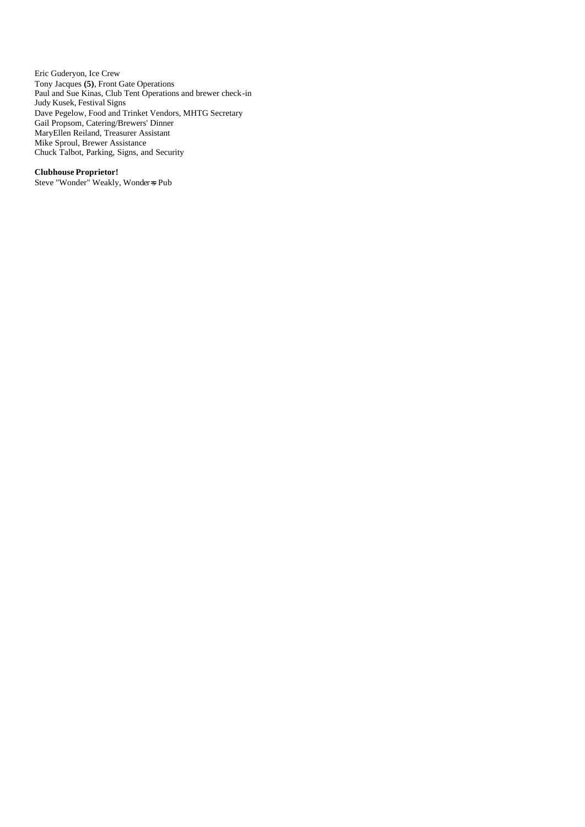Eric Guderyon, Ice Crew Tony Jacques **(5)**, Front Gate Operations Paul and Sue Kinas, Club Tent Operations and brewer check-in Judy Kusek, Festival Signs Dave Pegelow, Food and Trinket Vendors, MHTG Secretary Gail Propsom, Catering/Brewers' Dinner MaryEllen Reiland, Treasurer Assistant Mike Sproul, Brewer Assistance Chuck Talbot, Parking, Signs, and Security

#### **Clubhouse Proprietor!**

Steve "Wonder" Weakly, Wonder=s Pub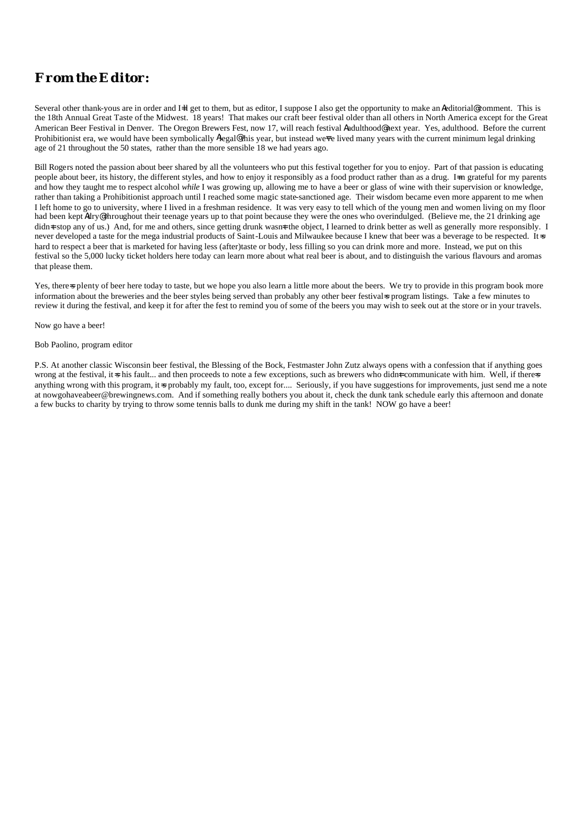## *From the Editor:*

Several other thank-yous are in order and I=ll get to them, but as editor, I suppose I also get the opportunity to make an Aeditorial@ comment. This is the 18th Annual Great Taste of the Midwest. 18 years! That makes our craft beer festival older than all others in North America except for the Great American Beer Festival in Denver. The Oregon Brewers Fest, now 17, will reach festival Aadulthood@ next year. Yes, adulthood. Before the current Prohibitionist era, we would have been symbolically Alegal@ this year, but instead we ve lived many years with the current minimum legal drinking age of 21 throughout the 50 states, rather than the more sensible 18 we had years ago.

Bill Rogers noted the passion about beer shared by all the volunteers who put this festival together for you to enjoy. Part of that passion is educating people about beer, its history, the different styles, and how to enjoy it responsibly as a food product rather than as a drug. I=m grateful for my parents and how they taught me to respect alcohol *while* I was growing up, allowing me to have a beer or glass of wine with their supervision or knowledge, rather than taking a Prohibitionist approach until I reached some magic state-sanctioned age. Their wisdom became even more apparent to me when I left home to go to university, where I lived in a freshman residence. It was very easy to tell which of the young men and women living on my floor had been kept Adry@ throughout their teenage years up to that point because they were the ones who overindulged. (Believe me, the 21 drinking age didn=t stop any of us.) And, for me and others, since getting drunk wasn=t the object, I learned to drink better as well as generally more responsibly. I never developed a taste for the mega industrial products of Saint-Louis and Milwaukee because I knew that beer was a beverage to be respected. It-s hard to respect a beer that is marketed for having less (after)taste or body, less filling so you can drink more and more. Instead, we put on this festival so the 5,000 lucky ticket holders here today can learn more about what real beer is about, and to distinguish the various flavours and aromas that please them.

Yes, there splenty of beer here today to taste, but we hope you also learn a little more about the beers. We try to provide in this program book more information about the breweries and the beer styles being served than probably any other beer festival sprogram listings. Take a few minutes to review it during the festival, and keep it for after the fest to remind you of some of the beers you may wish to seek out at the store or in your travels.

Now go have a beer!

#### Bob Paolino, program editor

P.S. At another classic Wisconsin beer festival, the Blessing of the Bock, Festmaster John Zutz always opens with a confession that if anything goes wrong at the festival, it=s his fault... and then proceeds to note a few exceptions, such as brewers who didnet communicate with him. Well, if there=s anything wrong with this program, it =s probably my fault, too, except for.... Seriously, if you have suggestions for improvements, just send me a note at nowgohaveabeer@brewingnews.com. And if something really bothers you about it, check the dunk tank schedule early this afternoon and donate a few bucks to charity by trying to throw some tennis balls to dunk me during my shift in the tank! NOW go have a beer!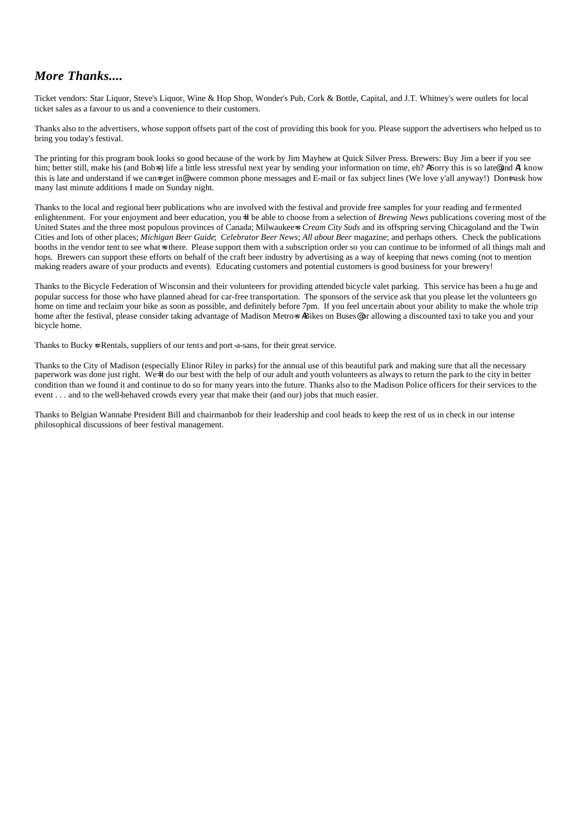## *More Thanks....*

Ticket vendors: Star Liquor, Steve's Liquor, Wine & Hop Shop, Wonder's Pub, Cork & Bottle, Capital, and J.T. Whitney's were outlets for local ticket sales as a favour to us and a convenience to their customers.

Thanks also to the advertisers, whose support offsets part of the cost of providing this book for you. Please support the advertisers who helped us to bring you today's festival.

The printing for this program book looks so good because of the work by Jim Mayhew at Quick Silver Press. Brewers: Buy Jim a beer if you see him; better still, make his (and Bobs) life a little less stressful next year by sending your information on time, eh? ASorry this is so late@ and AI know this is late and understand if we can<del>-</del>t get in@ were common phone messages and E-mail or fax subject lines (We love y'all anyway!) Don<del>t</del> ask how many last minute additions I made on Sunday night.

Thanks to the local and regional beer publications who are involved with the festival and provide free samples for your reading and fermented enlightenment. For your enjoyment and beer education, you=ll be able to choose from a selection of *Brewing News* publications covering most of the United States and the three most populous provinces of Canada; Milwaukee=s *Cream City Suds* and its offspring serving Chicagoland and the Twin Cities and lots of other places; *Michigan Beer Guide*; *Celebrator Beer News*; *All about Beer* magazine; and perhaps others. Check the publications booths in the vendor tent to see what sthere. Please support them with a subscription order so you can continue to be informed of all things malt and hops. Brewers can support these efforts on behalf of the craft beer industry by advertising as a way of keeping that news coming (not to mention making readers aware of your products and events). Educating customers and potential customers is good business for your brewery!

Thanks to the Bicycle Federation of Wisconsin and their volunteers for providing attended bicycle valet parking. This service has been a hu ge and popular success for those who have planned ahead for car-free transportation. The sponsors of the service ask that you please let the volunteers go home on time and reclaim your bike as soon as possible, and definitely before 7pm. If you feel uncertain about your ability to make the whole trip home after the festival, please consider taking advantage of Madison Metro=s ABikes on Buses® or allowing a discounted taxi to take you and your bicycle home.

Thanks to Bucky  $\ast$  Rentals, suppliers of our tents and port-a-sans, for their great service.

Thanks to the City of Madison (especially Elinor Riley in parks) for the annual use of this beautiful park and making sure that all the necessary paperwork was done just right. We-ll do our best with the help of our adult and youth volunteers as always to return the park to the city in better condition than we found it and continue to do so for many years into the future. Thanks also to the Madison Police officers for their services to the event . . . and to the well-behaved crowds every year that make their (and our) jobs that much easier.

Thanks to Belgian Wannabe President Bill and chairmanbob for their leadership and cool heads to keep the rest of us in check in our intense philosophical discussions of beer festival management.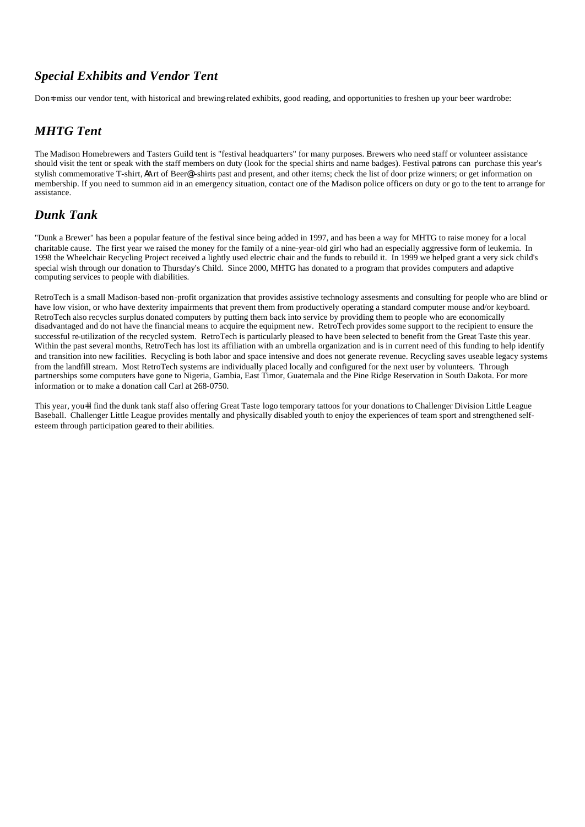## *Special Exhibits and Vendor Tent*

Don<sup>-t</sup> miss our vendor tent, with historical and brewing-related exhibits, good reading, and opportunities to freshen up your beer wardrobe:

## *MHTG Tent*

The Madison Homebrewers and Tasters Guild tent is "festival headquarters" for many purposes. Brewers who need staff or volunteer assistance should visit the tent or speak with the staff members on duty (look for the special shirts and name badges). Festival patrons can purchase this year's stylish commemorative T-shirt, AArt of Beer@t-shirts past and present, and other items; check the list of door prize winners; or get information on membership. If you need to summon aid in an emergency situation, contact one of the Madison police officers on duty or go to the tent to arrange for assistance.

## *Dunk Tank*

"Dunk a Brewer" has been a popular feature of the festival since being added in 1997, and has been a way for MHTG to raise money for a local charitable cause. The first year we raised the money for the family of a nine-year-old girl who had an especially aggressive form of leukemia. In 1998 the Wheelchair Recycling Project received a lightly used electric chair and the funds to rebuild it. In 1999 we helped grant a very sick child's special wish through our donation to Thursday's Child. Since 2000, MHTG has donated to a program that provides computers and adaptive computing services to people with diabilities.

RetroTech is a small Madison-based non-profit organization that provides assistive technology assesments and consulting for people who are blind or have low vision, or who have dexterity impairments that prevent them from productively operating a standard computer mouse and/or keyboard. RetroTech also recycles surplus donated computers by putting them back into service by providing them to people who are economically disadvantaged and do not have the financial means to acquire the equipment new. RetroTech provides some support to the recipient to ensure the successful re-utilization of the recycled system. RetroTech is particularly pleased to have been selected to benefit from the Great Taste this year. Within the past several months, RetroTech has lost its affiliation with an umbrella organization and is in current need of this funding to help identify and transition into new facilities. Recycling is both labor and space intensive and does not generate revenue. Recycling saves useable legacy systems from the landfill stream. Most RetroTech systems are individually placed locally and configured for the next user by volunteers. Through partnerships some computers have gone to Nigeria, Gambia, East Timor, Guatemala and the Pine Ridge Reservation in South Dakota. For more information or to make a donation call Carl at 268-0750.

This year, you=ll find the dunk tank staff also offering Great Taste logo temporary tattoos for your donations to Challenger Division Little League Baseball. Challenger Little League provides mentally and physically disabled youth to enjoy the experiences of team sport and strengthened selfesteem through participation geared to their abilities.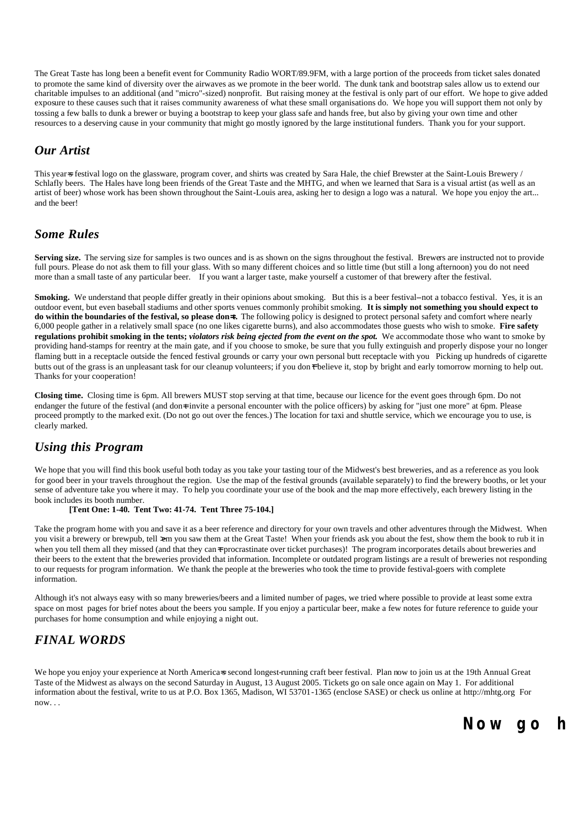The Great Taste has long been a benefit event for Community Radio WORT/89.9FM, with a large portion of the proceeds from ticket sales donated to promote the same kind of diversity over the airwaves as we promote in the beer world. The dunk tank and bootstrap sales allow us to extend our charitable impulses to an additional (and "micro"-sized) nonprofit. But raising money at the festival is only part of our effort. We hope to give added exposure to these causes such that it raises community awareness of what these small organisations do. We hope you will support them not only by tossing a few balls to dunk a brewer or buying a bootstrap to keep your glass safe and hands free, but also by giving your own time and other resources to a deserving cause in your community that might go mostly ignored by the large institutional funders. Thank you for your support.

## *Our Artist*

This year-s festival logo on the glassware, program cover, and shirts was created by Sara Hale, the chief Brewster at the Saint-Louis Brewery / Schlafly beers. The Hales have long been friends of the Great Taste and the MHTG, and when we learned that Sara is a visual artist (as well as an artist of beer) whose work has been shown throughout the Saint-Louis area, asking her to design a logo was a natural. We hope you enjoy the art... and the beer!

## *Some Rules*

Serving size. The serving size for samples is two ounces and is as shown on the signs throughout the festival. Brewers are instructed not to provide full pours. Please do not ask them to fill your glass. With so many different choices and so little time (but still a long afternoon) you do not need more than a small taste of any particular beer. If you want a larger taste, make yourself a customer of that brewery after the festival.

**Smoking.** We understand that people differ greatly in their opinions about smoking. But this is a beer festival-not a tobacco festival. Yes, it is an outdoor event, but even baseball stadiums and other sports venues commonly prohibit smoking. **It is simply not something you should expect to do within the boundaries of the festival, so please don=t.** The following policy is designed to protect personal safety and comfort where nearly 6,000 people gather in a relatively small space (no one likes cigarette burns), and also accommodates those guests who wish to smoke. **Fire safety regulations prohibit smoking in the tents;** *violators risk being ejected from the event on the spot.* We accommodate those who want to smoke by providing hand-stamps for reentry at the main gate, and if you choose to smoke, be sure that you fully extinguish and properly dispose your no longer flaming butt in a receptacle outside the fenced festival grounds or carry your own personal butt receptacle with you Picking up hundreds of cigarette butts out of the grass is an unpleasant task for our cleanup volunteers; if you don<sup> $\dagger$ </sup> believe it, stop by bright and early tomorrow morning to help out. Thanks for your cooperation!

**Closing time.** Closing time is 6pm. All brewers MUST stop serving at that time, because our licence for the event goes through 6pm. Do not endanger the future of the festival (and don=t invite a personal encounter with the police officers) by asking for "just one more" at 6pm. Please proceed promptly to the marked exit. (Do not go out over the fences.) The location for taxi and shuttle service, which we encourage you to use, is clearly marked.

## *Using this Program*

We hope that you will find this book useful both today as you take your tasting tour of the Midwest's best breweries, and as a reference as you look for good beer in your travels throughout the region. Use the map of the festival grounds (available separately) to find the brewery booths, or let your sense of adventure take you where it may. To help you coordinate your use of the book and the map more effectively, each brewery listing in the book includes its booth number.

#### **[Tent One: 1-40. Tent Two: 41-74. Tent Three 75-104.]**

Take the program home with you and save it as a beer reference and directory for your own travels and other adventures through the Midwest. When you visit a brewery or brewpub, tell  $\varkappa$ m you saw them at the Great Taste! When your friends ask you about the fest, show them the book to rub it in when you tell them all they missed (and that they can=t procrastinate over ticket purchases)! The program incorporates details about breweries and their beers to the extent that the breweries provided that information. Incomplete or outdated program listings are a result of breweries not responding to our requests for program information. We thank the people at the breweries who took the time to provide festival-goers with complete information.

Although it's not always easy with so many breweries/beers and a limited number of pages, we tried where possible to provide at least some extra space on most pages for brief notes about the beers you sample. If you enjoy a particular beer, make a few notes for future reference to guide your purchases for home consumption and while enjoying a night out.

## *FINAL WORDS*

We hope you enjoy your experience at North America=s second longest-running craft beer festival. Plan now to join us at the 19th Annual Great Taste of the Midwest as always on the second Saturday in August, 13 August 2005. Tickets go on sale once again on May 1. For additional information about the festival, write to us at P.O. Box 1365, Madison, WI 53701-1365 (enclose SASE) or check us online at http://mhtg.org For  $now...$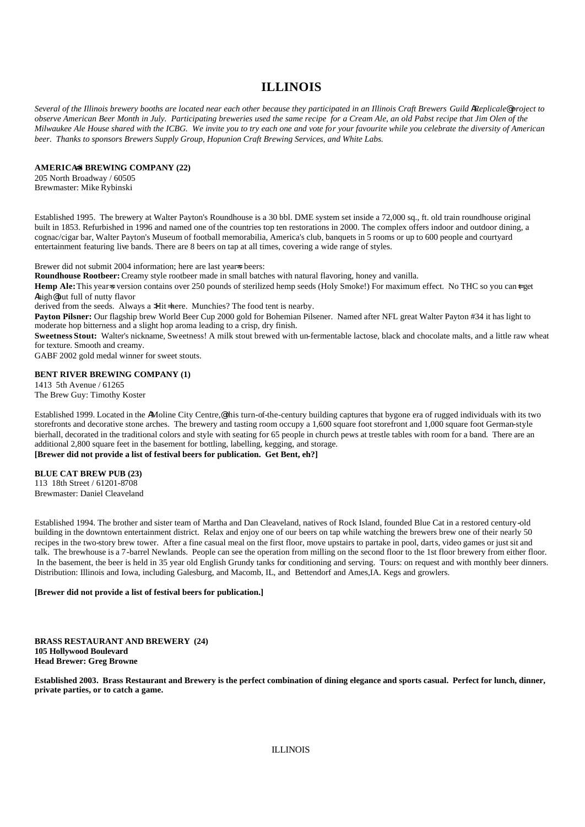## **ILLINOIS**

*Several of the Illinois brewery booths are located near each other because they participated in an Illinois Craft Brewers Guild AReplicale@ project to observe American Beer Month in July. Participating breweries used the same recipe for a Cream Ale, an old Pabst recipe that Jim Olen of the Milwaukee Ale House shared with the ICBG. We invite you to try each one and vote for your favourite while you celebrate the diversity of American beer. Thanks to sponsors Brewers Supply Group, Hopunion Craft Brewing Services, and White Labs.*

#### **AMERICA=S BREWING COMPANY (22)**

205 North Broadway / 60505 Brewmaster: Mike Rybinski

Established 1995. The brewery at Walter Payton's Roundhouse is a 30 bbl. DME system set inside a 72,000 sq., ft. old train roundhouse original built in 1853. Refurbished in 1996 and named one of the countries top ten restorations in 2000. The complex offers indoor and outdoor dining, a cognac/cigar bar, Walter Payton's Museum of football memorabilia, America's club, banquets in 5 rooms or up to 600 people and courtyard entertainment featuring live bands. There are 8 beers on tap at all times, covering a wide range of styles.

Brewer did not submit 2004 information; here are last years beers:

**Roundhouse Rootbeer:** Creamy style rootbeer made in small batches with natural flavoring, honey and vanilla.

Hemp Ale: This year = version contains over 250 pounds of sterilized hemp seeds (Holy Smoke!) For maximum effect. No THC so you can<sup>+</sup> get Ahigh@but full of nutty flavor

derived from the seeds. Always a  $H$ it=here. Munchies? The food tent is nearby.

**Payton Pilsner:** Our flagship brew World Beer Cup 2000 gold for Bohemian Pilsener. Named after NFL great Walter Payton #34 it has light to moderate hop bitterness and a slight hop aroma leading to a crisp, dry finish.

**Sweetness Stout:** Walter's nickname, Sweetness! A milk stout brewed with un-fermentable lactose, black and chocolate malts, and a little raw wheat for texture. Smooth and creamy.

GABF 2002 gold medal winner for sweet stouts.

#### **BENT RIVER BREWING COMPANY (1)**

1413 5th Avenue / 61265 The Brew Guy: Timothy Koster

Established 1999. Located in the AMoline City Centre,@ this turn-of-the-century building captures that bygone era of rugged individuals with its two storefronts and decorative stone arches. The brewery and tasting room occupy a 1,600 square foot storefront and 1,000 square foot German-style bierhall, decorated in the traditional colors and style with seating for 65 people in church pews at trestle tables with room for a band. There are an additional 2,800 square feet in the basement for bottling, labelling, kegging, and storage. **[Brewer did not provide a list of festival beers for publication. Get Bent, eh?]**

**BLUE CAT BREW PUB (23)** 113 18th Street / 61201-8708

Brewmaster: Daniel Cleaveland

Established 1994. The brother and sister team of Martha and Dan Cleaveland, natives of Rock Island, founded Blue Cat in a restored century-old building in the downtown entertainment district. Relax and enjoy one of our beers on tap while watching the brewers brew one of their nearly 50 recipes in the two-story brew tower. After a fine casual meal on the first floor, move upstairs to partake in pool, darts, video games or just sit and talk. The brewhouse is a 7-barrel Newlands. People can see the operation from milling on the second floor to the 1st floor brewery from either floor. In the basement, the beer is held in 35 year old English Grundy tanks for conditioning and serving. Tours: on request and with monthly beer dinners. Distribution: Illinois and Iowa, including Galesburg, and Macomb, IL, and Bettendorf and Ames,IA. Kegs and growlers.

#### **[Brewer did not provide a list of festival beers for publication.]**

**BRASS RESTAURANT AND BREWERY (24) 105 Hollywood Boulevard Head Brewer: Greg Browne**

**Established 2003. Brass Restaurant and Brewery is the perfect combination of dining elegance and sports casual. Perfect for lunch, dinner, private parties, or to catch a game.**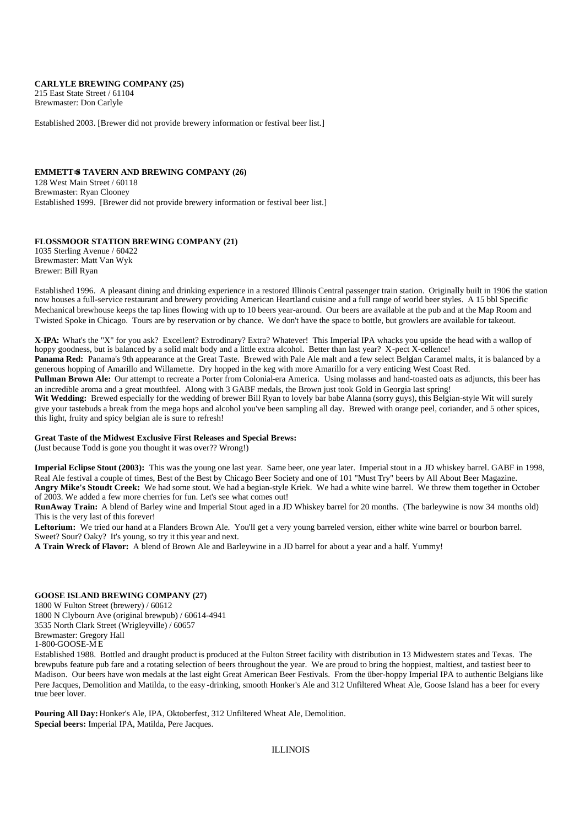#### **CARLYLE BREWING COMPANY (25)**

215 East State Street / 61104 Brewmaster: Don Carlyle

Established 2003. [Brewer did not provide brewery information or festival beer list.]

#### **EMMETT=S TAVERN AND BREWING COMPANY (26)**

128 West Main Street / 60118 Brewmaster: Ryan Clooney Established 1999. [Brewer did not provide brewery information or festival beer list.]

#### **FLOSSMOOR STATION BREWING COMPANY (21)**

1035 Sterling Avenue / 60422 Brewmaster: Matt Van Wyk Brewer: Bill Ryan

Established 1996. A pleasant dining and drinking experience in a restored Illinois Central passenger train station. Originally built in 1906 the station now houses a full-service restaurant and brewery providing American Heartland cuisine and a full range of world beer styles. A 15 bbl Specific Mechanical brewhouse keeps the tap lines flowing with up to 10 beers year-around. Our beers are available at the pub and at the Map Room and Twisted Spoke in Chicago. Tours are by reservation or by chance. We don't have the space to bottle, but growlers are available for takeout.

**X-IPA:** What's the "X" for you ask? Excellent? Extrodinary? Extra? Whatever! This Imperial IPA whacks you upside the head with a wallop of hoppy goodness, but is balanced by a solid malt body and a little extra alcohol. Better than last year? X-pect X-cellence! Panama Red: Panama's 9th appearance at the Great Taste. Brewed with Pale Ale malt and a few select Belgian Caramel malts, it is balanced by a generous hopping of Amarillo and Willamette. Dry hopped in the keg with more Amarillo for a very enticing West Coast Red.

**Pullman Brown Ale:** Our attempt to recreate a Porter from Colonial-era America. Using molasses and hand-toasted oats as adjuncts, this beer has an incredible aroma and a great mouthfeel. Along with 3 GABF medals, the Brown just took Gold in Georgia last spring!

**Wit Wedding:** Brewed especially for the wedding of brewer Bill Ryan to lovely bar babe Alanna (sorry guys), this Belgian-style Wit will surely give your tastebuds a break from the mega hops and alcohol you've been sampling all day. Brewed with orange peel, coriander, and 5 other spices, this light, fruity and spicy belgian ale is sure to refresh!

#### **Great Taste of the Midwest Exclusive First Releases and Special Brews:**

(Just because Todd is gone you thought it was over?? Wrong!)

**Imperial Eclipse Stout (2003):** This was the young one last year. Same beer, one year later. Imperial stout in a JD whiskey barrel. GABF in 1998, Real Ale festival a couple of times, Best of the Best by Chicago Beer Society and one of 101 "Must Try" beers by All About Beer Magazine. **Angry Mike's Stoudt Creek:** We had some stout. We had a begian-style Kriek. We had a white wine barrel. We threw them together in October of 2003. We added a few more cherries for fun. Let's see what comes out!

**RunAway Train:** A blend of Barley wine and Imperial Stout aged in a JD Whiskey barrel for 20 months. (The barleywine is now 34 months old) This is the very last of this forever!

**Leftorium:** We tried our hand at a Flanders Brown Ale. You'll get a very young barreled version, either white wine barrel or bourbon barrel. Sweet? Sour? Oaky? It's young, so try it this year and next.

**A Train Wreck of Flavor:** A blend of Brown Ale and Barleywine in a JD barrel for about a year and a half. Yummy!

#### **GOOSE ISLAND BREWING COMPANY (27)**

1800 W Fulton Street (brewery) / 60612 1800 N Clybourn Ave (original brewpub) / 60614-4941 3535 North Clark Street (Wrigleyville) / 60657 Brewmaster: Gregory Hall 1-800-GOOSE-M E

Established 1988. Bottled and draught product is produced at the Fulton Street facility with distribution in 13 Midwestern states and Texas. The brewpubs feature pub fare and a rotating selection of beers throughout the year. We are proud to bring the hoppiest, maltiest, and tastiest beer to Madison. Our beers have won medals at the last eight Great American Beer Festivals. From the über-hoppy Imperial IPA to authentic Belgians like Pere Jacques, Demolition and Matilda, to the easy -drinking, smooth Honker's Ale and 312 Unfiltered Wheat Ale, Goose Island has a beer for every true beer lover.

**Pouring All Day:** Honker's Ale, IPA, Oktoberfest, 312 Unfiltered Wheat Ale, Demolition. **Special beers:** Imperial IPA, Matilda, Pere Jacques.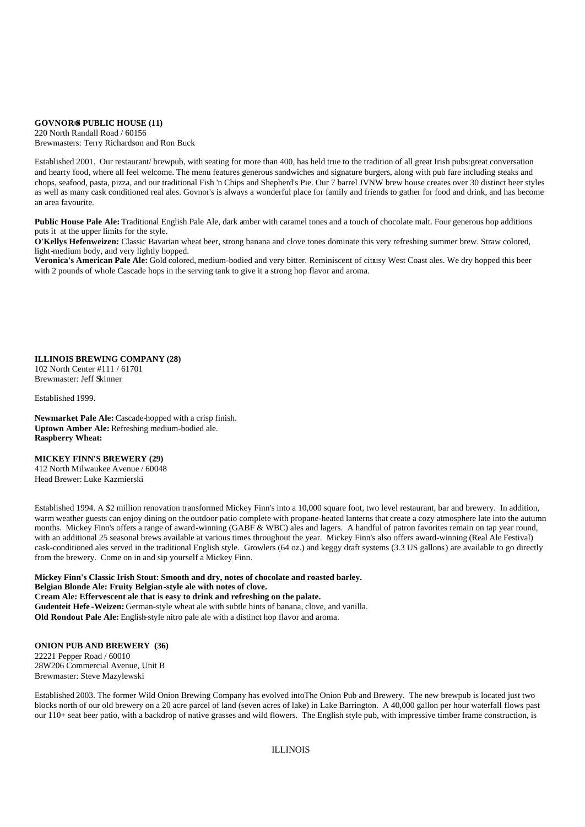#### **GOVNOR=S PUBLIC HOUSE (11)**

220 North Randall Road / 60156 Brewmasters: Terry Richardson and Ron Buck

Established 2001. Our restaurant/ brewpub, with seating for more than 400, has held true to the tradition of all great Irish pubs:great conversation and hearty food, where all feel welcome. The menu features generous sandwiches and signature burgers, along with pub fare including steaks and chops, seafood, pasta, pizza, and our traditional Fish 'n Chips and Shepherd's Pie. Our 7 barrel JVNW brew house creates over 30 distinct beer styles as well as many cask conditioned real ales. Govnor's is always a wonderful place for family and friends to gather for food and drink, and has become an area favourite.

**Public House Pale Ale:** Traditional English Pale Ale, dark amber with caramel tones and a touch of chocolate malt. Four generous hop additions puts it at the upper limits for the style.

**O'Kellys Hefenweizen:** Classic Bavarian wheat beer, strong banana and clove tones dominate this very refreshing summer brew. Straw colored, light-medium body, and very lightly hopped.

**Veronica's American Pale Ale:** Gold colored, medium-bodied and very bitter. Reminiscent of citrusy West Coast ales. We dry hopped this beer with 2 pounds of whole Cascade hops in the serving tank to give it a strong hop flavor and aroma.

#### **ILLINOIS BREWING COMPANY (28)**

102 North Center #111 / 61701 Brewmaster: Jeff Skinner

Established 1999.

**Newmarket Pale Ale:** Cascade-hopped with a crisp finish. **Uptown Amber Ale:** Refreshing medium-bodied ale. **Raspberry Wheat:**

#### **MICKEY FINN'S BREWERY (29)**

412 North Milwaukee Avenue / 60048 Head Brewer: Luke Kazmierski

Established 1994. A \$2 million renovation transformed Mickey Finn's into a 10,000 square foot, two level restaurant, bar and brewery. In addition, warm weather guests can enjoy dining on the outdoor patio complete with propane-heated lanterns that create a cozy atmosphere late into the autumn months. Mickey Finn's offers a range of award-winning (GABF & WBC) ales and lagers. A handful of patron favorites remain on tap year round, with an additional 25 seasonal brews available at various times throughout the year. Mickey Finn's also offers award-winning (Real Ale Festival) cask-conditioned ales served in the traditional English style. Growlers (64 oz.) and keggy draft systems (3.3 US gallons) are available to go directly from the brewery. Come on in and sip yourself a Mickey Finn.

**Mickey Finn's Classic Irish Stout: Smooth and dry, notes of chocolate and roasted barley. Belgian Blonde Ale: Fruity Belgian-style ale with notes of clove. Cream Ale: Effervescent ale that is easy to drink and refreshing on the palate. Gudenteit Hefe -Weizen:** German-style wheat ale with subtle hints of banana, clove, and vanilla. **Old Rondout Pale Ale:** English-style nitro pale ale with a distinct hop flavor and aroma.

#### **ONION PUB AND BREWERY (36)**

22221 Pepper Road / 60010 28W206 Commercial Avenue, Unit B Brewmaster: Steve Mazylewski

Established 2003. The former Wild Onion Brewing Company has evolved intoThe Onion Pub and Brewery. The new brewpub is located just two blocks north of our old brewery on a 20 acre parcel of land (seven acres of lake) in Lake Barrington. A 40,000 gallon per hour waterfall flows past our 110+ seat beer patio, with a backdrop of native grasses and wild flowers. The English style pub, with impressive timber frame construction, is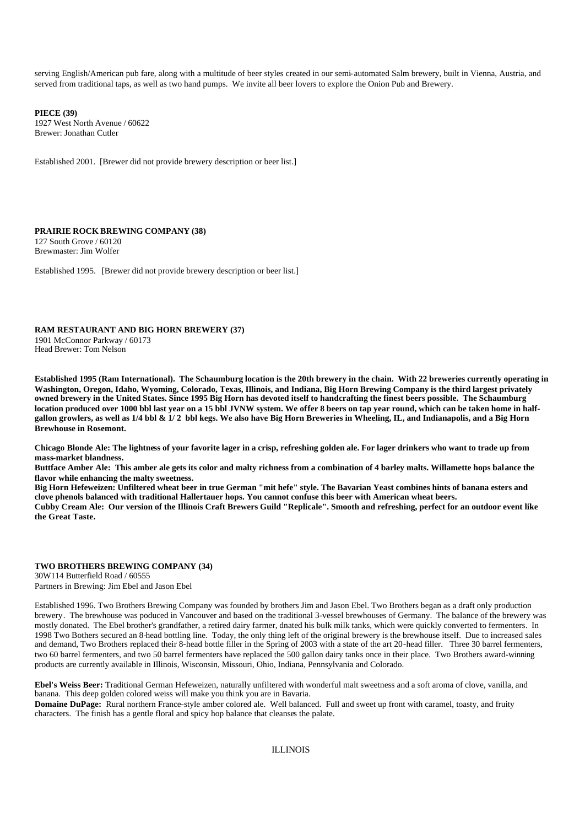serving English/American pub fare, along with a multitude of beer styles created in our semi-automated Salm brewery, built in Vienna, Austria, and served from traditional taps, as well as two hand pumps. We invite all beer lovers to explore the Onion Pub and Brewery.

**PIECE (39)** 1927 West North Avenue / 60622 Brewer: Jonathan Cutler

Established 2001. [Brewer did not provide brewery description or beer list.]

#### **PRAIRIE ROCK BREWING COMPANY (38)** 127 South Grove / 60120 Brewmaster: Jim Wolfer

Established 1995. [Brewer did not provide brewery description or beer list.]

**RAM RESTAURANT AND BIG HORN BREWERY (37)** 1901 McConnor Parkway / 60173 Head Brewer: Tom Nelson

**Established 1995 (Ram International). The Schaumburg location is the 20th brewery in the chain. With 22 breweries currently operating in Washington, Oregon, Idaho, Wyoming, Colorado, Texas, Illinois, and Indiana, Big Horn Brewing Company is the third largest privately owned brewery in the United States. Since 1995 Big Horn has devoted itself to handcrafting the finest beers possible. The Schaumburg location produced over 1000 bbl last year on a 15 bbl JVNW system. We offer 8 beers on tap year round, which can be taken home in halfgallon growlers, as well as 1/4 bbl & 1/ 2 bbl kegs. We also have Big Horn Breweries in Wheeling, IL, and Indianapolis, and a Big Horn Brewhouse in Rosemont.** 

**Chicago Blonde Ale: The lightness of your favorite lager in a crisp, refreshing golden ale. For lager drinkers who want to trade up from mass-market blandness.**

**Buttface Amber Ale: This amber ale gets its color and malty richness from a combination of 4 barley malts. Willamette hops balance the flavor while enhancing the malty sweetness.**

**Big Horn Hefeweizen: Unfiltered wheat beer in true German "mit hefe" style. The Bavarian Yeast combines hints of banana esters and clove phenols balanced with traditional Hallertauer hops. You cannot confuse this beer with American wheat beers. Cubby Cream Ale: Our version of the Illinois Craft Brewers Guild "Replicale". Smooth and refreshing, perfect for an outdoor event like the Great Taste.**

#### **TWO BROTHERS BREWING COMPANY (34)**

30W114 Butterfield Road / 60555 Partners in Brewing: Jim Ebel and Jason Ebel

Established 1996. Two Brothers Brewing Company was founded by brothers Jim and Jason Ebel. Two Brothers began as a draft only production brewery. The brewhouse was poduced in Vancouver and based on the traditional 3-vessel brewhouses of Germany. The balance of the brewery was mostly donated. The Ebel brother's grandfather, a retired dairy farmer, dnated his bulk milk tanks, which were quickly converted to fermenters. In 1998 Two Bothers secured an 8-head bottling line. Today, the only thing left of the original brewery is the brewhouse itself. Due to increased sales and demand, Two Brothers replaced their 8-head bottle filler in the Spring of 2003 with a state of the art 20-head filler. Three 30 barrel fermenters, two 60 barrel fermenters, and two 50 barrel fermenters have replaced the 500 gallon dairy tanks once in their place. Two Brothers award-winning products are currently available in Illinois, Wisconsin, Missouri, Ohio, Indiana, Pennsylvania and Colorado.

**Ebel's Weiss Beer:** Traditional German Hefeweizen, naturally unfiltered with wonderful malt sweetness and a soft aroma of clove, vanilla, and banana. This deep golden colored weiss will make you think you are in Bavaria.

**Domaine DuPage:** Rural northern France-style amber colored ale. Well balanced. Full and sweet up front with caramel, toasty, and fruity characters. The finish has a gentle floral and spicy hop balance that cleanses the palate.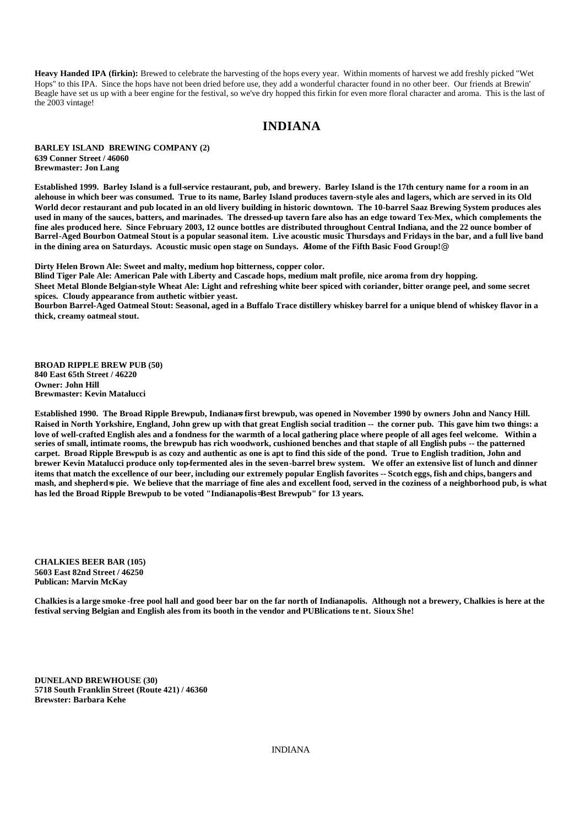**Heavy Handed IPA (firkin):** Brewed to celebrate the harvesting of the hops every year. Within moments of harvest we add freshly picked "Wet Hops" to this IPA. Since the hops have not been dried before use, they add a wonderful character found in no other beer. Our friends at Brewin' Beagle have set us up with a beer engine for the festival, so we've dry hopped this firkin for even more floral character and aroma. This is the last of the 2003 vintage!

### **INDIANA**

**BARLEY ISLAND BREWING COMPANY (2) 639 Conner Street / 46060 Brewmaster: Jon Lang**

**Established 1999. Barley Island is a full-service restaurant, pub, and brewery. Barley Island is the 17th century name for a room in an alehouse in which beer was consumed. True to its name, Barley Island produces tavern-style ales and lagers, which are served in its Old World decor restaurant and pub located in an old livery building in historic downtown. The 10-barrel Saaz Brewing System produces ales used in many of the sauces, batters, and marinades. The dressed-up tavern fare also has an edge toward Tex-Mex, which complements the fine ales produced here. Since February 2003, 12 ounce bottles are distributed throughout Central Indiana, and the 22 ounce bomber of Barrel-Aged Bourbon Oatmeal Stout is a popular seasonal item. Live acoustic music Thursdays and Fridays in the bar, and a full live band in the dining area on Saturdays. Acoustic music open stage on Sundays.** A**Home of the Fifth Basic Food Group!**@

**Dirty Helen Brown Ale: Sweet and malty, medium hop bitterness, copper color.**

**Blind Tiger Pale Ale: American Pale with Liberty and Cascade hops, medium malt profile, nice aroma from dry hopping. Sheet Metal Blonde Belgian-style Wheat Ale: Light and refreshing white beer spiced with coriander, bitter orange peel, and some secret spices. Cloudy appearance from authetic witbier yeast. Bourbon Barrel-Aged Oatmeal Stout: Seasonal, aged in a Buffalo Trace distillery whiskey barrel for a unique blend of whiskey flavor in a** 

**BROAD RIPPLE BREW PUB (50) 840 East 65th Street / 46220 Owner: John Hill Brewmaster: Kevin Matalucci**

**thick, creamy oatmeal stout.**

Established 1990. The Broad Ripple Brewpub, Indianas**s first brewpub, was opened in November** 1990 by owners John and Nancy Hill. **Raised in North Yorkshire, England, John grew up with that great English social tradition -- the corner pub. This gave him two things: a love of well-crafted English ales and a fondness for the warmth of a local gathering place where people of all ages feel welcome. Within a series of small, intimate rooms, the brewpub has rich woodwork, cushioned benches and that staple of all English pubs -- the patterned carpet. Broad Ripple Brewpub is as cozy and authentic as one is apt to find this side of the pond. True to English tradition, John and**  brewer Kevin Matalucci produce only top-fermented ales in the seven-barrel brew system. We offer an extensive list of lunch and dinner **items that match the excellence of our beer, including our extremely popular English favorites -- Scotch eggs, fish and chips, bangers and**  mash, and shepherd=s pie. We believe that the marriage of fine ales and excellent food, served in the coziness of a neighborhood pub, is what **has led the Broad Ripple Brewpub to be voted "Indianapolis**= **Best Brewpub" for 13 years.**

**CHALKIES BEER BAR (105) 5603 East 82nd Street / 46250 Publican: Marvin McKay**

**Chalkies is a large smoke -free pool hall and good beer bar on the far north of Indianapolis. Although not a brewery, Chalkies is here at the festival serving Belgian and English ales from its booth in the vendor and PUBlications te nt. Sioux She!**

**DUNELAND BREWHOUSE (30) 5718 South Franklin Street (Route 421) / 46360 Brewster: Barbara Kehe**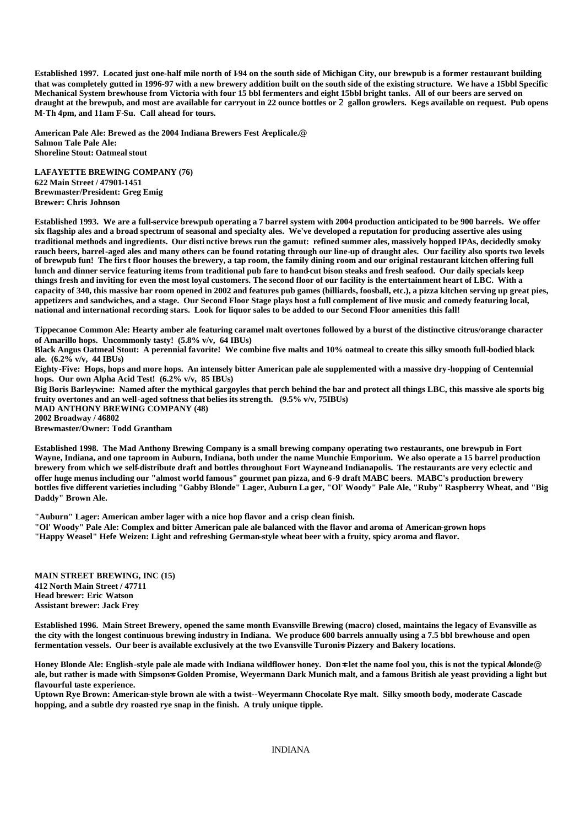**Established 1997. Located just one-half mile north of I-94 on the south side of Michigan City, our brewpub is a former restaurant building that was completely gutted in 1996-97 with a new brewery addition built on the south side of the existing structure. We have a 15bbl Specific Mechanical System brewhouse from Victoria with four 15 bbl fermenters and eight 15bbl bright tanks. All of our beers are served on draught at the brewpub, and most are available for carryout in 22 ounce bottles or** 2 **gallon growlers. Kegs available on request. Pub opens M-Th 4pm, and 11am F-Su. Call ahead for tours.**

**American Pale Ale: Brewed as the 2004 Indiana Brewers Fest** A**replicale.**@ **Salmon Tale Pale Ale: Shoreline Stout: Oatmeal stout**

**LAFAYETTE BREWING COMPANY (76) 622 Main Street / 47901-1451 Brewmaster/President: Greg Emig Brewer: Chris Johnson**

**Established 1993. We are a full-service brewpub operating a 7 barrel system with 2004 production anticipated to be 900 barrels. We offer six flagship ales and a broad spectrum of seasonal and specialty ales. We've developed a reputation for producing assertive ales using traditional methods and ingredients. Our disti nctive brews run the gamut: refined summer ales, massively hopped IPAs, decidedly smoky rauch beers, barrel-aged ales and many others can be found rotating through our line-up of draught ales. Our facility also sports two levels of brewpub fun! The first floor houses the brewery, a tap room, the family dining room and our original restaurant kitchen offering full lunch and dinner service featuring items from traditional pub fare to hand-cut bison steaks and fresh seafood. Our daily specials keep things fresh and inviting for even the most loyal customers. The second floor of our facility is the entertainment heart of LBC. With a capacity of 340, this massive bar room opened in 2002 and features pub games (billiards, foosball, etc.), a pizza kitchen serving up great pies, appetizers and sandwiches, and a stage. Our Second Floor Stage plays host a full complement of live music and comedy featuring local, national and international recording stars. Look for liquor sales to be added to our Second Floor amenities this fall!**

**Tippecanoe Common Ale: Hearty amber ale featuring caramel malt overtones followed by a burst of the distinctive citrus/orange character of Amarillo hops. Uncommonly tasty! (5.8% v/v, 64 IBUs)**

**Black Angus Oatmeal Stout: A perennial favorite! We combine five malts and 10% oatmeal to create this silky smooth full-bodied black ale. (6.2% v/v, 44 IBUs)**

**Eighty-Five: Hops, hops and more hops. An intensely bitter American pale ale supplemented with a massive dry-hopping of Centennial hops. Our own Alpha Acid Test! (6.2% v/v, 85 IBUs)**

**Big Boris Barleywine: Named after the mythical gargoyles that perch behind the bar and protect all things LBC, this massive ale sports big fruity overtones and an well-aged softness that belies its strength. (9.5% v/v, 75IBUs)**

**MAD ANTHONY BREWING COMPANY (48)**

**2002 Broadway / 46802**

**Brewmaster/Owner: Todd Grantham**

**Established 1998. The Mad Anthony Brewing Company is a small brewing company operating two restaurants, one brewpub in Fort Wayne, Indiana, and one taproom in Auburn, Indiana, both under the name Munchie Emporium. We also operate a 15 barrel production brewery from which we self-distribute draft and bottles throughout Fort Wayne and Indianapolis. The restaurants are very eclectic and offer huge menus including our "almost world famous" gourmet pan pizza, and 6-9 draft MABC beers. MABC's production brewery bottles five different varieties including "Gabby Blonde" Lager, Auburn La ger, "Ol' Woody" Pale Ale, "Ruby" Raspberry Wheat, and "Big Daddy" Brown Ale.** 

**"Auburn" Lager: American amber lager with a nice hop flavor and a crisp clean finish.**

**"Ol' Woody" Pale Ale: Complex and bitter American pale ale balanced with the flavor and aroma of American-grown hops "Happy Weasel" Hefe Weizen: Light and refreshing German-style wheat beer with a fruity, spicy aroma and flavor.**

**MAIN STREET BREWING, INC (15) 412 North Main Street / 47711 Head brewer: Eric Watson Assistant brewer: Jack Frey**

**Established 1996. Main Street Brewery, opened the same month Evansville Brewing (macro) closed, maintains the legacy of Evansville as the city with the longest continuous brewing industry in Indiana. We produce 600 barrels annually using a 7.5 bbl brewhouse and open**  fermentation vessels. Our beer is available exclusively at the two Evansville Turonis Pizzery and Bakery locations.

**Honey Blonde Ale: English-style pale ale made with Indiana wildflower honey. Don≠ let the name fool you, this is not the typical blonde@** ale, but rather is made with Simpsons Golden Promise, Wevermann Dark Munich malt, and a famous British ale yeast providing a light but **flavourful taste experience.**

**Uptown Rye Brown: American-style brown ale with a twist--Weyermann Chocolate Rye malt. Silky smooth body, moderate Cascade hopping, and a subtle dry roasted rye snap in the finish. A truly unique tipple.**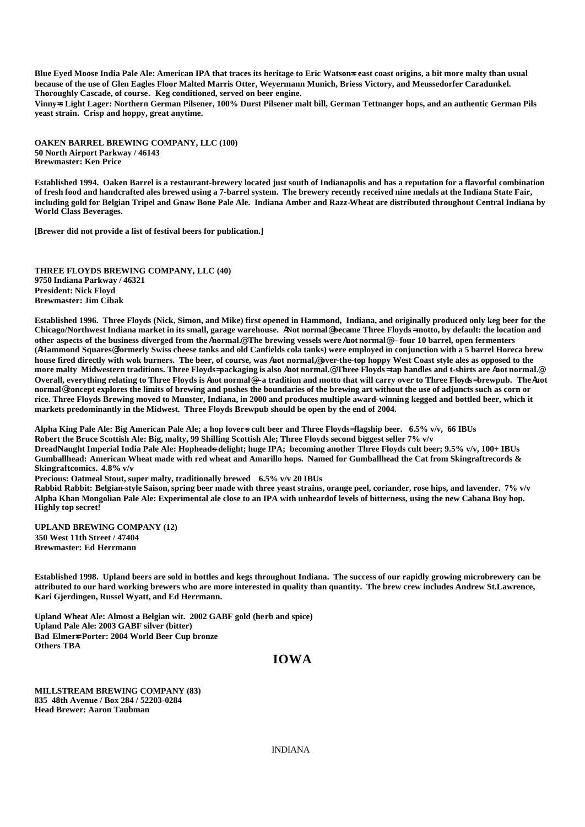Blue Eyed Moose India Pale Ale: American IPA that traces its heritage to Eric Watsons east coast origins, a bit more malty than usual **because of the use of Glen Eagles Floor Malted Marris Otter, Weyermann Munich, Briess Victory, and Meussedorfer Caradunkel. Thoroughly Cascade, of course. Keg conditioned, served on beer engine.**

**Vinny=s Light Lager: Northern German Pilsener, 100% Durst Pilsener malt bill, German Tettnanger hops, and an authentic German Pils yeast strain. Crisp and hoppy, great anytime.**

**OAKEN BARREL BREWING COMPANY, LLC (100) 50 North Airport Parkway / 46143 Brewmaster: Ken Price**

**Established 1994. Oaken Barrel is a restaurant-brewery located just south of Indianapolis and has a reputation for a flavorful combination of fresh food and handcrafted ales brewed using a 7-barrel system. The brewery recently received nine medals at the Indiana State Fair, including gold for Belgian Tripel and Gnaw Bone Pale Ale. Indiana Amber and Razz-Wheat are distributed throughout Central Indiana by World Class Beverages.**

**[Brewer did not provide a list of festival beers for publication.]**

**THREE FLOYDS BREWING COMPANY, LLC (40) 9750 Indiana Parkway / 46321 President: Nick Floyd Brewmaster: Jim Cibak**

**Established 1996. Three Floyds (Nick, Simon, and Mike) first opened in Hammond, Indiana, and originally produced only keg beer for the Chicago/Northwest Indiana market in its small, garage warehouse.** A**Not normal**@ **became Three Floyds**= **motto, by default: the location and other aspects of the business diverged from the** A**normal.**@ **The brewing vessels were** A**not normal**@**--- four 10 barrel, open fermenters (**A**Hammond Squares**@ **formerly Swiss cheese tanks and old Canfields cola tanks) were employed in conjunction with a 5 barrel Horeca brew house fired directly with wok burners. The beer, of course, was** A**not normal,**@ **over-the-top hoppy West Coast style ales as opposed to the more malty Midwestern traditions. Three Floyds**= **packaging is also** A**not normal.**@ **Three Floyds**= **tap handles and t-shirts are** A**not normal.**@ **Overall, everything relating to Three Floyds is** A**not normal**@**---a tradition and motto that will carry over to Three Floyds**= **brewpub. The** A**not normal**@ **concept explores the limits of brewing and pushes the boundaries of the brewing art without the use of adjuncts such as corn or rice. Three Floyds Brewing moved to Munster, Indiana, in 2000 and produces multiple award-winning kegged and bottled beer, which it markets predominantly in the Midwest. Three Floyds Brewpub should be open by the end of 2004.**

**Alpha King Pale Ale: Big American Pale Ale; a hop lover**=**s cult beer and Three Floyds**= **flagship beer. 6.5% v/v, 66 IBUs Robert the Bruce Scottish Ale: Big, malty, 99 Shilling Scottish Ale; Three Floyds second biggest seller 7% v/v DreadNaught Imperial India Pale Ale: Hopheads delight; huge IPA; becoming another Three Floyds cult beer; 9.5% v/v, 100+ IBUs Gumballhead: American Wheat made with red wheat and Amarillo hops. Named for Gumballhead the Cat from Skingraftrecords & Skingraftcomics. 4.8% v/v**

**Precious: Oatmeal Stout, super malty, traditionally brewed 6.5% v/v 20 IBUs**

**Rabbid Rabbit: Belgian-style Saison, spring beer made with three yeast strains, orange peel, coriander, rose hips, and lavender. 7% v/v Alpha Khan Mongolian Pale Ale: Experimental ale close to an IPA with unheardof levels of bitterness, using the new Cabana Boy hop. Highly top secret!**

**UPLAND BREWING COMPANY (12) 350 West 11th Street / 47404 Brewmaster: Ed Herrmann**

**Established 1998. Upland beers are sold in bottles and kegs throughout Indiana. The success of our rapidly growing microbrewery can be attributed to our hard working brewers who are more interested in quality than quantity. The brew crew includes Andrew St.Lawrence, Kari Gjerdingen, Russel Wyatt, and Ed Herrmann.**

**Upland Wheat Ale: Almost a Belgian wit. 2002 GABF gold (herb and spice) Upland Pale Ale: 2003 GABF silver (bitter) Bad Elmer=s Porter: 2004 World Beer Cup bronze Others TBA**

#### **IOWA**

**MILLSTREAM BREWING COMPANY (83) 835 48th Avenue / Box 284 / 52203-0284 Head Brewer: Aaron Taubman**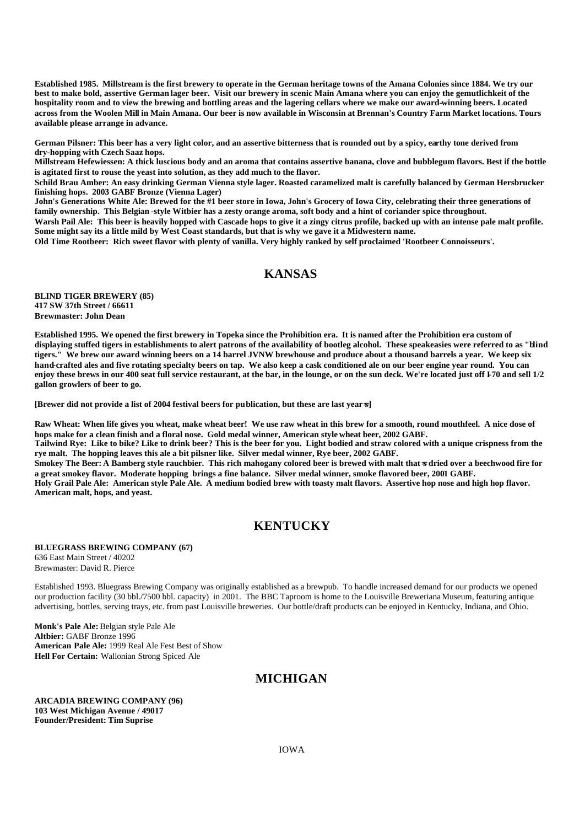**Established 1985. Millstream is the first brewery to operate in the German heritage towns of the Amana Colonies since 1884. We try our best to make bold, assertive German lager beer. Visit our brewery in scenic Main Amana where you can enjoy the gemutlichkeit of the hospitality room and to view the brewing and bottling areas and the lagering cellars where we make our award-winning beers. Located across from the Woolen Mill in Main Amana. Our beer is now available in Wisconsin at Brennan's Country Farm Market locations. Tours available please arrange in advance.**

**German Pilsner: This beer has a very light color, and an assertive bitterness that is rounded out by a spicy, earthy tone derived from dry-hopping with Czech Saaz hops.**

**Millstream Hefewiessen: A thick luscious body and an aroma that contains assertive banana, clove and bubblegum flavors. Best if the bottle is agitated first to rouse the yeast into solution, as they add much to the flavor.**

**Schild Brau Amber: An easy drinking German Vienna style lager. Roasted caramelized malt is carefully balanced by German Hersbrucker finishing hops. 2003 GABF Bronze (Vienna Lager)**

**John's Generations White Ale: Brewed for the #1 beer store in Iowa, John's Grocery of Iowa City, celebrating their three generations of family ownership. This Belgian -style Witbier has a zesty orange aroma, soft body and a hint of coriander spice throughout.** 

Warsh Pail Ale: This beer is heavily hopped with Cascade hops to give it a zingy citrus profile, backed up with an intense pale malt profile. **Some might say its a little mild by West Coast standards, but that is why we gave it a Midwestern name.**

**Old Time Rootbeer: Rich sweet flavor with plenty of vanilla. Very highly ranked by self proclaimed 'Rootbeer Connoisseurs'.**

## **KANSAS**

**BLIND TIGER BREWERY (85) 417 SW 37th Street / 66611 Brewmaster: John Dean**

**Established 1995. We opened the first brewery in Topeka since the Prohibition era. It is named after the Prohibition era custom of displaying stuffed tigers in establishments to alert patrons of the availability of bootleg alcohol. These speakeasies were referred to as "blind tigers." We brew our award winning beers on a 14 barrel JVNW brewhouse and produce about a thousand barrels a year. We keep six hand-crafted ales and five rotating specialty beers on tap. We also keep a cask conditioned ale on our beer engine year round. You can enjoy these brews in our 400 seat full service restaurant, at the bar, in the lounge, or on the sun deck. We're located just off I-70 and sell 1/2 gallon growlers of beer to go.** 

**[Brewer did not provide a list of 2004 festival beers for publication, but these are last year**=**s]**

**Raw Wheat: When life gives you wheat, make wheat beer! We use raw wheat in this brew for a smooth, round mouthfeel. A nice dose of hops make for a clean finish and a floral nose. Gold medal winner, American style wheat beer, 2002 GABF. Tailwind Rye: Like to bike? Like to drink beer? This is the beer for you. Light bodied and straw colored with a unique crispness from the rye malt. The hopping leaves this ale a bit pilsner like. Silver medal winner, Rye beer, 2002 GABF. Smokey The Beer: A Bamberg style rauchbier. This rich mahogany colored beer is brewed with malt that<sup>{</sup> at dried over a beechwood fire for a great smokey flavor. Moderate hopping brings a fine balance. Silver medal winner, smoke flavored beer, 2001 GABF. Holy Grail Pale Ale: American style Pale Ale. A medium bodied brew with toasty malt flavors. Assertive hop nose and high hop flavor. American malt, hops, and yeast.** 

## **KENTUCKY**

#### **BLUEGRASS BREWING COMPANY (67)** 636 East Main Street / 40202 Brewmaster: David R. Pierce

Established 1993. Bluegrass Brewing Company was originally established as a brewpub. To handle increased demand for our products we opened our production facility (30 bbl./7500 bbl. capacity) in 2001. The BBC Taproom is home to the Louisville Breweriana Museum, featuring antique advertising, bottles, serving trays, etc. from past Louisville breweries. Our bottle/draft products can be enjoyed in Kentucky, Indiana, and Ohio.

**Monk's Pale Ale:** Belgian style Pale Ale **Altbier:** GABF Bronze 1996 **American Pale Ale:** 1999 Real Ale Fest Best of Show **Hell For Certain:** Wallonian Strong Spiced Ale

## **MICHIGAN**

**ARCADIA BREWING COMPANY (96) 103 West Michigan Avenue / 49017 Founder/President: Tim Suprise**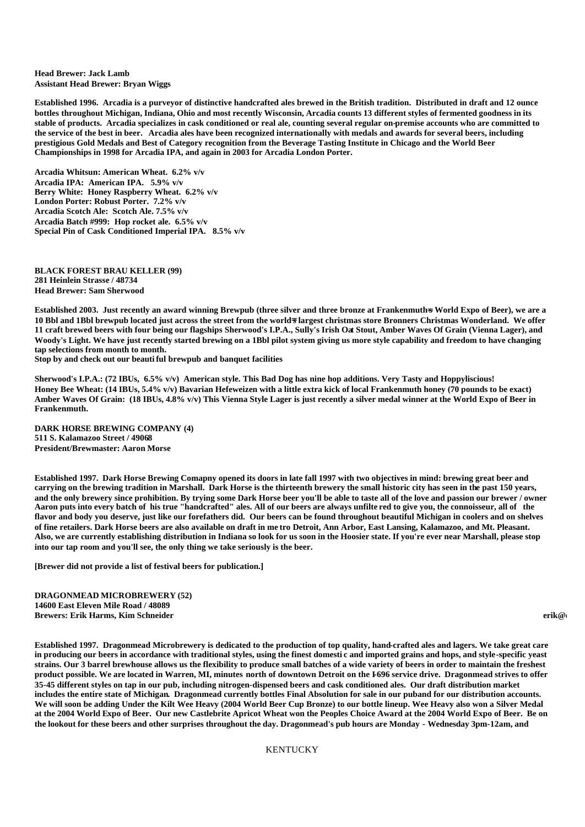**Head Brewer: Jack Lamb Assistant Head Brewer: Bryan Wiggs**

**Established 1996. Arcadia is a purveyor of distinctive handcrafted ales brewed in the British tradition. Distributed in draft and 12 ounce bottles throughout Michigan, Indiana, Ohio and most recently Wisconsin, Arcadia counts 13 different styles of fermented goodness in its stable of products. Arcadia specializes in cask conditioned or real ale, counting several regular on-premise accounts who are committed to the service of the best in beer. Arcadia ales have been recognized internationally with medals and awards for several beers, including prestigious Gold Medals and Best of Category recognition from the Beverage Tasting Institute in Chicago and the World Beer Championships in 1998 for Arcadia IPA, and again in 2003 for Arcadia London Porter.**

**Arcadia Whitsun: American Wheat. 6.2% v/v Arcadia IPA: American IPA. 5.9% v/v Berry White: Honey Raspberry Wheat. 6.2% v/v London Porter: Robust Porter. 7.2% v/v Arcadia Scotch Ale: Scotch Ale. 7.5% v/v Arcadia Batch #999: Hop rocket ale. 6.5% v/v Special Pin of Cask Conditioned Imperial IPA. 8.5% v/v**

**BLACK FOREST BRAU KELLER (99) 281 Heinlein Strasse / 48734 Head Brewer: Sam Sherwood**

Established 2003. Just recently an award winning Brewpub (three silver and three bronze at Frankenmuth=**s** World Expo of Beer), we are a 10 Bbl and 1Bbl brewpub located just across the street from the world<del>s</del> largest christmas store Bronners Christmas Wonderland. We offer **11 craft brewed beers with four being our flagships Sherwood's I.P.A., Sully's Irish Oat Stout, Amber Waves Of Grain (Vienna Lager), and Woody's Light. We have just recently started brewing on a 1Bbl pilot system giving us more style capability and freedom to have changing tap selections from month to month.** 

**Stop by and check out our beauti ful brewpub and banquet facilities**

**Sherwood's I.P.A.: (72 IBUs, 6.5% v/v) American style. This Bad Dog has nine hop additions. Very Tasty and Hoppyliscious! Honey Bee Wheat: (14 IBUs, 5.4% v/v) Bavarian Hefeweizen with a little extra kick of local Frankenmuth honey (70 pounds to be exact) Amber Waves Of Grain: (18 IBUs, 4.8% v/v) This Vienna Style Lager is just recently a silver medal winner at the World Expo of Beer in Frankenmuth.**

**DARK HORSE BREWING COMPANY (4) 511 S. Kalamazoo Street / 49068 President/Brewmaster: Aaron Morse**

**Established 1997. Dark Horse Brewing Comapny opened its doors in late fall 1997 with two objectives in mind: brewing great beer and carrying on the brewing tradition in Marshall. Dark Horse is the thirteenth brewery the small historic city has seen in the past 150 years, and the only brewery since prohibition. By trying some Dark Horse beer you'll be able to taste all of the love and passion our brewer / owner Aaron puts into every batch of his true "handcrafted" ales. All of our beers are always unfilte red to give you, the connoisseur, all of the flavor and body you deserve, just like our forefathers did. Our beers can be found throughout beautiful Michigan in coolers and on shelves of fine retailers. Dark Horse beers are also available on draft in me tro Detroit, Ann Arbor, East Lansing, Kalamazoo, and Mt. Pleasant. Also, we are currently establishing distribution in Indiana so look for us soon in the Hoosier state. If you're ever near Marshall, please stop into our tap room and you'll see, the only thing we take seriously is the beer.**

**[Brewer did not provide a list of festival beers for publication.]**

**DRAGONMEAD MICROBREWERY (52) 14600 East Eleven Mile Road / 48089 Brewers: Erik Harms, Kim Schneider erik@dragonmead.com, kim Schneider erik@dragonmead.com, kim** 

**Established 1997. Dragonmead Microbrewery is dedicated to the production of top quality, hand-crafted ales and lagers. We take great care in producing our beers in accordance with traditional styles, using the finest domesti c and imported grains and hops, and style-specific yeast strains. Our 3 barrel brewhouse allows us the flexibility to produce small batches of a wide variety of beers in order to maintain the freshest product possible. We are located in Warren, MI, minutes north of downtown Detroit on the I-696 service drive. Dragonmead strives to offer 35-45 different styles on tap in our pub, including nitrogen-dispensed beers and cask conditioned ales. Our draft distribution market includes the entire state of Michigan. Dragonmead currently bottles Final Absolution for sale in our puband for our distribution accounts. We will soon be adding Under the Kilt Wee Heavy (2004 World Beer Cup Bronze) to our bottle lineup. Wee Heavy also won a Silver Medal at the 2004 World Expo of Beer. Our new Castlebrite Apricot Wheat won the Peoples Choice Award at the 2004 World Expo of Beer. Be on the lookout for these beers and other surprises throughout the day. Dragonmead's pub hours are Monday - Wednesday 3pm-12am, and** 

KENTUCKY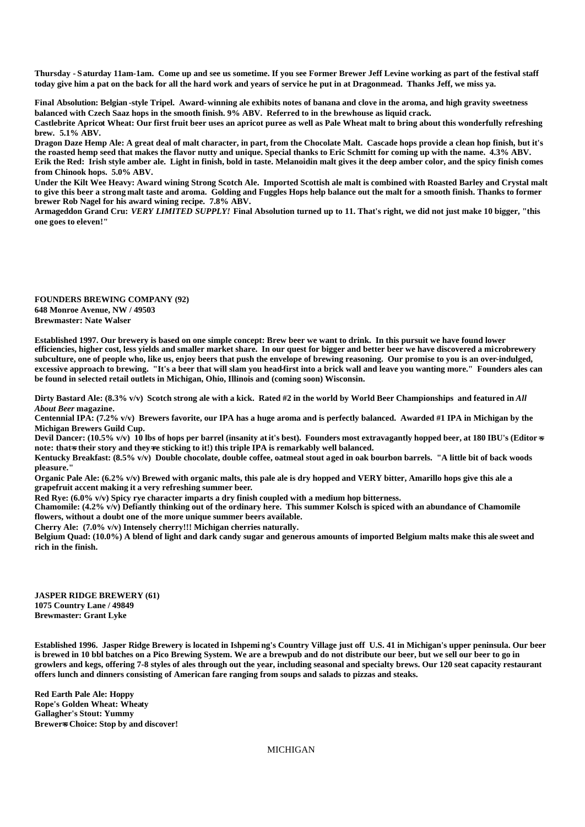**Thursday - Saturday 11am-1am. Come up and see us sometime. If you see Former Brewer Jeff Levine working as part of the festival staff today give him a pat on the back for all the hard work and years of service he put in at Dragonmead. Thanks Jeff, we miss ya.**

**Final Absolution: Belgian -style Tripel. Award-winning ale exhibits notes of banana and clove in the aroma, and high gravity sweetness balanced with Czech Saaz hops in the smooth finish. 9% ABV. Referred to in the brewhouse as liquid crack.** 

**Castlebrite Apricot Wheat: Our first fruit beer uses an apricot puree as well as Pale Wheat malt to bring about this wonderfully refreshing brew. 5.1% ABV.**

**Dragon Daze Hemp Ale: A great deal of malt character, in part, from the Chocolate Malt. Cascade hops provide a clean hop finish, but it's the roasted hemp seed that makes the flavor nutty and unique. Special thanks to Eric Schmitt for coming up with the name. 4.3% ABV. Erik the Red: Irish style amber ale. Light in finish, bold in taste. Melanoidin malt gives it the deep amber color, and the spicy finish comes from Chinook hops. 5.0% ABV.**

**Under the Kilt Wee Heavy: Award wining Strong Scotch Ale. Imported Scottish ale malt is combined with Roasted Barley and Crystal malt to give this beer a strong malt taste and aroma. Golding and Fuggles Hops help balance out the malt for a smooth finish. Thanks to former brewer Rob Nagel for his award wining recipe. 7.8% ABV.**

**Armageddon Grand Cru:** *VERY LIMITED SUPPLY!* **Final Absolution turned up to 11. That's right, we did not just make 10 bigger, "this one goes to eleven!"**

**FOUNDERS BREWING COMPANY (92) 648 Monroe Avenue, NW / 49503 Brewmaster: Nate Walser**

**Established 1997. Our brewery is based on one simple concept: Brew beer we want to drink. In this pursuit we have found lower efficiencies, higher cost, less yields and smaller market share. In our quest for bigger and better beer we have discovered a microbrewery subculture, one of people who, like us, enjoy beers that push the envelope of brewing reasoning. Our promise to you is an over-indulged, excessive approach to brewing. "It's a beer that will slam you head-first into a brick wall and leave you wanting more." Founders ales can be found in selected retail outlets in Michigan, Ohio, Illinois and (coming soon) Wisconsin.**

**Dirty Bastard Ale: (8.3% v/v) Scotch strong ale with a kick. Rated #2 in the world by World Beer Championships and featured in** *All About Beer* **magazine.** 

**Centennial IPA: (7.2% v/v) Brewers favorite, our IPA has a huge aroma and is perfectly balanced. Awarded #1 IPA in Michigan by the Michigan Brewers Guild Cup.**

Devil Dancer: (10.5% v/v) 10 lbs of hops per barrel (insanity at it's best). Founders most extravagantly hopped beer, at 180 IBU's (Editor=s note: that is their story and they re sticking to it!) this triple IPA is remarkably well balanced.

**Kentucky Breakfast: (8.5% v/v) Double chocolate, double coffee, oatmeal stout aged in oak bourbon barrels. "A little bit of back woods pleasure."**

**Organic Pale Ale: (6.2% v/v) Brewed with organic malts, this pale ale is dry hopped and VERY bitter, Amarillo hops give this ale a grapefruit accent making it a very refreshing summer beer.**

**Red Rye: (6.0% v/v) Spicy rye character imparts a dry finish coupled with a medium hop bitterness.**

**Chamomile: (4.2% v/v) Defiantly thinking out of the ordinary here. This summer Kolsch is spiced with an abundance of Chamomile flowers, without a doubt one of the more unique summer beers available.**

**Cherry Ale: (7.0% v/v) Intensely cherry!!! Michigan cherries naturally.**

**Belgium Quad: (10.0%) A blend of light and dark candy sugar and generous amounts of imported Belgium malts make this ale sweet and rich in the finish.**

**JASPER RIDGE BREWERY (61) 1075 Country Lane / 49849 Brewmaster: Grant Lyke**

**Established 1996. Jasper Ridge Brewery is located in Ishpemi ng's Country Village just off U.S. 41 in Michigan's upper peninsula. Our beer is brewed in 10 bbl batches on a Pico Brewing System. We are a brewpub and do not distribute our beer, but we sell our beer to go in growlers and kegs, offering 7-8 styles of ales through out the year, including seasonal and specialty brews. Our 120 seat capacity restaurant offers lunch and dinners consisting of American fare ranging from soups and salads to pizzas and steaks.**

**Red Earth Pale Ale: Hoppy Rope's Golden Wheat: Wheaty Gallagher's Stout: Yummy Brewer=s Choice: Stop by and discover!**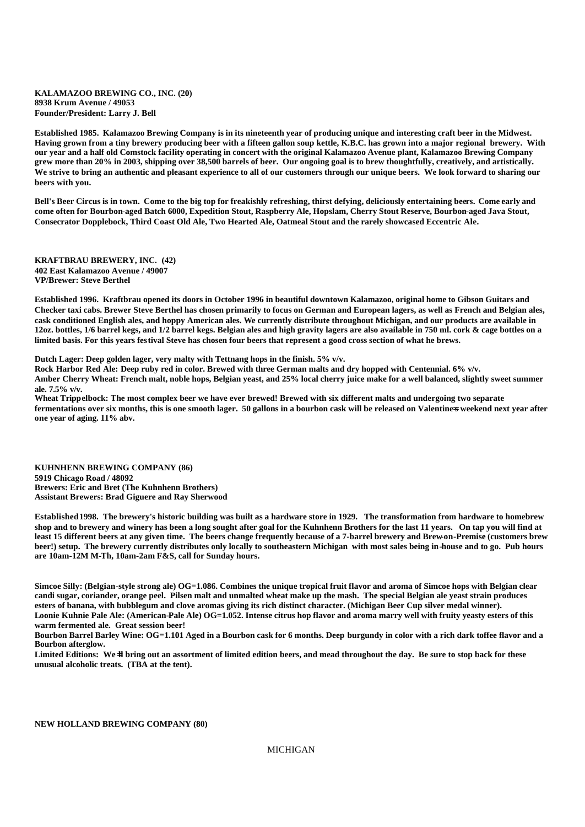**KALAMAZOO BREWING CO., INC. (20) 8938 Krum Avenue / 49053 Founder/President: Larry J. Bell**

**Established 1985. Kalamazoo Brewing Company is in its nineteenth year of producing unique and interesting craft beer in the Midwest. Having grown from a tiny brewery producing beer with a fifteen gallon soup kettle, K.B.C. has grown into a major regional brewery. With our year and a half old Comstock facility operating in concert with the original Kalamazoo Avenue plant, Kalamazoo Brewing Company grew more than 20% in 2003, shipping over 38,500 barrels of beer. Our ongoing goal is to brew thoughtfully, creatively, and artistically. We strive to bring an authentic and pleasant experience to all of our customers through our unique beers. We look forward to sharing our beers with you.**

**Bell's Beer Circus is in town. Come to the big top for freakishly refreshing, thirst defying, deliciously entertaining beers. Come early and come often for Bourbon-aged Batch 6000, Expedition Stout, Raspberry Ale, Hopslam, Cherry Stout Reserve, Bourbon-aged Java Stout, Consecrator Dopplebock, Third Coast Old Ale, Two Hearted Ale, Oatmeal Stout and the rarely showcased Eccentric Ale.**

**KRAFTBRAU BREWERY, INC. (42) 402 East Kalamazoo Avenue / 49007 VP/Brewer: Steve Berthel**

**Established 1996. Kraftbrau opened its doors in October 1996 in beautiful downtown Kalamazoo, original home to Gibson Guitars and Checker taxi cabs. Brewer Steve Berthel has chosen primarily to focus on German and European lagers, as well as French and Belgian ales, cask conditioned English ales, and hoppy American ales. We currently distribute throughout Michigan, and our products are available in 12oz. bottles, 1/6 barrel kegs, and 1/2 barrel kegs. Belgian ales and high gravity lagers are also available in 750 ml. cork & cage bottles on a limited basis. For this years festival Steve has chosen four beers that represent a good cross section of what he brews.**

**Dutch Lager: Deep golden lager, very malty with Tettnang hops in the finish. 5% v/v.**

**Rock Harbor Red Ale: Deep ruby red in color. Brewed with three German malts and dry hopped with Centennial. 6% v/v. Amber Cherry Wheat: French malt, noble hops, Belgian yeast, and 25% local cherry juice make for a well balanced, slightly sweet summer ale. 7.5% v/v.**

**Wheat Trippelbock: The most complex beer we have ever brewed! Brewed with six different malts and undergoing two separate**  fermentations over six months, this is one smooth lager. 50 gallons in a bourbon cask will be released on Valentine<del>s</del> weekend next year after **one year of aging. 11% abv.**

**KUHNHENN BREWING COMPANY (86) 5919 Chicago Road / 48092 Brewers: Eric and Bret (The Kuhnhenn Brothers) Assistant Brewers: Brad Giguere and Ray Sherwood**

**Established 1998. The brewery's historic building was built as a hardware store in 1929. The transformation from hardware to homebrew shop and to brewery and winery has been a long sought after goal for the Kuhnhenn Brothers for the last 11 years. On tap you will find at least 15 different beers at any given time. The beers change frequently because of a 7-barrel brewery and Brew-on-Premise (customers brew beer!) setup. The brewery currently distributes only locally to southeastern Michigan with most sales being in-house and to go. Pub hours are 10am-12M M-Th, 10am-2am F&S, call for Sunday hours.**

**Simcoe Silly: (Belgian-style strong ale) OG=1.086. Combines the unique tropical fruit flavor and aroma of Simcoe hops with Belgian clear candi sugar, coriander, orange peel. Pilsen malt and unmalted wheat make up the mash. The special Belgian ale yeast strain produces esters of banana, with bubblegum and clove aromas giving its rich distinct character. (Michigan Beer Cup silver medal winner).** Loonie Kuhnie Pale Ale: (American-Pale Ale) OG=1.052. Intense citrus hop flavor and aroma marry well with fruity yeasty esters of this **warm fermented ale. Great session beer!** 

**Bourbon Barrel Barley Wine: OG=1.101 Aged in a Bourbon cask for 6 months. Deep burgundy in color with a rich dark toffee flavor and a Bourbon afterglow.**

Limited Editions: We<sup>-</sup>ll bring out an assortment of limited edition beers, and mead throughout the day. Be sure to stop back for these **unusual alcoholic treats. (TBA at the tent).**

**NEW HOLLAND BREWING COMPANY (80)**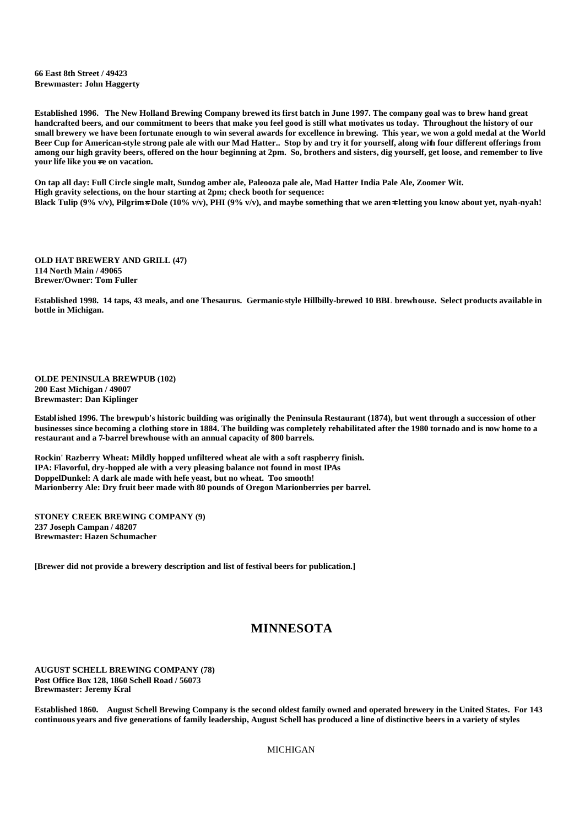**66 East 8th Street / 49423 Brewmaster: John Haggerty**

**Established 1996. The New Holland Brewing Company brewed its first batch in June 1997. The company goal was to brew hand great handcrafted beers, and our commitment to beers that make you feel good is still what motivates us today. Throughout the history of our small brewery we have been fortunate enough to win several awards for excellence in brewing. This year, we won a gold medal at the World Beer Cup for American-style strong pale ale with our Mad Hatter.. Stop by and try it for yourself, along with four different offerings from among our high gravity beers, offered on the hour beginning at 2pm. So, brothers and sisters, dig yourself, get loose, and remember to live your life like you**=**re on vacation.**

**On tap all day: Full Circle single malt, Sundog amber ale, Paleooza pale ale, Mad Hatter India Pale Ale, Zoomer Wit. High gravity selections, on the hour starting at 2pm; check booth for sequence: Black Tulip (9% v/v), Pilgrim**=**s Dole (10% v/v), PHI (9% v/v), and maybe something that we aren**=**t letting you know about yet, nyah-nyah!**

**OLD HAT BREWERY AND GRILL (47) 114 North Main / 49065 Brewer/Owner: Tom Fuller**

Established 1998. 14 taps, 43 meals, and one Thesaurus. Germanic-style Hillbilly-brewed 10 BBL brewhouse. Select products available in **bottle in Michigan.**

**OLDE PENINSULA BREWPUB (102) 200 East Michigan / 49007 Brewmaster: Dan Kiplinger**

**Established 1996. The brewpub's historic building was originally the Peninsula Restaurant (1874), but went through a succession of other businesses since becoming a clothing store in 1884. The building was completely rehabilitated after the 1980 tornado and is now home to a restaurant and a 7-barrel brewhouse with an annual capacity of 800 barrels.**

**Rockin' Razberry Wheat: Mildly hopped unfiltered wheat ale with a soft raspberry finish. IPA: Flavorful, dry-hopped ale with a very pleasing balance not found in most IPAs DoppelDunkel: A dark ale made with hefe yeast, but no wheat. Too smooth! Marionberry Ale: Dry fruit beer made with 80 pounds of Oregon Marionberries per barrel.**

**STONEY CREEK BREWING COMPANY (9) 237 Joseph Campan / 48207 Brewmaster: Hazen Schumacher**

**[Brewer did not provide a brewery description and list of festival beers for publication.]**

## **MINNESOTA**

**AUGUST SCHELL BREWING COMPANY (78) Post Office Box 128, 1860 Schell Road / 56073 Brewmaster: Jeremy Kral**

**Established 1860. August Schell Brewing Company is the second oldest family owned and operated brewery in the United States. For 143 continuous years and five generations of family leadership, August Schell has produced a line of distinctive beers in a variety of styles**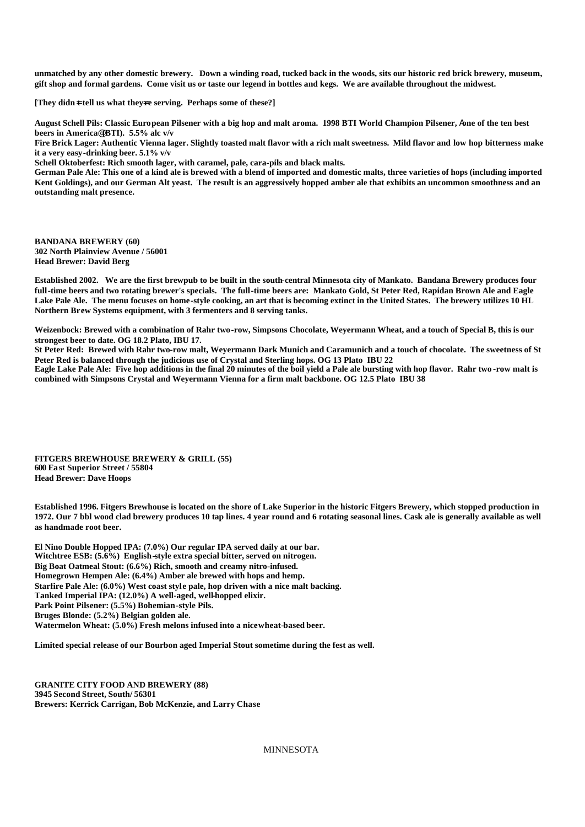**unmatched by any other domestic brewery. Down a winding road, tucked back in the woods, sits our historic red brick brewery, museum, gift shop and formal gardens. Come visit us or taste our legend in bottles and kegs. We are available throughout the midwest.**

**[They didn**=**t tell us what they**=**re serving. Perhaps some of these?]**

**August Schell Pils: Classic European Pilsener with a big hop and malt aroma. 1998 BTI World Champion Pilsener,** A**one of the ten best beers in America**@ **(BTI). 5.5% alc v/v**

**Fire Brick Lager: Authentic Vienna lager. Slightly toasted malt flavor with a rich malt sweetness. Mild flavor and low hop bitterness make it a very easy-drinking beer. 5.1% v/v** 

**Schell Oktoberfest: Rich smooth lager, with caramel, pale, cara-pils and black malts.**

**German Pale Ale: This one of a kind ale is brewed with a blend of imported and domestic malts, three varieties of hops (including imported Kent Goldings), and our German Alt yeast. The result is an aggressively hopped amber ale that exhibits an uncommon smoothness and an outstanding malt presence.**

**BANDANA BREWERY (60) 302 North Plainview Avenue / 56001 Head Brewer: David Berg**

**Established 2002. We are the first brewpub to be built in the south-central Minnesota city of Mankato. Bandana Brewery produces four full-time beers and two rotating brewer's specials. The full-time beers are: Mankato Gold, St Peter Red, Rapidan Brown Ale and Eagle Lake Pale Ale. The menu focuses on home-style cooking, an art that is becoming extinct in the United States. The brewery utilizes 10 HL Northern Brew Systems equipment, with 3 fermenters and 8 serving tanks.**

**Weizenbock: Brewed with a combination of Rahr two-row, Simpsons Chocolate, Weyermann Wheat, and a touch of Special B, this is our strongest beer to date. OG 18.2 Plato, IBU 17.**

**St Peter Red: Brewed with Rahr two-row malt, Weyermann Dark Munich and Caramunich and a touch of chocolate. The sweetness of St Peter Red is balanced through the judicious use of Crystal and Sterling hops. OG 13 Plato IBU 22**

**Eagle Lake Pale Ale: Five hop additions in the final 20 minutes of the boil yield a Pale ale bursting with hop flavor. Rahr two -row malt is combined with Simpsons Crystal and Weyermann Vienna for a firm malt backbone. OG 12.5 Plato IBU 38**

**FITGERS BREWHOUSE BREWERY & GRILL (55) 600 East Superior Street / 55804 Head Brewer: Dave Hoops**

**Established 1996. Fitgers Brewhouse is located on the shore of Lake Superior in the historic Fitgers Brewery, which stopped production in 1972. Our 7 bbl wood clad brewery produces 10 tap lines. 4 year round and 6 rotating seasonal lines. Cask ale is generally available as well as handmade root beer.**

**El Nino Double Hopped IPA: (7.0%) Our regular IPA served daily at our bar. Witchtree ESB: (5.6%) English-style extra special bitter, served on nitrogen. Big Boat Oatmeal Stout: (6.6%) Rich, smooth and creamy nitro-infused. Homegrown Hempen Ale: (6.4%) Amber ale brewed with hops and hemp. Starfire Pale Ale: (6.0%) West coast style pale, hop driven with a nice malt backing. Tanked Imperial IPA: (12.0%) A well-aged, well-hopped elixir. Park Point Pilsener: (5.5%) Bohemian-style Pils. Bruges Blonde: (5.2%) Belgian golden ale. Watermelon Wheat: (5.0%) Fresh melons infused into a nice wheat-based beer.**

**Limited special release of our Bourbon aged Imperial Stout sometime during the fest as well.**

**GRANITE CITY FOOD AND BREWERY (88) 3945 Second Street, South/ 56301 Brewers: Kerrick Carrigan, Bob McKenzie, and Larry Chase**

MINNESOTA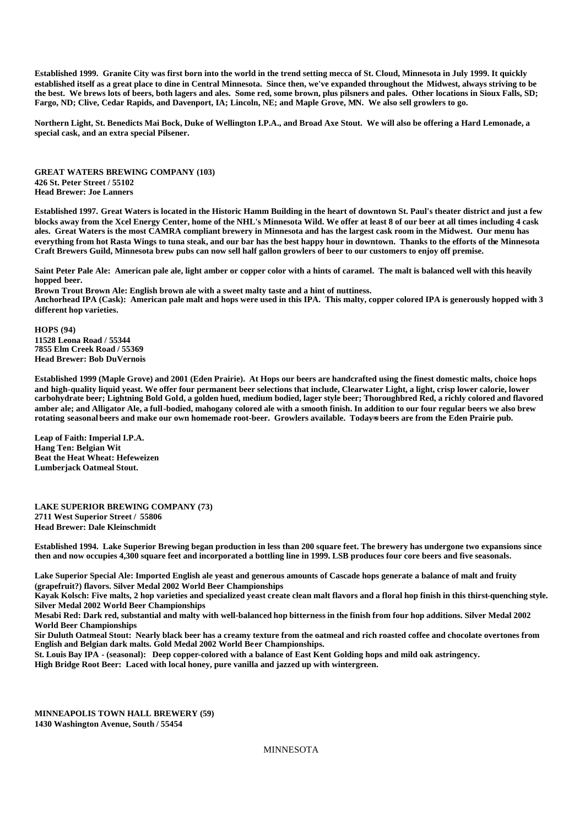**Established 1999. Granite City was first born into the world in the trend setting mecca of St. Cloud, Minnesota in July 1999. It quickly established itself as a great place to dine in Central Minnesota. Since then, we've expanded throughout the Midwest, always striving to be the best. We brews lots of beers, both lagers and ales. Some red, some brown, plus pilsners and pales. Other locations in Sioux Falls, SD; Fargo, ND; Clive, Cedar Rapids, and Davenport, IA; Lincoln, NE; and Maple Grove, MN. We also sell growlers to go.** 

**Northern Light, St. Benedicts Mai Bock, Duke of Wellington I.P.A., and Broad Axe Stout. We will also be offering a Hard Lemonade, a special cask, and an extra special Pilsener.** 

**GREAT WATERS BREWING COMPANY (103) 426 St. Peter Street / 55102 Head Brewer: Joe Lanners**

**Established 1997. Great Waters is located in the Historic Hamm Building in the heart of downtown St. Paul's theater district and just a few blocks away from the Xcel Energy Center, home of the NHL's Minnesota Wild. We offer at least 8 of our beer at all times including 4 cask ales. Great Waters is the most CAMRA compliant brewery in Minnesota and has the largest cask room in the Midwest. Our menu has everything from hot Rasta Wings to tuna steak, and our bar has the best happy hour in downtown. Thanks to the efforts of the Minnesota Craft Brewers Guild, Minnesota brew pubs can now sell half gallon growlers of beer to our customers to enjoy off premise.** 

**Saint Peter Pale Ale: American pale ale, light amber or copper color with a hints of caramel. The malt is balanced well with this heavily hopped beer.**

**Brown Trout Brown Ale: English brown ale with a sweet malty taste and a hint of nuttiness. Anchorhead IPA (Cask): American pale malt and hops were used in this IPA. This malty, copper colored IPA is generously hopped with 3 different hop varieties.**

**HOPS (94) 11528 Leona Road / 55344 7855 Elm Creek Road / 55369 Head Brewer: Bob DuVernois**

**Established 1999 (Maple Grove) and 2001 (Eden Prairie). At Hops our beers are handcrafted using the finest domestic malts, choice hops and high-quality liquid yeast. We offer four permanent beer selections that include, Clearwater Light, a light, crisp lower calorie, lower carbohydrate beer; Lightning Bold Gold, a golden hued, medium bodied, lager style beer; Thoroughbred Red, a richly colored and flavored amber ale; and Alligator Ale, a full-bodied, mahogany colored ale with a smooth finish. In addition to our four regular beers we also brew**  rotating seasonal beers and make our own homemade root-beer. Growlers available. Today<del>s</del> beers are from the Eden Prairie pub.

**Leap of Faith: Imperial I.P.A. Hang Ten: Belgian Wit Beat the Heat Wheat: Hefeweizen Lumberjack Oatmeal Stout.**

**LAKE SUPERIOR BREWING COMPANY (73) 2711 West Superior Street / 55806 Head Brewer: Dale Kleinschmidt**

**Established 1994. Lake Superior Brewing began production in less than 200 square feet. The brewery has undergone two expansions since then and now occupies 4,300 square feet and incorporated a bottling line in 1999. LSB produces four core beers and five seasonals.**

**Lake Superior Special Ale: Imported English ale yeast and generous amounts of Cascade hops generate a balance of malt and fruity (grapefruit?) flavors. Silver Medal 2002 World Beer Championships**

**Kayak Kolsch: Five malts, 2 hop varieties and specialized yeast create clean malt flavors and a floral hop finish in this thirst-quenching style. Silver Medal 2002 World Beer Championships**

**Mesabi Red: Dark red, substantial and malty with well-balanced hop bitterness in the finish from four hop additions. Silver Medal 2002 World Beer Championships**

**Sir Duluth Oatmeal Stout: Nearly black beer has a creamy texture from the oatmeal and rich roasted coffee and chocolate overtones from English and Belgian dark malts. Gold Medal 2002 World Beer Championships.**

**St. Louis Bay IPA - (seasonal): Deep copper-colored with a balance of East Kent Golding hops and mild oak astringency. High Bridge Root Beer: Laced with local honey, pure vanilla and jazzed up with wintergreen.** 

**MINNEAPOLIS TOWN HALL BREWERY (59) 1430 Washington Avenue, South / 55454**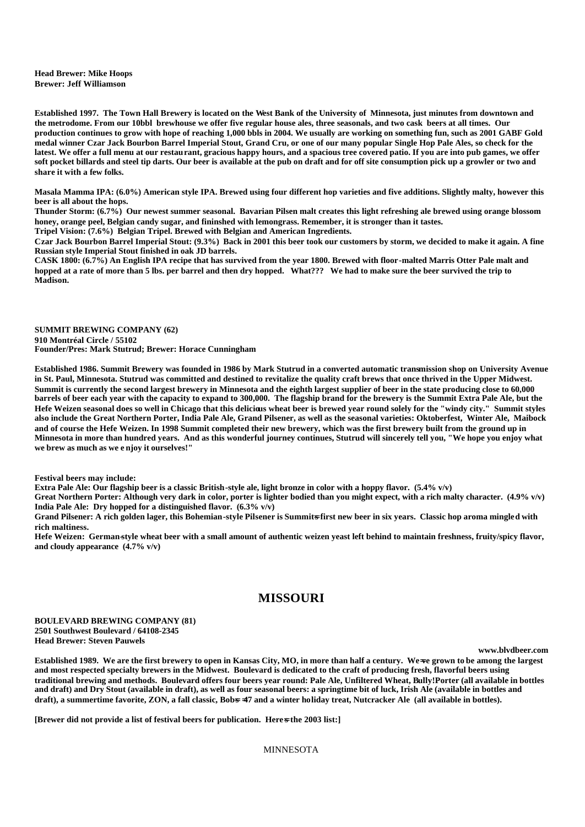**Head Brewer: Mike Hoops Brewer: Jeff Williamson**

**Established 1997. The Town Hall Brewery is located on the West Bank of the University of Minnesota, just minutes from downtown and the metrodome. From our 10bbl brewhouse we offer five regular house ales, three seasonals, and two cask beers at all times. Our production continues to grow with hope of reaching 1,000 bbls in 2004. We usually are working on something fun, such as 2001 GABF Gold medal winner Czar Jack Bourbon Barrel Imperial Stout, Grand Cru, or one of our many popular Single Hop Pale Ales, so check for the latest. We offer a full menu at our restaurant, gracious happy hours, and a spacious tree covered patio. If you are into pub games, we offer soft pocket billards and steel tip darts. Our beer is available at the pub on draft and for off site consumption pick up a growler or two and share it with a few folks.**

**Masala Mamma IPA: (6.0%) American style IPA. Brewed using four different hop varieties and five additions. Slightly malty, however this beer is all about the hops.** 

**Thunder Storm: (6.7%) Our newest summer seasonal. Bavarian Pilsen malt creates this light refreshing ale brewed using orange blossom honey, orange peel, Belgian candy sugar, and fininshed with lemongrass. Remember, it is stronger than it tastes.**

**Tripel Vision: (7.6%) Belgian Tripel. Brewed with Belgian and American Ingredients. Czar Jack Bourbon Barrel Imperial Stout: (9.3%) Back in 2001 this beer took our customers by storm, we decided to make it again. A fine** 

**Russian style Imperial Stout finished in oak JD barrels.**

**CASK 1800: (6.7%) An English IPA recipe that has survived from the year 1800. Brewed with floor-malted Marris Otter Pale malt and hopped at a rate of more than 5 lbs. per barrel and then dry hopped. What??? We had to make sure the beer survived the trip to Madison.**

**SUMMIT BREWING COMPANY (62) 910 Montréal Circle / 55102 Founder/Pres: Mark Stutrud; Brewer: Horace Cunningham**

**Established 1986. Summit Brewery was founded in 1986 by Mark Stutrud in a converted automatic transmission shop on University Avenue in St. Paul, Minnesota. Stutrud was committed and destined to revitalize the quality craft brews that once thrived in the Upper Midwest. Summit is currently the second largest brewery in Minnesota and the eighth largest supplier of beer in the state producing close to 60,000 barrels of beer each year with the capacity to expand to 300,000. The flagship brand for the brewery is the Summit Extra Pale Ale, but the Hefe Weizen seasonal does so well in Chicago that this delicious wheat beer is brewed year round solely for the "windy city." Summit styles also include the Great Northern Porter, India Pale Ale, Grand Pilsener, as well as the seasonal varieties: Oktoberfest, Winter Ale, Maibock and of course the Hefe Weizen. In 1998 Summit completed their new brewery, which was the first brewery built from the ground up in Minnesota in more than hundred years. And as this wonderful journey continues, Stutrud will sincerely tell you, "We hope you enjoy what we brew as much as we e njoy it ourselves!"**

**Festival beers may include:**

**Extra Pale Ale: Our flagship beer is a classic British-style ale, light bronze in color with a hoppy flavor. (5.4% v/v)**

**Great Northern Porter: Although very dark in color, porter is lighter bodied than you might expect, with a rich malty character. (4.9% v/v) India Pale Ale: Dry hopped for a distinguished flavor. (6.3% v/v)**

Grand Pilsener: A rich golden lager, this Bohemian-style Pilsener is Summits first new beer in six years. Classic hop aroma mingled with **rich maltiness.**

**Hefe Weizen: German-style wheat beer with a small amount of authentic weizen yeast left behind to maintain freshness, fruity/spicy flavor, and cloudy appearance (4.7% v/v)**

## **MISSOURI**

**BOULEVARD BREWING COMPANY (81) 2501 Southwest Boulevard / 64108-2345 Head Brewer: Steven Pauwels**

**www.blvdbeer.com**

Established 1989. We are the first brewery to open in Kansas City, MO, in more than half a century. We-ve grown to be among the largest **and most respected specialty brewers in the Midwest. Boulevard is dedicated to the craft of producing fresh, flavorful beers using traditional brewing and methods. Boulevard offers four beers year round: Pale Ale, Unfiltered Wheat, Bully!Porter (all available in bottles and draft) and Dry Stout (available in draft), as well as four seasonal beers: a springtime bit of luck, Irish Ale (available in bottles and**  draft), a summertime favorite, ZON, a fall classic, Bobs =47 and a winter holiday treat, Nutcracker Ale (all available in bottles).

**[Brewer did not provide a list of festival beers for publication. Here**  $\frac{1}{2}$  **the 2003 list:**]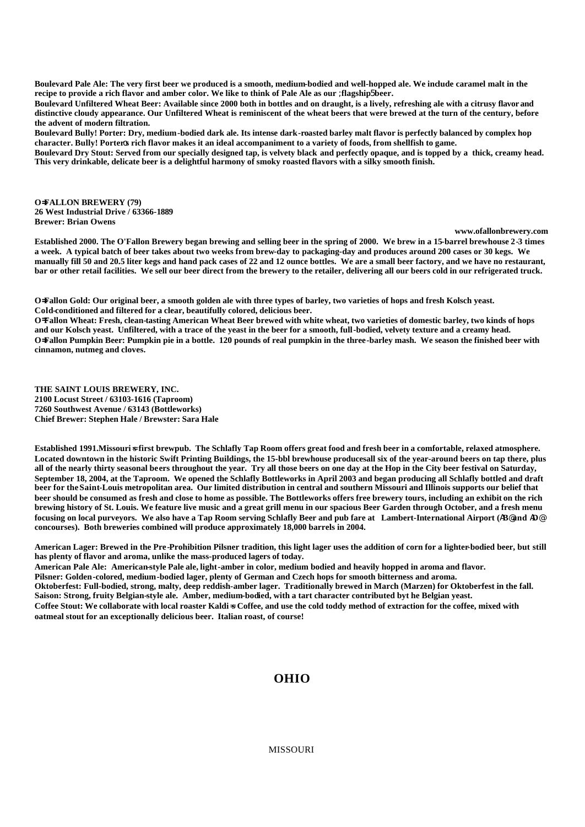**Boulevard Pale Ale: The very first beer we produced is a smooth, medium-bodied and well-hopped ale. We include caramel malt in the recipe to provide a rich flavor and amber color. We like to think of Pale Ale as our** ;**flagship**5 **beer.**

**Boulevard Unfiltered Wheat Beer: Available since 2000 both in bottles and on draught, is a lively, refreshing ale with a citrusy flavor and distinctive cloudy appearance. Our Unfiltered Wheat is reminiscent of the wheat beers that were brewed at the turn of the century, before the advent of modern filtration.**

**Boulevard Bully! Porter: Dry, medium-bodied dark ale. Its intense dark-roasted barley malt flavor is perfectly balanced by complex hop character. Bully! Porter**o**s rich flavor makes it an ideal accompaniment to a variety of foods, from shellfish to game.**

**Boulevard Dry Stout: Served from our specially designed tap, is velvety black and perfectly opaque, and is topped by a thick, creamy head. This very drinkable, delicate beer is a delightful harmony of smoky roasted flavors with a silky smooth finish.**

**O=FALLON BREWERY (79) 26 West Industrial Drive / 63366-1889 Brewer: Brian Owens**

**www.ofallonbrewery.com**

**Established 2000. The O'Fallon Brewery began brewing and selling beer in the spring of 2000. We brew in a 15-barrel brewhouse 2-3 times a week. A typical batch of beer takes about two weeks from brew-day to packaging-day and produces around 200 cases or 30 kegs. We manually fill 50 and 20.5 liter kegs and hand pack cases of 22 and 12 ounce bottles. We are a small beer factory, and we have no restaurant, bar or other retail facilities. We sell our beer direct from the brewery to the retailer, delivering all our beers cold in our refrigerated truck.**

**O=Fallon Gold: Our original beer, a smooth golden ale with three types of barley, two varieties of hops and fresh Kolsch yeast. Cold-conditioned and filtered for a clear, beautifully colored, delicious beer.**

**O=Fallon Wheat: Fresh, clean-tasting American Wheat Beer brewed with white wheat, two varieties of domestic barley, two kinds of hops and our Kolsch yeast. Unfiltered, with a trace of the yeast in the beer for a smooth, full-bodied, velvety texture and a creamy head. O=Fallon Pumpkin Beer: Pumpkin pie in a bottle. 120 pounds of real pumpkin in the three-barley mash. We season the finished beer with cinnamon, nutmeg and cloves.**

**THE SAINT LOUIS BREWERY, INC. 2100 Locust Street / 63103-1616 (Taproom) 7260 Southwest Avenue / 63143 (Bottleworks) Chief Brewer: Stephen Hale / Brewster: Sara Hale**

Established 1991. Missouri<sup>\*</sup> first brewpub. The Schlafly Tap Room offers great food and fresh beer in a comfortable, relaxed atmosphere. **Located downtown in the historic Swift Printing Buildings, the 15-bbl brewhouse producesall six of the year-around beers on tap there, plus all of the nearly thirty seasonal beers throughout the year. Try all those beers on one day at the Hop in the City beer festival on Saturday, September 18, 2004, at the Taproom. We opened the Schlafly Bottleworks in April 2003 and began producing all Schlafly bottled and draft beer for the Saint-Louis metropolitan area. Our limited distribution in central and southern Missouri and Illinois supports our belief that beer should be consumed as fresh and close to home as possible. The Bottleworks offers free brewery tours, including an exhibit on the rich brewing history of St. Louis. We feature live music and a great grill menu in our spacious Beer Garden through October, and a fresh menu focusing on local purveyors. We also have a Tap Room serving Schlafly Beer and pub fare at Lambert-International Airport (**A**B**@ **and** A**D**@ **concourses). Both breweries combined will produce approximately 18,000 barrels in 2004.**

**American Lager: Brewed in the Pre-Prohibition Pilsner tradition, this light lager uses the addition of corn for a lighter-bodied beer, but still has plenty of flavor and aroma, unlike the mass-produced lagers of today.**

**American Pale Ale: American-style Pale ale, light-amber in color, medium bodied and heavily hopped in aroma and flavor. Pilsner: Golden-colored, medium-bodied lager, plenty of German and Czech hops for smooth bitterness and aroma. Oktoberfest: Full-bodied, strong, malty, deep reddish-amber lager. Traditionally brewed in March (Marzen) for Oktoberfest in the fall. Saison: Strong, fruity Belgian-style ale. Amber, medium-bodied, with a tart character contributed byt he Belgian yeast.** Coffee Stout: We collaborate with local roaster Kaldi=s Coffee, and use the cold toddy method of extraction for the coffee, mixed with **oatmeal stout for an exceptionally delicious beer. Italian roast, of course!**

## **OHIO**

MISSOURI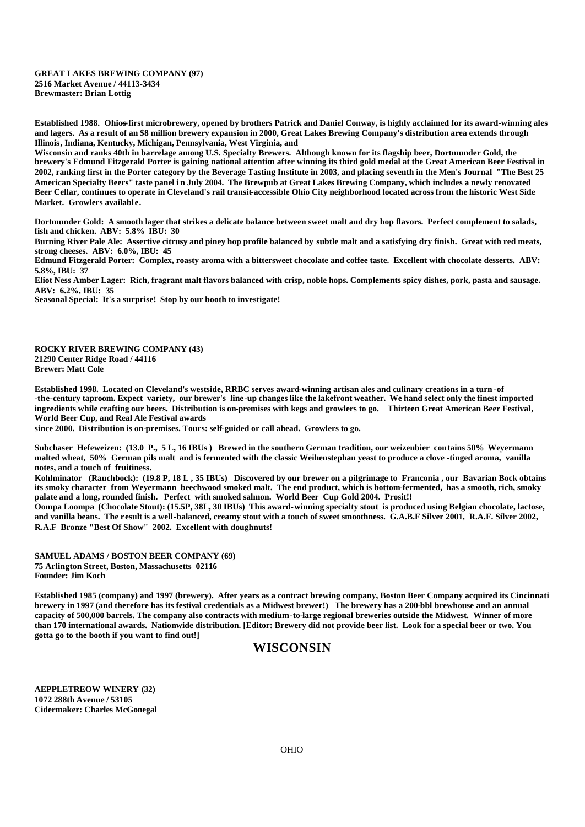#### **GREAT LAKES BREWING COMPANY (97) 2516 Market Avenue / 44113-3434 Brewmaster: Brian Lottig**

**Established 1988. Ohio**=**s first microbrewery, opened by brothers Patrick and Daniel Conway, is highly acclaimed for its award-winning ales and lagers. As a result of an \$8 million brewery expansion in 2000, Great Lakes Brewing Company's distribution area extends through Illinois, Indiana, Kentucky, Michigan, Pennsylvania, West Virginia, and** 

**Wisconsin and ranks 40th in barrelage among U.S. Specialty Brewers. Although known for its flagship beer, Dortmunder Gold, the brewery's Edmund Fitzgerald Porter is gaining national attention after winning its third gold medal at the Great American Beer Festival in 2002, ranking first in the Porter category by the Beverage Tasting Institute in 2003, and placing seventh in the Men's Journal "The Best 25 American Specialty Beers" taste panel i n July 2004. The Brewpub at Great Lakes Brewing Company, which includes a newly renovated Beer Cellar, continues to operate in Cleveland's rail transit-accessible Ohio City neighborhood located across from the historic West Side Market. Growlers available.**

**Dortmunder Gold: A smooth lager that strikes a delicate balance between sweet malt and dry hop flavors. Perfect complement to salads, fish and chicken. ABV: 5.8% IBU: 30**

**Burning River Pale Ale: Assertive citrusy and piney hop profile balanced by subtle malt and a satisfying dry finish. Great with red meats, strong cheeses. ABV: 6.0%, IBU: 45**

**Edmund Fitzgerald Porter: Complex, roasty aroma with a bittersweet chocolate and coffee taste. Excellent with chocolate desserts. ABV: 5.8%, IBU: 37**

**Eliot Ness Amber Lager: Rich, fragrant malt flavors balanced with crisp, noble hops. Complements spicy dishes, pork, pasta and sausage. ABV: 6.2%, IBU: 35**

**Seasonal Special: It's a surprise! Stop by our booth to investigate!**

**ROCKY RIVER BREWING COMPANY (43) 21290 Center Ridge Road / 44116 Brewer: Matt Cole**

**Established 1998. Located on Cleveland's westside, RRBC serves award-winning artisan ales and culinary creations in a turn -of -the-century taproom. Expect variety, our brewer's line-up changes like the lakefront weather. We hand select only the finest imported ingredients while crafting our beers. Distribution is on-premises with kegs and growlers to go. Thirteen Great American Beer Festival, World Beer Cup, and Real Ale Festival awards** 

**since 2000. Distribution is on-premises. Tours: self-guided or call ahead. Growlers to go.** 

**Subchaser Hefeweizen: (13.0 P., 5 L, 16 IBUs ) Brewed in the southern German tradition, our weizenbier contains 50% Weyermann malted wheat, 50% German pils malt and is fermented with the classic Weihenstephan yeast to produce a clove -tinged aroma, vanilla notes, and a touch of fruitiness.** 

**Kohlminator (Rauchbock): (19.8 P, 18 L , 35 IBUs) Discovered by our brewer on a pilgrimage to Franconia , our Bavarian Bock obtains its smoky character from Weyermann beechwood smoked malt. The end product, which is bottom-fermented, has a smooth, rich, smoky palate and a long, rounded finish. Perfect with smoked salmon. World Beer Cup Gold 2004. Prosit!!**

**Oompa Loompa (Chocolate Stout): (15.5P, 38L, 30 IBUs) This award-winning specialty stout is produced using Belgian chocolate, lactose, and vanilla beans. The result is a well-balanced, creamy stout with a touch of sweet smoothness. G.A.B.F Silver 2001, R.A.F. Silver 2002, R.A.F Bronze "Best Of Show" 2002. Excellent with doughnuts!**

**SAMUEL ADAMS / BOSTON BEER COMPANY (69) 75 Arlington Street, Boston, Massachusetts 02116 Founder: Jim Koch**

**Established 1985 (company) and 1997 (brewery). After years as a contract brewing company, Boston Beer Company acquired its Cincinnati brewery in 1997 (and therefore has its festival credentials as a Midwest brewer!) The brewery has a 200-bbl brewhouse and an annual capacity of 500,000 barrels. The company also contracts with medium-to-large regional breweries outside the Midwest. Winner of more than 170 international awards. Nationwide distribution. [Editor: Brewery did not provide beer list. Look for a special beer or two. You gotta go to the booth if you want to find out!]**

#### **WISCONSIN**

**AEPPLETREOW WINERY (32) 1072 288th Avenue / 53105 Cidermaker: Charles McGonegal**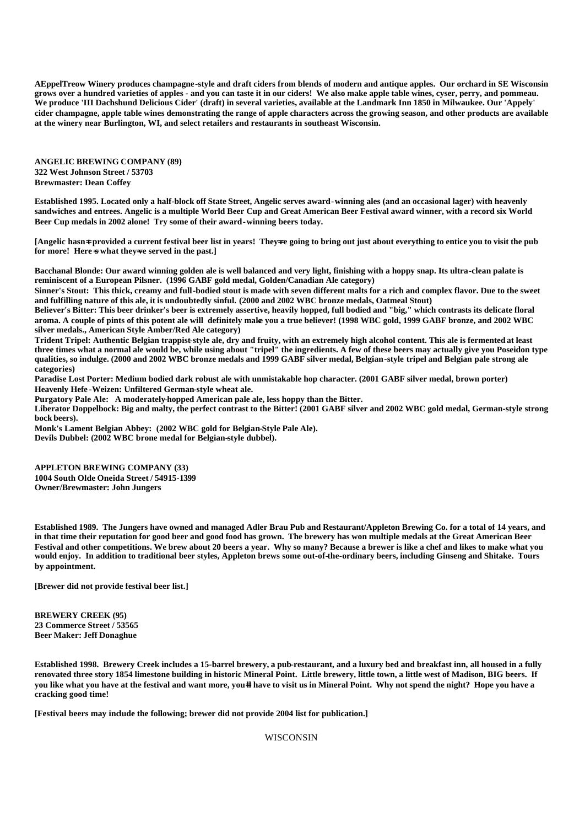**AEppelTreow Winery produces champagne-style and draft ciders from blends of modern and antique apples. Our orchard in SE Wisconsin grows over a hundred varieties of apples - and you can taste it in our ciders! We also make apple table wines, cyser, perry, and pommeau. We produce 'III Dachshund Delicious Cider' (draft) in several varieties, available at the Landmark Inn 1850 in Milwaukee. Our 'Appely' cider champagne, apple table wines demonstrating the range of apple characters across the growing season, and other products are available at the winery near Burlington, WI, and select retailers and restaurants in southeast Wisconsin.** 

**ANGELIC BREWING COMPANY (89) 322 West Johnson Street / 53703 Brewmaster: Dean Coffey**

**Established 1995. Located only a half-block off State Street, Angelic serves award-winning ales (and an occasional lager) with heavenly sandwiches and entrees. Angelic is a multiple World Beer Cup and Great American Beer Festival award winner, with a record six World Beer Cup medals in 2002 alone! Try some of their award-winning beers today.**

[Angelic hasn<sup>→</sup> provided a current festival beer list in years! They→re going to bring out just about everything to entice you to visit the pub **for more! Here**=**s what they**=**ve served in the past.]**

**Bacchanal Blonde: Our award winning golden ale is well balanced and very light, finishing with a hoppy snap. Its ultra-clean palate is reminiscent of a European Pilsner. (1996 GABF gold medal, Golden/Canadian Ale category)**

**Sinner's Stout: This thick, creamy and full-bodied stout is made with seven different malts for a rich and complex flavor. Due to the sweet and fulfilling nature of this ale, it is undoubtedly sinful. (2000 and 2002 WBC bronze medals, Oatmeal Stout)**

**Believer's Bitter: This beer drinker's beer is extremely assertive, heavily hopped, full bodied and "big," which contrasts its delicate floral aroma. A couple of pints of this potent ale will definitely make you a true believer! (1998 WBC gold, 1999 GABF bronze, and 2002 WBC silver medals., American Style Amber/Red Ale category)**

**Trident Tripel: Authentic Belgian trappist-style ale, dry and fruity, with an extremely high alcohol content. This ale is fermented at least three times what a normal ale would be, while using about "tripel" the ingredients. A few of these beers may actually give you Poseidon type qualities, so indulge. (2000 and 2002 WBC bronze medals and 1999 GABF silver medal, Belgian-style tripel and Belgian pale strong ale categories)**

**Paradise Lost Porter: Medium bodied dark robust ale with unmistakable hop character. (2001 GABF silver medal, brown porter) Heavenly Hefe -Weizen: Unfiltered German-style wheat ale.**

**Purgatory Pale Ale: A moderately-hopped American pale ale, less hoppy than the Bitter.**

**Liberator Doppelbock: Big and malty, the perfect contrast to the Bitter! (2001 GABF silver and 2002 WBC gold medal, German-style strong bock beers).**

**Monk's Lament Belgian Abbey: (2002 WBC gold for Belgian-Style Pale Ale). Devils Dubbel: (2002 WBC brone medal for Belgian-style dubbel).**

**APPLETON BREWING COMPANY (33) 1004 South Olde Oneida Street / 54915-1399 Owner/Brewmaster: John Jungers**

**Established 1989. The Jungers have owned and managed Adler Brau Pub and Restaurant/Appleton Brewing Co. for a total of 14 years, and in that time their reputation for good beer and good food has grown. The brewery has won multiple medals at the Great American Beer Festival and other competitions. We brew about 20 beers a year. Why so many? Because a brewer is like a chef and likes to make what you would enjoy. In addition to traditional beer styles, Appleton brews some out-of-the-ordinary beers, including Ginseng and Shitake. Tours by appointment.**

**[Brewer did not provide festival beer list.]**

**BREWERY CREEK (95) 23 Commerce Street / 53565 Beer Maker: Jeff Donaghue**

**Established 1998. Brewery Creek includes a 15-barrel brewery, a pub-restaurant, and a luxury bed and breakfast inn, all housed in a fully renovated three story 1854 limestone building in historic Mineral Point. Little brewery, little town, a little west of Madison, BIG beers. If you like what you have at the festival and want more, you-ll have to visit us in Mineral Point. Why not spend the night? Hope you have a cracking good time!**

**[Festival beers may include the following; brewer did not provide 2004 list for publication.]**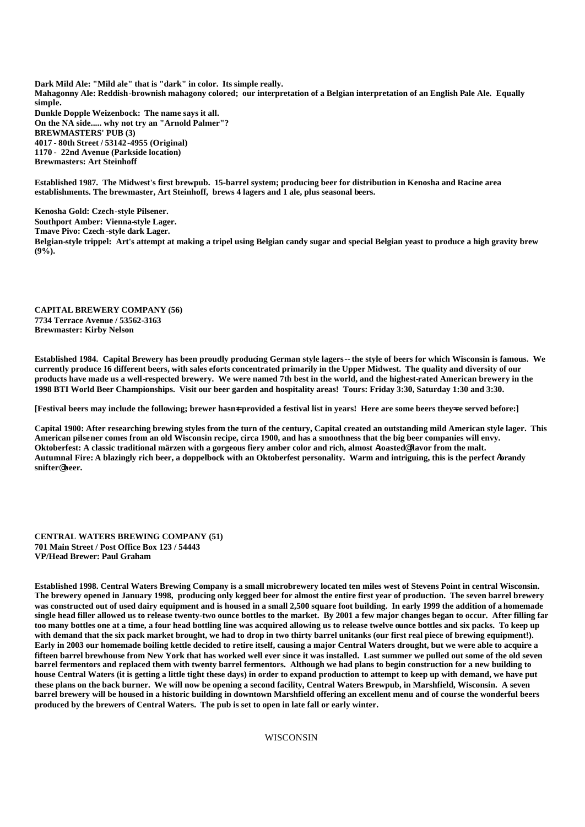**Dark Mild Ale: "Mild ale" that is "dark" in color. Its simple really. Mahagonny Ale: Reddish-brownish mahagony colored; our interpretation of a Belgian interpretation of an English Pale Ale. Equally simple. Dunkle Dopple Weizenbock: The name says it all. On the NA side..... why not try an "Arnold Palmer"? BREWMASTERS' PUB (3) 4017 - 80th Street / 53142-4955 (Original) 1170 - 22nd Avenue (Parkside location) Brewmasters: Art Steinhoff**

**Established 1987. The Midwest's first brewpub. 15-barrel system; producing beer for distribution in Kenosha and Racine area establishments. The brewmaster, Art Steinhoff, brews 4 lagers and 1 ale, plus seasonal beers.** 

**Kenosha Gold: Czech-style Pilsener. Southport Amber: Vienna-style Lager. Tmave Pivo: Czech -style dark Lager. Belgian-style trippel: Art's attempt at making a tripel using Belgian candy sugar and special Belgian yeast to produce a high gravity brew (9%).**

**CAPITAL BREWERY COMPANY (56) 7734 Terrace Avenue / 53562-3163 Brewmaster: Kirby Nelson**

**Established 1984. Capital Brewery has been proudly producing German style lagers-- the style of beers for which Wisconsin is famous. We currently produce 16 different beers, with sales eforts concentrated primarily in the Upper Midwest. The quality and diversity of our products have made us a well-respected brewery. We were named 7th best in the world, and the highest-rated American brewery in the 1998 BTI World Beer Championships. Visit our beer garden and hospitality areas! Tours: Friday 3:30, Saturday 1:30 and 3:30.** 

**[Festival beers may include the following; brewer hasn<sup>‡</sup> provided a festival list in years! Here are some beers they=ve served before:**]

**Capital 1900: After researching brewing styles from the turn of the century, Capital created an outstanding mild American style lager. This American pilsener comes from an old Wisconsin recipe, circa 1900, and has a smoothness that the big beer companies will envy. Oktoberfest: A classic traditional märzen with a gorgeous fiery amber color and rich, almost** A**toasted**@ **flavor from the malt. Autumnal Fire: A blazingly rich beer, a doppelbock with an Oktoberfest personality. Warm and intriguing, this is the perfect** A**brandy snifter**@ **beer.**

**CENTRAL WATERS BREWING COMPANY (51) 701 Main Street / Post Office Box 123 / 54443 VP/Head Brewer: Paul Graham**

**Established 1998. Central Waters Brewing Company is a small microbrewery located ten miles west of Stevens Point in central Wisconsin. The brewery opened in January 1998, producing only kegged beer for almost the entire first year of production. The seven barrel brewery was constructed out of used dairy equipment and is housed in a small 2,500 square foot building. In early 1999 the addition of a homemade single head filler allowed us to release twenty-two ounce bottles to the market. By 2001 a few major changes began to occur. After filling far too many bottles one at a time, a four head bottling line was acquired allowing us to release twelve ounce bottles and six packs. To keep up with demand that the six pack market brought, we had to drop in two thirty barrel unitanks (our first real piece of brewing equipment!). Early in 2003 our homemade boiling kettle decided to retire itself, causing a major Central Waters drought, but we were able to acquire a fifteen barrel brewhouse from New York that has worked well ever since it was installed. Last summer we pulled out some of the old seven barrel fermentors and replaced them with twenty barrel fermentors. Although we had plans to begin construction for a new building to house Central Waters (it is getting a little tight these days) in order to expand production to attempt to keep up with demand, we have put these plans on the back burner. We will now be opening a second facility, Central Waters Brewpub, in Marshfield, Wisconsin. A seven barrel brewery will be housed in a historic building in downtown Marshfield offering an excellent menu and of course the wonderful beers produced by the brewers of Central Waters. The pub is set to open in late fall or early winter.**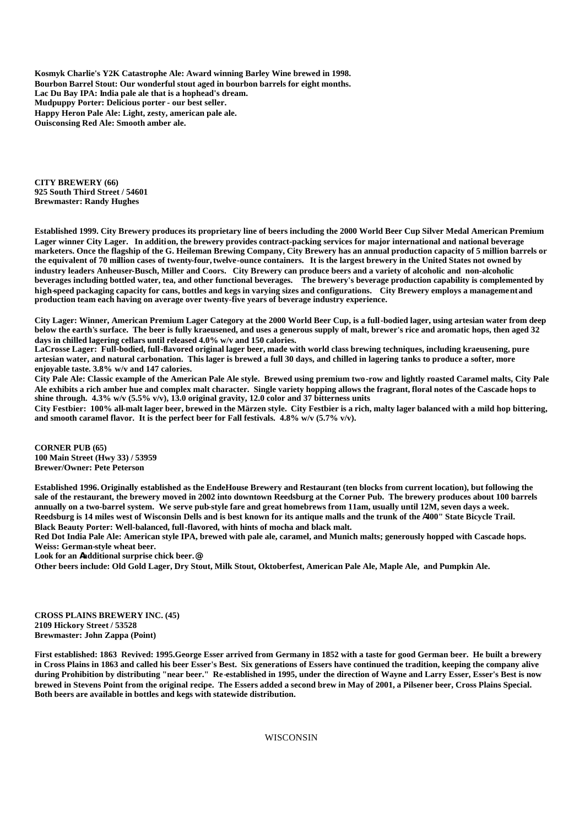**Kosmyk Charlie's Y2K Catastrophe Ale: Award winning Barley Wine brewed in 1998. Bourbon Barrel Stout: Our wonderful stout aged in bourbon barrels for eight months. Lac Du Bay IPA: India pale ale that is a hophead's dream. Mudpuppy Porter: Delicious porter - our best seller. Happy Heron Pale Ale: Light, zesty, american pale ale. Ouisconsing Red Ale: Smooth amber ale.**

**CITY BREWERY (66) 925 South Third Street / 54601 Brewmaster: Randy Hughes**

**Established 1999. City Brewery produces its proprietary line of beers including the 2000 World Beer Cup Silver Medal American Premium Lager winner City Lager. In addition, the brewery provides contract-packing services for major international and national beverage marketers. Once the flagship of the G. Heileman Brewing Company, City Brewery has an annual production capacity of 5 million barrels or the equivalent of 70 million cases of twenty-four, twelve-ounce containers. It is the largest brewery in the United States not owned by industry leaders Anheuser-Busch, Miller and Coors. City Brewery can produce beers and a variety of alcoholic and non-alcoholic beverages including bottled water, tea, and other functional beverages. The brewery's beverage production capability is complemented by high-speed packaging capacity for cans, bottles and kegs in varying sizes and configurations. City Brewery employs a management and production team each having on average over twenty-five years of beverage industry experience.** 

**City Lager: Winner, American Premium Lager Category at the 2000 World Beer Cup, is a full-bodied lager, using artesian water from deep below the earth's surface. The beer is fully kraeusened, and uses a generous supply of malt, brewer's rice and aromatic hops, then aged 32 days in chilled lagering cellars until released 4.0% w/v and 150 calories.**

**LaCrosse Lager: Full-bodied, full-flavored original lager beer, made with world class brewing techniques, including kraeusening, pure artesian water, and natural carbonation. This lager is brewed a full 30 days, and chilled in lagering tanks to produce a softer, more enjoyable taste. 3.8% w/v and 147 calories.**

**City Pale Ale: Classic example of the American Pale Ale style. Brewed using premium two-row and lightly roasted Caramel malts, City Pale Ale exhibits a rich amber hue and complex malt character. Single variety hopping allows the fragrant, floral notes of the Cascade hops to shine through. 4.3% w/v (5.5% v/v), 13.0 original gravity, 12.0 color and 37 bitterness units**

**City Festbier: 100% all-malt lager beer, brewed in the Märzen style. City Festbier is a rich, malty lager balanced with a mild hop bittering, and smooth caramel flavor. It is the perfect beer for Fall festivals. 4.8% w/v (5.7% v/v).**

**CORNER PUB (65) 100 Main Street (Hwy 33) / 53959 Brewer/Owner: Pete Peterson**

**Established 1996. Originally established as the EndeHouse Brewery and Restaurant (ten blocks from current location), but following the sale of the restaurant, the brewery moved in 2002 into downtown Reedsburg at the Corner Pub. The brewery produces about 100 barrels annually on a two-barrel system. We serve pub-style fare and great homebrews from 11am, usually until 12M, seven days a week. Reedsburg is 14 miles west of Wisconsin Dells and is best known for its antique malls and the trunk of the** A**400" State Bicycle Trail. Black Beauty Porter: Well-balanced, full-flavored, with hints of mocha and black malt.**

**Red Dot India Pale Ale: American style IPA, brewed with pale ale, caramel, and Munich malts; generously hopped with Cascade hops. Weiss: German-style wheat beer.**

**Look for an Aadditional surprise chick beer.@**

**Other beers include: Old Gold Lager, Dry Stout, Milk Stout, Oktoberfest, American Pale Ale, Maple Ale, and Pumpkin Ale.**

**CROSS PLAINS BREWERY INC. (45) 2109 Hickory Street / 53528 Brewmaster: John Zappa (Point)**

**First established: 1863 Revived: 1995.George Esser arrived from Germany in 1852 with a taste for good German beer. He built a brewery in Cross Plains in 1863 and called his beer Esser's Best. Six generations of Essers have continued the tradition, keeping the company alive during Prohibition by distributing "near beer." Re-established in 1995, under the direction of Wayne and Larry Esser, Esser's Best is now brewed in Stevens Point from the original recipe. The Essers added a second brew in May of 2001, a Pilsener beer, Cross Plains Special. Both beers are available in bottles and kegs with statewide distribution.**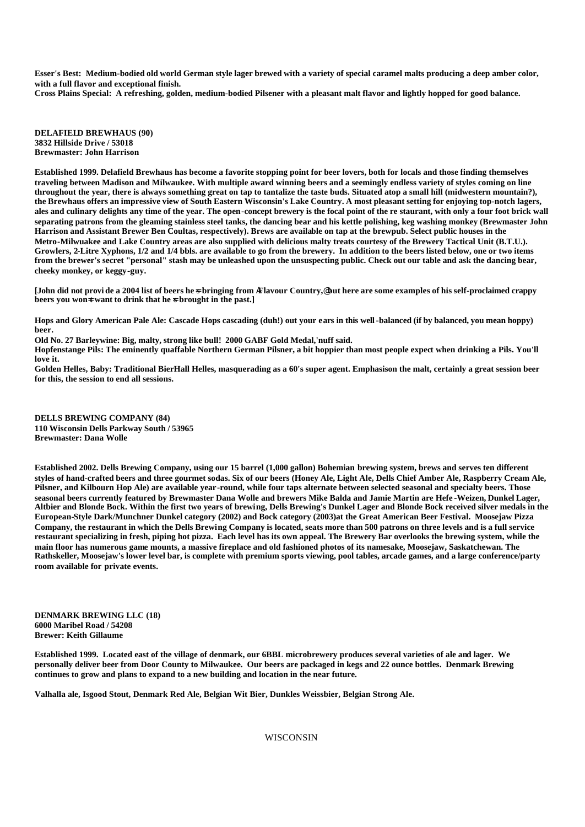**Esser's Best: Medium-bodied old world German style lager brewed with a variety of special caramel malts producing a deep amber color, with a full flavor and exceptional finish.**

**Cross Plains Special: A refreshing, golden, medium-bodied Pilsener with a pleasant malt flavor and lightly hopped for good balance.**

**DELAFIELD BREWHAUS (90) 3832 Hillside Drive / 53018 Brewmaster: John Harrison**

**Established 1999. Delafield Brewhaus has become a favorite stopping point for beer lovers, both for locals and those finding themselves traveling between Madison and Milwaukee. With multiple award winning beers and a seemingly endless variety of styles coming on line throughout the year, there is always something great on tap to tantalize the taste buds. Situated atop a small hill (midwestern mountain?), the Brewhaus offers an impressive view of South Eastern Wisconsin's Lake Country. A most pleasant setting for enjoying top-notch lagers, ales and culinary delights any time of the year. The open-concept brewery is the focal point of the re staurant, with only a four foot brick wall separating patrons from the gleaming stainless steel tanks, the dancing bear and his kettle polishing, keg washing monkey (Brewmaster John Harrison and Assistant Brewer Ben Coultas, respectively). Brews are available on tap at the brewpub. Select public houses in the Metro-Milwuakee and Lake Country areas are also supplied with delicious malty treats courtesy of the Brewery Tactical Unit (B.T.U.). Growlers, 2-Litre Xyphons, 1/2 and 1/4 bbls. are available to go from the brewery. In addition to the beers listed below, one or two items from the brewer's secret "personal" stash may be unleashed upon the unsuspecting public. Check out our table and ask the dancing bear, cheeky monkey, or keggy-guy.**

**[John did not provi de a 2004 list of beers he**=**s bringing from** A**Flavour Country,**@ **but here are some examples of his self-proclaimed crappy**  beers you won<sup> $=$ </sup> want to drink that he  $\in$  brought in the past.]

**Hops and Glory American Pale Ale: Cascade Hops cascading (duh!) out your ears in this well-balanced (if by balanced, you mean hoppy) beer.**

**Old No. 27 Barleywine: Big, malty, strong like bull! 2000 GABF Gold Medal,'nuff said. Hopfenstange Pils: The eminently quaffable Northern German Pilsner, a bit hoppier than most people expect when drinking a Pils. You'll love it.**

**Golden Helles, Baby: Traditional BierHall Helles, masquerading as a 60's super agent. Emphasison the malt, certainly a great session beer for this, the session to end all sessions.**

**DELLS BREWING COMPANY (84) 110 Wisconsin Dells Parkway South / 53965 Brewmaster: Dana Wolle**

**Established 2002. Dells Brewing Company, using our 15 barrel (1,000 gallon) Bohemian brewing system, brews and serves ten different styles of hand-crafted beers and three gourmet sodas. Six of our beers (Honey Ale, Light Ale, Dells Chief Amber Ale, Raspberry Cream Ale, Pilsner, and Kilbourn Hop Ale) are available year-round, while four taps alternate between selected seasonal and specialty beers. Those seasonal beers currently featured by Brewmaster Dana Wolle and brewers Mike Balda and Jamie Martin are Hefe -Weizen, Dunkel Lager, Altbier and Blonde Bock. Within the first two years of brewing, Dells Brewing's Dunkel Lager and Blonde Bock received silver medals in the European-Style Dark/Munchner Dunkel category (2002) and Bock category (2003)at the Great American Beer Festival. Moosejaw Pizza Company, the restaurant in which the Dells Brewing Company is located, seats more than 500 patrons on three levels and is a full service restaurant specializing in fresh, piping hot pizza. Each level has its own appeal. The Brewery Bar overlooks the brewing system, while the main floor has numerous game mounts, a massive fireplace and old fashioned photos of its namesake, Moosejaw, Saskatchewan. The Rathskeller, Moosejaw's lower level bar, is complete with premium sports viewing, pool tables, arcade games, and a large conference/party room available for private events.**

**DENMARK BREWING LLC (18) 6000 Maribel Road / 54208 Brewer: Keith Gillaume**

**Established 1999. Located east of the village of denmark, our 6BBL microbrewery produces several varieties of ale and lager. We personally deliver beer from Door County to Milwaukee. Our beers are packaged in kegs and 22 ounce bottles. Denmark Brewing continues to grow and plans to expand to a new building and location in the near future.** 

**Valhalla ale, Isgood Stout, Denmark Red Ale, Belgian Wit Bier, Dunkles Weissbier, Belgian Strong Ale.**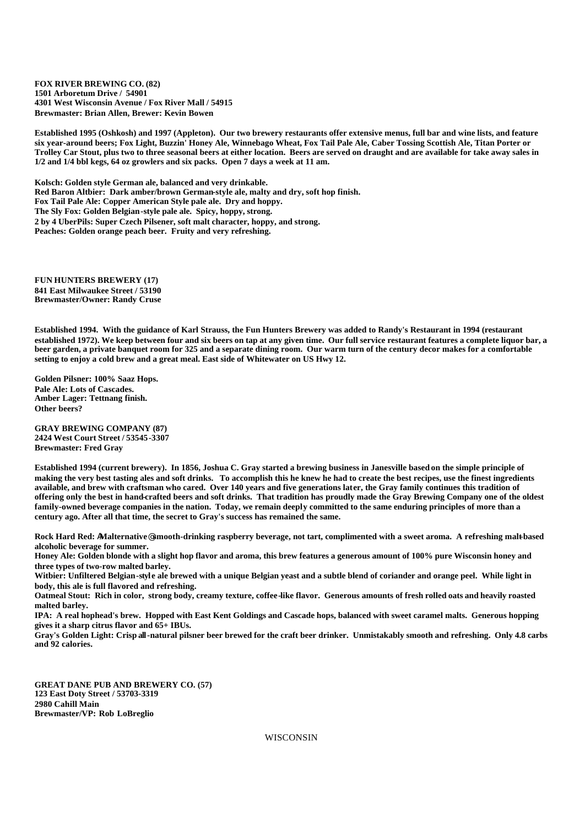**FOX RIVER BREWING CO. (82) 1501 Arboretum Drive / 54901 4301 West Wisconsin Avenue / Fox River Mall / 54915 Brewmaster: Brian Allen, Brewer: Kevin Bowen**

**Established 1995 (Oshkosh) and 1997 (Appleton). Our two brewery restaurants offer extensive menus, full bar and wine lists, and feature six year-around beers; Fox Light, Buzzin' Honey Ale, Winnebago Wheat, Fox Tail Pale Ale, Caber Tossing Scottish Ale, Titan Porter or Trolley Car Stout, plus two to three seasonal beers at either location. Beers are served on draught and are available for take away sales in 1/2 and 1/4 bbl kegs, 64 oz growlers and six packs. Open 7 days a week at 11 am.**

**Kolsch: Golden style German ale, balanced and very drinkable. Red Baron Altbier: Dark amber/brown German-style ale, malty and dry, soft hop finish. Fox Tail Pale Ale: Copper American Style pale ale. Dry and hoppy. The Sly Fox: Golden Belgian-style pale ale. Spicy, hoppy, strong. 2 by 4 UberPils: Super Czech Pilsener, soft malt character, hoppy, and strong. Peaches: Golden orange peach beer. Fruity and very refreshing.**

**FUN HUNTERS BREWERY (17) 841 East Milwaukee Street / 53190 Brewmaster/Owner: Randy Cruse**

**Established 1994. With the guidance of Karl Strauss, the Fun Hunters Brewery was added to Randy's Restaurant in 1994 (restaurant established 1972). We keep between four and six beers on tap at any given time. Our full service restaurant features a complete liquor bar, a beer garden, a private banquet room for 325 and a separate dining room. Our warm turn of the century decor makes for a comfortable setting to enjoy a cold brew and a great meal. East side of Whitewater on US Hwy 12.**

**Golden Pilsner: 100% Saaz Hops. Pale Ale: Lots of Cascades. Amber Lager: Tettnang finish. Other beers?**

**GRAY BREWING COMPANY (87) 2424 West Court Street / 53545-3307 Brewmaster: Fred Gray**

**Established 1994 (current brewery). In 1856, Joshua C. Gray started a brewing business in Janesville based on the simple principle of making the very best tasting ales and soft drinks. To accomplish this he knew he had to create the best recipes, use the finest ingredients available, and brew with craftsman who cared. Over 140 years and five generations later, the Gray family continues this tradition of offering only the best in hand-crafted beers and soft drinks. That tradition has proudly made the Gray Brewing Company one of the oldest family-owned beverage companies in the nation. Today, we remain deeply committed to the same enduring principles of more than a century ago. After all that time, the secret to Gray's success has remained the same.**

**Rock Hard Red:** A**Malternative**@ **smooth-drinking raspberry beverage, not tart, complimented with a sweet aroma. A refreshing malt-based alcoholic beverage for summer.**

**Honey Ale: Golden blonde with a slight hop flavor and aroma, this brew features a generous amount of 100% pure Wisconsin honey and three types of two-row malted barley.**

**Witbier: Unfiltered Belgian-styl e ale brewed with a unique Belgian yeast and a subtle blend of coriander and orange peel. While light in body, this ale is full flavored and refreshing.**

**Oatmeal Stout: Rich in color, strong body, creamy texture, coffee-like flavor. Generous amounts of fresh rolled oats and heavily roasted malted barley.**

**IPA: A real hophead's brew. Hopped with East Kent Goldings and Cascade hops, balanced with sweet caramel malts. Generous hopping gives it a sharp citrus flavor and 65+ IBUs.**

**Gray's Golden Light: Crisp all-natural pilsner beer brewed for the craft beer drinker. Unmistakably smooth and refreshing. Only 4.8 carbs and 92 calories.**

**GREAT DANE PUB AND BREWERY CO. (57) 123 East Doty Street / 53703-3319 2980 Cahill Main Brewmaster/VP: Rob LoBreglio**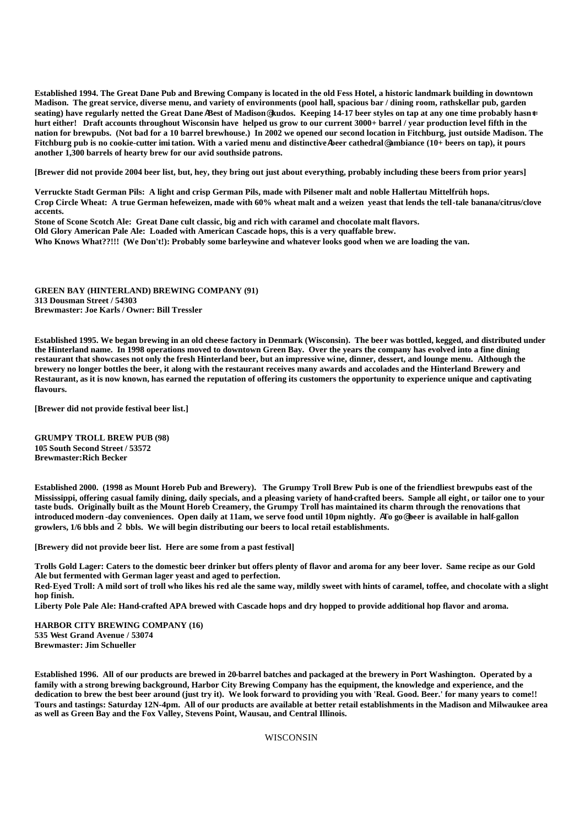**Established 1994. The Great Dane Pub and Brewing Company is located in the old Fess Hotel, a historic landmark building in downtown Madison. The great service, diverse menu, and variety of environments (pool hall, spacious bar / dining room, rathskellar pub, garden seating) have regularly netted the Great Dane** A**Best of Madison**@ **kudos. Keeping 14-17 beer styles on tap at any one time probably hasn**=**t hurt either! Draft accounts throughout Wisconsin have helped us grow to our current 3000+ barrel / year production level fifth in the nation for brewpubs. (Not bad for a 10 barrel brewhouse.) In 2002 we opened our second location in Fitchburg, just outside Madison. The**  Fitchburg pub is no cookie-cutter imitation. With a varied menu and distinctive Abeer cathedral@ambiance (10+ beers on tap), it pours **another 1,300 barrels of hearty brew for our avid southside patrons.**

**[Brewer did not provide 2004 beer list, but, hey, they bring out just about everything, probably including these beers from prior years]**

**Verruckte Stadt German Pils: A light and crisp German Pils, made with Pilsener malt and noble Hallertau Mittelfrüh hops. Crop Circle Wheat: A true German hefeweizen, made with 60% wheat malt and a weizen yeast that lends the tell-tale banana/citrus/clove accents.**

**Stone of Scone Scotch Ale: Great Dane cult classic, big and rich with caramel and chocolate malt flavors. Old Glory American Pale Ale: Loaded with American Cascade hops, this is a very quaffable brew. Who Knows What??!!! (We Don't!): Probably some barleywine and whatever looks good when we are loading the van.**

**GREEN BAY (HINTERLAND) BREWING COMPANY (91) 313 Dousman Street / 54303 Brewmaster: Joe Karls / Owner: Bill Tressler**

**Established 1995. We began brewing in an old cheese factory in Denmark (Wisconsin). The beer was bottled, kegged, and distributed under the Hinterland name. In 1998 operations moved to downtown Green Bay. Over the years the company has evolved into a fine dining restaurant that showcases not only the fresh Hinterland beer, but an impressive wine, dinner, dessert, and lounge menu. Although the brewery no longer bottles the beer, it along with the restaurant receives many awards and accolades and the Hinterland Brewery and Restaurant, as it is now known, has earned the reputation of offering its customers the opportunity to experience unique and captivating flavours.** 

**[Brewer did not provide festival beer list.]**

**GRUMPY TROLL BREW PUB (98) 105 South Second Street / 53572 Brewmaster:Rich Becker**

**Established 2000. (1998 as Mount Horeb Pub and Brewery). The Grumpy Troll Brew Pub is one of the friendliest brewpubs east of the Mississippi, offering casual family dining, daily specials, and a pleasing variety of hand-crafted beers. Sample all eight, or tailor one to your taste buds. Originally built as the Mount Horeb Creamery, the Grumpy Troll has maintained its charm through the renovations that introduced modern -day conveniences. Open daily at 11am, we serve food until 10pm nightly.** A**To go**@ **beer is available in half-gallon growlers, 1/6 bbls and** 2 **bbls. We will begin distributing our beers to local retail establishments.**

**[Brewery did not provide beer list. Here are some from a past festival]**

**Trolls Gold Lager: Caters to the domestic beer drinker but offers plenty of flavor and aroma for any beer lover. Same recipe as our Gold Ale but fermented with German lager yeast and aged to perfection.**

**Red-Eyed Troll: A mild sort of troll who likes his red ale the same way, mildly sweet with hints of caramel, toffee, and chocolate with a slight hop finish.**

**Liberty Pole Pale Ale: Hand-crafted APA brewed with Cascade hops and dry hopped to provide additional hop flavor and aroma.**

**HARBOR CITY BREWING COMPANY (16) 535 West Grand Avenue / 53074 Brewmaster: Jim Schueller**

**Established 1996. All of our products are brewed in 20-barrel batches and packaged at the brewery in Port Washington. Operated by a family with a strong brewing background, Harbor City Brewing Company has the equipment, the knowledge and experience, and the dedication to brew the best beer around (just try it). We look forward to providing you with 'Real. Good. Beer.' for many years to come!! Tours and tastings: Saturday 12N-4pm. All of our products are available at better retail establishments in the Madison and Milwaukee area as well as Green Bay and the Fox Valley, Stevens Point, Wausau, and Central Illinois.**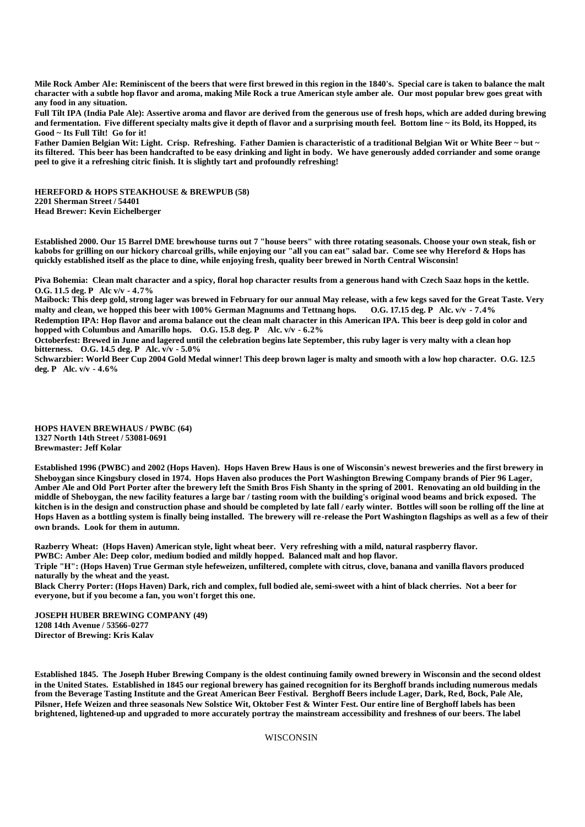**Mile Rock Amber Ale: Reminiscent of the beers that were first brewed in this region in the 1840's. Special care is taken to balance the malt character with a subtle hop flavor and aroma, making Mile Rock a true American style amber ale. Our most popular brew goes great with any food in any situation.**

**Full Tilt IPA (India Pale Ale): Assertive aroma and flavor are derived from the generous use of fresh hops, which are added during brewing and fermentation. Five different specialty malts give it depth of flavor and a surprising mouth feel. Bottom line ~ its Bold, its Hopped, its Good ~ Its Full Tilt! Go for it!**

**Father Damien Belgian Wit: Light. Crisp. Refreshing. Father Damien is characteristic of a traditional Belgian Wit or White Beer ~ but ~ its filtered. This beer has been handcrafted to be easy drinking and light in body. We have generously added corriander and some orange peel to give it a refreshing citric finish. It is slightly tart and profoundly refreshing!**

**HEREFORD & HOPS STEAKHOUSE & BREWPUB (58) 2201 Sherman Street / 54401 Head Brewer: Kevin Eichelberger**

**Established 2000. Our 15 Barrel DME brewhouse turns out 7 "house beers" with three rotating seasonals. Choose your own steak, fish or kabobs for grilling on our hickory charcoal grills, while enjoying our "all you can eat" salad bar. Come see why Hereford & Hops has quickly established itself as the place to dine, while enjoying fresh, quality beer brewed in North Central Wisconsin!**

**Piva Bohemia: Clean malt character and a spicy, floral hop character results from a generous hand with Czech Saaz hops in the kettle. O.G. 11.5 deg. P Alc v/v - 4.7%**

**Maibock: This deep gold, strong lager was brewed in February for our annual May release, with a few kegs saved for the Great Taste. Very**  malty and clean, we hopped this beer with 100% German Magnums and Tettnang hops. **Redemption IPA: Hop flavor and aroma balance out the clean malt character in this American IPA. This beer is deep gold in color and hopped with Columbus and Amarillo hops. O.G. 15.8 deg. P Alc. v/v - 6.2%**

**Octoberfest: Brewed in June and lagered until the celebration begins late September, this ruby lager is very malty with a clean hop bitterness. O.G. 14.5 deg. P Alc. v/v - 5.0%**

**Schwarzbier: World Beer Cup 2004 Gold Medal winner! This deep brown lager is malty and smooth with a low hop character. O.G. 12.5 deg. P Alc. v/v - 4.6%**

**HOPS HAVEN BREWHAUS / PWBC (64) 1327 North 14th Street / 53081-0691 Brewmaster: Jeff Kolar** 

**Established 1996 (PWBC) and 2002 (Hops Haven). Hops Haven Brew Haus is one of Wisconsin's newest breweries and the first brewery in Sheboygan since Kingsbury closed in 1974. Hops Haven also produces the Port Washington Brewing Company brands of Pier 96 Lager, Amber Ale and Old Port Porter after the brewery left the Smith Bros Fish Shanty in the spring of 2001. Renovating an old building in the middle of Sheboygan, the new facility features a large bar / tasting room with the building's original wood beams and brick exposed. The kitchen is in the design and construction phase and should be completed by late fall / early winter. Bottles will soon be rolling off the line at Hops Haven as a bottling system is finally being installed. The brewery will re-release the Port Washington flagships as well as a few of their own brands. Look for them in autumn.**

**Razberry Wheat: (Hops Haven) American style, light wheat beer. Very refreshing with a mild, natural raspberry flavor.**

**PWBC: Amber Ale: Deep color, medium bodied and mildly hopped. Balanced malt and hop flavor.**

**Triple "H": (Hops Haven) True German style hefeweizen, unfiltered, complete with citrus, clove, banana and vanilla flavors produced naturally by the wheat and the yeast.**

**Black Cherry Porter: (Hops Haven) Dark, rich and complex, full bodied ale, semi-sweet with a hint of black cherries. Not a beer for everyone, but if you become a fan, you won't forget this one.**

**JOSEPH HUBER BREWING COMPANY (49) 1208 14th Avenue / 53566-0277 Director of Brewing: Kris Kalav**

**Established 1845. The Joseph Huber Brewing Company is the oldest continuing family owned brewery in Wisconsin and the second oldest in the United States. Established in 1845 our regional brewery has gained recognition for its Berghoff brands including numerous medals from the Beverage Tasting Institute and the Great American Beer Festival. Berghoff Beers include Lager, Dark, Red, Bock, Pale Ale, Pilsner, Hefe Weizen and three seasonals New Solstice Wit, Oktober Fest & Winter Fest. Our entire line of Berghoff labels has been brightened, lightened-up and upgraded to more accurately portray the mainstream accessibility and freshness of our beers. The label**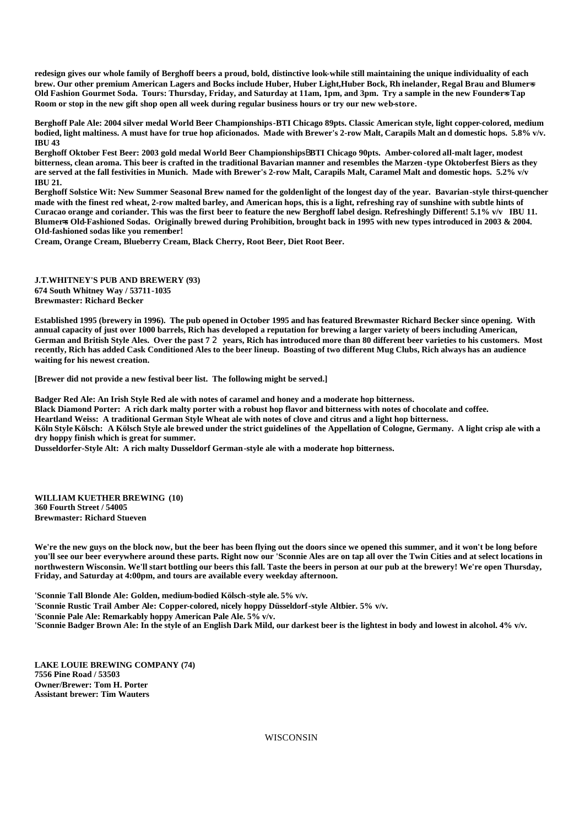**redesign gives our whole family of Berghoff beers a proud, bold, distinctive look-while still maintaining the unique individuality of each brew. Our other premium American Lagers and Bocks include Huber, Huber Light,Huber Bock, Rh inelander, Regal Brau and Blumer**=**s**  Old Fashion Gourmet Soda. Tours: Thursday, Friday, and Saturday at 11am, 1pm, and 3pm. Try a sample in the new Founders Tap **Room or stop in the new gift shop open all week during regular business hours or try our new web-store.**

**Berghoff Pale Ale: 2004 silver medal World Beer Championships-BTI Chicago 89pts. Classic American style, light copper-colored, medium bodied, light maltiness. A must have for true hop aficionados. Made with Brewer's 2-row Malt, Carapils Malt an d domestic hops. 5.8% v/v. IBU 43** 

**Berghoff Oktober Fest Beer: 2003 gold medal World Beer Championships**B**BTI Chicago 90pts. Amber-colored all-malt lager, modest bitterness, clean aroma. This beer is crafted in the traditional Bavarian manner and resembles the Marzen -type Oktoberfest Biers as they are served at the fall festivities in Munich. Made with Brewer's 2-row Malt, Carapils Malt, Caramel Malt and domestic hops. 5.2% v/v IBU 21.**

**Berghoff Solstice Wit: New Summer Seasonal Brew named for the golden light of the longest day of the year. Bavarian-style thirst-quencher made with the finest red wheat, 2-row malted barley, and American hops, this is a light, refreshing ray of sunshine with subtle hints of Curacao orange and coriander. This was the first beer to feature the new Berghoff label design. Refreshingly Different! 5.1% v/v IBU 11. Blumer=s Old-Fashioned Sodas. Originally brewed during Prohibition, brought back in 1995 with new types introduced in 2003 & 2004. Old-fashioned sodas like you remember!**

**Cream, Orange Cream, Blueberry Cream, Black Cherry, Root Beer, Diet Root Beer.**

**J.T.WHITNEY'S PUB AND BREWERY (93) 674 South Whitney Way / 53711-1035 Brewmaster: Richard Becker**

**Established 1995 (brewery in 1996). The pub opened in October 1995 and has featured Brewmaster Richard Becker since opening. With annual capacity of just over 1000 barrels, Rich has developed a reputation for brewing a larger variety of beers including American, German and British Style Ales. Over the past 7** 2 **years, Rich has introduced more than 80 different beer varieties to his customers. Most recently, Rich has added Cask Conditioned Ales to the beer lineup. Boasting of two different Mug Clubs, Rich always has an audience waiting for his newest creation.** 

**[Brewer did not provide a new festival beer list. The following might be served.]**

**Badger Red Ale: An Irish Style Red ale with notes of caramel and honey and a moderate hop bitterness.**

**Black Diamond Porter: A rich dark malty porter with a robust hop flavor and bitterness with notes of chocolate and coffee.**

**Heartland Weiss: A traditional German Style Wheat ale with notes of clove and citrus and a light hop bitterness.**

**Köln Style Kölsch: A Kölsch Style ale brewed under the strict guidelines of the Appellation of Cologne, Germany. A light crisp ale with a dry hoppy finish which is great for summer.**

**Dusseldorfer-Style Alt: A rich malty Dusseldorf German-style ale with a moderate hop bitterness.**

**WILLIAM KUETHER BREWING (10) 360 Fourth Street / 54005 Brewmaster: Richard Stueven**

**We're the new guys on the block now, but the beer has been flying out the doors since we opened this summer, and it won't be long before you'll see our beer everywhere around these parts. Right now our 'Sconnie Ales are on tap all over the Twin Cities and at select locations in northwestern Wisconsin. We'll start bottling our beers this fall. Taste the beers in person at our pub at the brewery! We're open Thursday, Friday, and Saturday at 4:00pm, and tours are available every weekday afternoon.** 

**'Sconnie Tall Blonde Ale: Golden, medium-bodied Kölsch-style ale. 5% v/v. 'Sconnie Rustic Trail Amber Ale: Copper-colored, nicely hoppy Düsseldorf-style Altbier. 5% v/v. 'Sconnie Pale Ale: Remarkably hoppy American Pale Ale. 5% v/v. 'Sconnie Badger Brown Ale: In the style of an English Dark Mild, our darkest beer is the lightest in body and lowest in alcohol. 4% v/v.**

**LAKE LOUIE BREWING COMPANY (74) 7556 Pine Road / 53503 Owner/Brewer: Tom H. Porter Assistant brewer: Tim Wauters**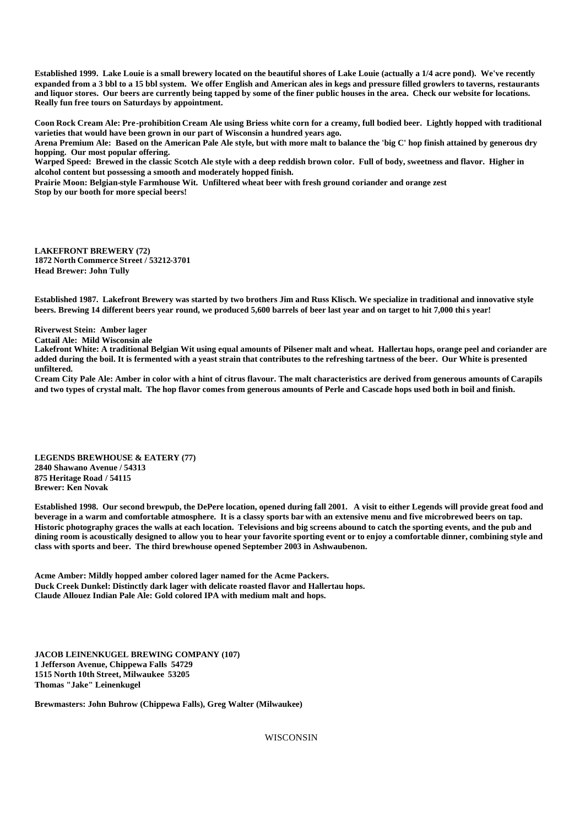**Established 1999. Lake Louie is a small brewery located on the beautiful shores of Lake Louie (actually a 1/4 acre pond). We've recently expanded from a 3 bbl to a 15 bbl system. We offer English and American ales in kegs and pressure filled growlers to taverns, restaurants and liquor stores. Our beers are currently being tapped by some of the finer public houses in the area. Check our website for locations. Really fun free tours on Saturdays by appointment.**

**Coon Rock Cream Ale: Pre-prohibition Cream Ale using Briess white corn for a creamy, full bodied beer. Lightly hopped with traditional varieties that would have been grown in our part of Wisconsin a hundred years ago.** 

**Arena Premium Ale: Based on the American Pale Ale style, but with more malt to balance the 'big C' hop finish attained by generous dry hopping. Our most popular offering.**

**Warped Speed: Brewed in the classic Scotch Ale style with a deep reddish brown color. Full of body, sweetness and flavor. Higher in alcohol content but possessing a smooth and moderately hopped finish.**

**Prairie Moon: Belgian-style Farmhouse Wit. Unfiltered wheat beer with fresh ground coriander and orange zest Stop by our booth for more special beers!**

**LAKEFRONT BREWERY (72) 1872 North Commerce Street / 53212-3701 Head Brewer: John Tully**

**Established 1987. Lakefront Brewery was started by two brothers Jim and Russ Klisch. We specialize in traditional and innovative style beers. Brewing 14 different beers year round, we produced 5,600 barrels of beer last year and on target to hit 7,000 this year!** 

**Riverwest Stein: Amber lager**

**Cattail Ale: Mild Wisconsin ale**

**Lakefront White: A traditional Belgian Wit using equal amounts of Pilsener malt and wheat. Hallertau hops, orange peel and coriander are added during the boil. It is fermented with a yeast strain that contributes to the refreshing tartness of the beer. Our White is presented unfiltered.**

**Cream City Pale Ale: Amber in color with a hint of citrus flavour. The malt characteristics are derived from generous amounts of Carapils and two types of crystal malt. The hop flavor comes from generous amounts of Perle and Cascade hops used both in boil and finish.**

**LEGENDS BREWHOUSE & EATERY (77) 2840 Shawano Avenue / 54313 875 Heritage Road / 54115 Brewer: Ken Novak**

**Established 1998. Our second brewpub, the DePere location, opened during fall 2001. A visit to either Legends will provide great food and beverage in a warm and comfortable atmosphere. It is a classy sports bar with an extensive menu and five microbrewed beers on tap. Historic photography graces the walls at each location. Televisions and big screens abound to catch the sporting events, and the pub and dining room is acoustically designed to allow you to hear your favorite sporting event or to enjoy a comfortable dinner, combining style and class with sports and beer. The third brewhouse opened September 2003 in Ashwaubenon.**

**Acme Amber: Mildly hopped amber colored lager named for the Acme Packers. Duck Creek Dunkel: Distinctly dark lager with delicate roasted flavor and Hallertau hops. Claude Allouez Indian Pale Ale: Gold colored IPA with medium malt and hops.**

**JACOB LEINENKUGEL BREWING COMPANY (107) 1 Jefferson Avenue, Chippewa Falls 54729 1515 North 10th Street, Milwaukee 53205 Thomas "Jake" Leinenkugel**

**Brewmasters: John Buhrow (Chippewa Falls), Greg Walter (Milwaukee)**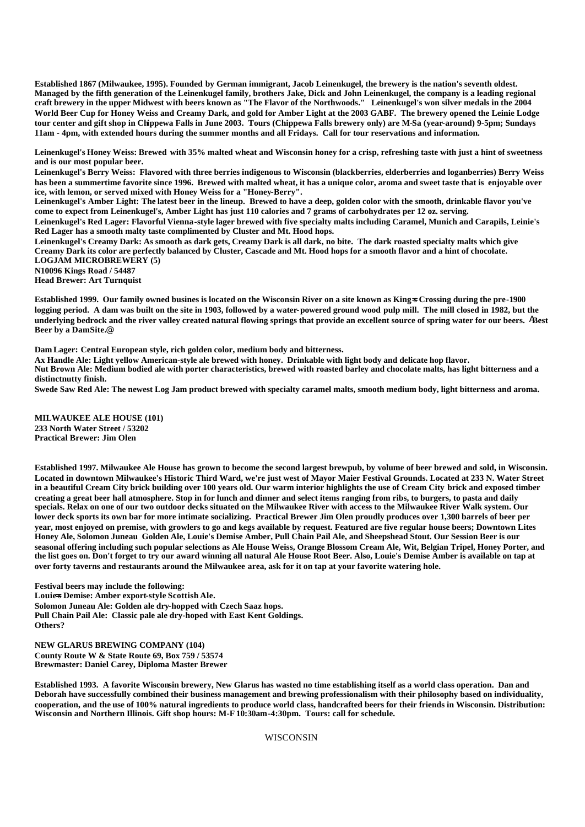**Established 1867 (Milwaukee, 1995). Founded by German immigrant, Jacob Leinenkugel, the brewery is the nation's seventh oldest. Managed by the fifth generation of the Leinenkugel family, brothers Jake, Dick and John Leinenkugel, the company is a leading regional craft brewery in the upper Midwest with beers known as "The Flavor of the Northwoods." Leinenkugel's won silver medals in the 2004 World Beer Cup for Honey Weiss and Creamy Dark, and gold for Amber Light at the 2003 GABF. The brewery opened the Leinie Lodge tour center and gift shop in Chippewa Falls in June 2003. Tours (Chippewa Falls brewery only) are M-Sa (year-around) 9-5pm; Sundays 11am - 4pm, with extended hours during the summer months and all Fridays. Call for tour reservations and information.**

**Leinenkugel's Honey Weiss: Brewed with 35% malted wheat and Wisconsin honey for a crisp, refreshing taste with just a hint of sweetness and is our most popular beer.** 

**Leinenkugel's Berry Weiss: Flavored with three berries indigenous to Wisconsin (blackberries, elderberries and loganberries) Berry Weiss has been a summertime favorite since 1996. Brewed with malted wheat, it has a unique color, aroma and sweet taste that is enjoyable over ice, with lemon, or served mixed with Honey Weiss for a "Honey-Berry".**

**Leinenkugel's Amber Light: The latest beer in the lineup. Brewed to have a deep, golden color with the smooth, drinkable flavor you've come to expect from Leinenkugel's, Amber Light has just 110 calories and 7 grams of carbohydrates per 12 oz. serving.**

**Leinenkugel's Red Lager: Flavorful Vienna-style lager brewed with five specialty malts including Caramel, Munich and Carapils, Leinie's Red Lager has a smooth malty taste complimented by Cluster and Mt. Hood hops.**

**Leinenkugel's Creamy Dark: As smooth as dark gets, Creamy Dark is all dark, no bite. The dark roasted specialty malts which give Creamy Dark its color are perfectly balanced by Cluster, Cascade and Mt. Hood hops for a smooth flavor and a hint of chocolate. LOGJAM MICROBREWERY (5)**

**N10096 Kings Road / 54487**

**Head Brewer: Art Turnquist**

Established 1999. Our family owned busines is located on the Wisconsin River on a site known as King=**s** Crossing during the pre-1900 **logging period. A dam was built on the site in 1903, followed by a water-powered ground wood pulp mill. The mill closed in 1982, but the underlying bedrock and the river valley created natural flowing springs that provide an excellent source of spring water for our beers.** A**Best Beer by a DamSite.**@

**Dam Lager: Central European style, rich golden color, medium body and bitterness.**

**Ax Handle Ale: Light yellow American-style ale brewed with honey. Drinkable with light body and delicate hop flavor.**

**Nut Brown Ale: Medium bodied ale with porter characteristics, brewed with roasted barley and chocolate malts, has light bitterness and a distinctnutty finish.**

**Swede Saw Red Ale: The newest Log Jam product brewed with specialty caramel malts, smooth medium body, light bitterness and aroma.**

**MILWAUKEE ALE HOUSE (101) 233 North Water Street / 53202 Practical Brewer: Jim Olen**

**Established 1997. Milwaukee Ale House has grown to become the second largest brewpub, by volume of beer brewed and sold, in Wisconsin. Located in downtown Milwaukee's Historic Third Ward, we're just west of Mayor Maier Festival Grounds. Located at 233 N. Water Street in a beautiful Cream City brick building over 100 years old. Our warm interior highlights the use of Cream City brick and exposed timber creating a great beer hall atmosphere. Stop in for lunch and dinner and select items ranging from ribs, to burgers, to pasta and daily specials. Relax on one of our two outdoor decks situated on the Milwaukee River with access to the Milwaukee River Walk system. Our lower deck sports its own bar for more intimate socializing. Practical Brewer Jim Olen proudly produces over 1,300 barrels of beer per year, most enjoyed on premise, with growlers to go and kegs available by request. Featured are five regular house beers; Downtown Lites Honey Ale, Solomon Juneau Golden Ale, Louie's Demise Amber, Pull Chain Pail Ale, and Sheepshead Stout. Our Session Beer is our seasonal offering including such popular selections as Ale House Weiss, Orange Blossom Cream Ale, Wit, Belgian Tripel, Honey Porter, and the list goes on. Don't forget to try our award winning all natural Ale House Root Beer. Also, Louie's Demise Amber is available on tap at over forty taverns and restaurants around the Milwaukee area, ask for it on tap at your favorite watering hole.**

**Festival beers may include the following: Louie=s Demise: Amber export-style Scottish Ale. Solomon Juneau Ale: Golden ale dry-hopped with Czech Saaz hops. Pull Chain Pail Ale: Classic pale ale dry-hoped with East Kent Goldings. Others?**

**NEW GLARUS BREWING COMPANY (104) County Route W & State Route 69, Box 759 / 53574 Brewmaster: Daniel Carey, Diploma Master Brewer**

**Established 1993. A favorite Wisconsin brewery, New Glarus has wasted no time establishing itself as a world class operation. Dan and Deborah have successfully combined their business management and brewing professionalism with their philosophy based on individuality, cooperation, and the use of 100% natural ingredients to produce world class, handcrafted beers for their friends in Wisconsin. Distribution: Wisconsin and Northern Illinois. Gift shop hours: M-F 10:30am-4:30pm. Tours: call for schedule.**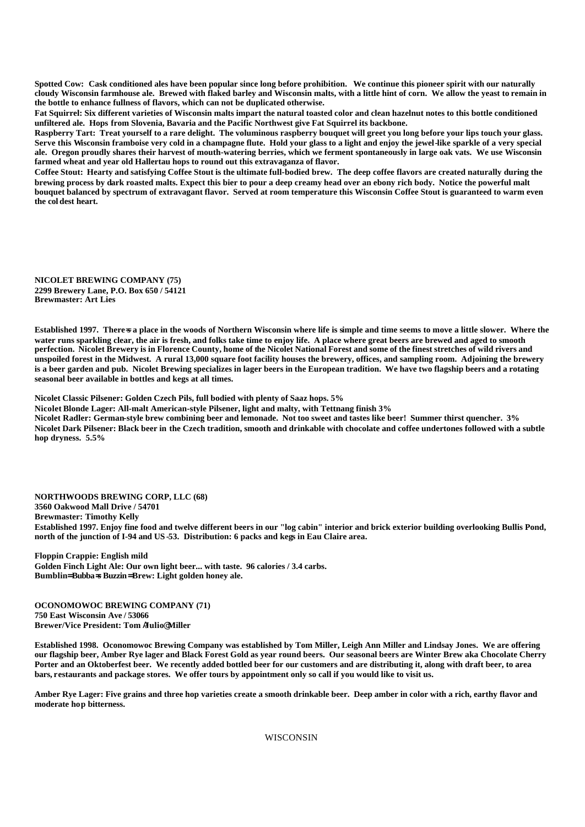**Spotted Cow: Cask conditioned ales have been popular since long before prohibition. We continue this pioneer spirit with our naturally cloudy Wisconsin farmhouse ale. Brewed with flaked barley and Wisconsin malts, with a little hint of corn. We allow the yeast to remain in the bottle to enhance fullness of flavors, which can not be duplicated otherwise.**

**Fat Squirrel: Six different varieties of Wisconsin malts impart the natural toasted color and clean hazelnut notes to this bottle conditioned unfiltered ale. Hops from Slovenia, Bavaria and the Pacific Northwest give Fat Squirrel its backbone.**

**Raspberry Tart: Treat yourself to a rare delight. The voluminous raspberry bouquet will greet you long before your lips touch your glass. Serve this Wisconsin framboise very cold in a champagne flute. Hold your glass to a light and enjoy the jewel-like sparkle of a very special ale. Oregon proudly shares their harvest of mouth-watering berries, which we ferment spontaneously in large oak vats. We use Wisconsin farmed wheat and year old Hallertau hops to round out this extravaganza of flavor.**

**Coffee Stout: Hearty and satisfying Coffee Stout is the ultimate full-bodied brew. The deep coffee flavors are created naturally during the brewing process by dark roasted malts. Expect this bier to pour a deep creamy head over an ebony rich body. Notice the powerful malt bouquet balanced by spectrum of extravagant flavor. Served at room temperature this Wisconsin Coffee Stout is guaranteed to warm even the col dest heart.**

**NICOLET BREWING COMPANY (75) 2299 Brewery Lane, P.O. Box 650 / 54121 Brewmaster: Art Lies**

**Established 1997. There**=**s a place in the woods of Northern Wisconsin where life is simple and time seems to move a little slower. Where the water runs sparkling clear, the air is fresh, and folks take time to enjoy life. A place where great beers are brewed and aged to smooth perfection. Nicolet Brewery is in Florence County, home of the Nicolet National Forest and some of the finest stretches of wild rivers and unspoiled forest in the Midwest. A rural 13,000 square foot facility houses the brewery, offices, and sampling room. Adjoining the brewery is a beer garden and pub. Nicolet Brewing specializes in lager beers in the European tradition. We have two flagship beers and a rotating seasonal beer available in bottles and kegs at all times.**

**Nicolet Classic Pilsener: Golden Czech Pils, full bodied with plenty of Saaz hops. 5%**

**Nicolet Blonde Lager: All-malt American-style Pilsener, light and malty, with Tettnang finish 3% Nicolet Radler: German-style brew combining beer and lemonade. Not too sweet and tastes like beer! Summer thirst quencher. 3% Nicolet Dark Pilsener: Black beer in the Czech tradition, smooth and drinkable with chocolate and coffee undertones followed with a subtle hop dryness. 5.5%**

**NORTHWOODS BREWING CORP, LLC (68) 3560 Oakwood Mall Drive / 54701 Brewmaster: Timothy Kelly Established 1997. Enjoy fine food and twelve different beers in our "log cabin" interior and brick exterior building overlooking Bullis Pond, north of the junction of I-94 and US -53. Distribution: 6 packs and kegs in Eau Claire area.**

**Floppin Crappie: English mild Golden Finch Light Ale: Our own light beer... with taste. 96 calories / 3.4 carbs. Bumblin= Bubba=s Buzzin= Brew: Light golden honey ale.**

**OCONOMOWOC BREWING COMPANY (71) 750 East Wisconsin Ave / 53066 Brewer/Vice President: Tom** A**Julio**@ **Miller** 

**Established 1998. Oconomowoc Brewing Company was established by Tom Miller, Leigh Ann Miller and Lindsay Jones. We are offering our flagship beer, Amber Rye lager and Black Forest Gold as year round beers. Our seasonal beers are Winter Brew aka Chocolate Cherry Porter and an Oktoberfest beer. We recently added bottled beer for our customers and are distributing it, along with draft beer, to area bars, restaurants and package stores. We offer tours by appointment only so call if you would like to visit us.** 

**Amber Rye Lager: Five grains and three hop varieties create a smooth drinkable beer. Deep amber in color with a rich, earthy flavor and moderate hop bitterness.**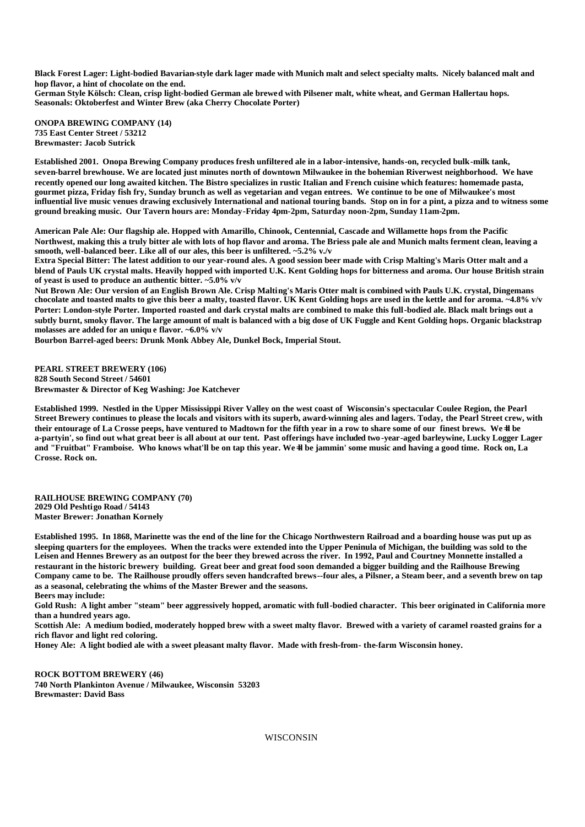**Black Forest Lager: Light-bodied Bavarian-style dark lager made with Munich malt and select specialty malts. Nicely balanced malt and hop flavor, a hint of chocolate on the end.**

**German Style Kölsch: Clean, crisp light-bodied German ale brewed with Pilsener malt, white wheat, and German Hallertau hops. Seasonals: Oktoberfest and Winter Brew (aka Cherry Chocolate Porter)**

**ONOPA BREWING COMPANY (14) 735 East Center Street / 53212 Brewmaster: Jacob Sutrick**

**Established 2001. Onopa Brewing Company produces fresh unfiltered ale in a labor-intensive, hands-on, recycled bulk-milk tank, seven-barrel brewhouse. We are located just minutes north of downtown Milwaukee in the bohemian Riverwest neighborhood. We have recently opened our long awaited kitchen. The Bistro specializes in rustic Italian and French cuisine which features: homemade pasta, gourmet pizza, Friday fish fry, Sunday brunch as well as vegetarian and vegan entrees. We continue to be one of Milwaukee's most influential live music venues drawing exclusively International and national touring bands. Stop on in for a pint, a pizza and to witness some ground breaking music. Our Tavern hours are: Monday-Friday 4pm-2pm, Saturday noon-2pm, Sunday 11am-2pm.**

**American Pale Ale: Our flagship ale. Hopped with Amarillo, Chinook, Centennial, Cascade and Willamette hops from the Pacific Northwest, making this a truly bitter ale with lots of hop flavor and aroma. The Briess pale ale and Munich malts ferment clean, leaving a smooth, well-balanced beer. Like all of our ales, this beer is unfiltered. ~5.2% v./v**

**Extra Special Bitter: The latest addition to our year-round ales. A good session beer made with Crisp Malting's Maris Otter malt and a blend of Pauls UK crystal malts. Heavily hopped with imported U.K. Kent Golding hops for bitterness and aroma. Our house British strain of yeast is used to produce an authentic bitter. ~5.0% v/v**

**Nut Brown Ale: Our version of an English Brown Ale. Crisp Malting's Maris Otter malt is combined with Pauls U.K. crystal, Dingemans chocolate and toasted malts to give this beer a malty, toasted flavor. UK Kent Golding hops are used in the kettle and for aroma. ~4.8% v/v Porter: London-style Porter. Imported roasted and dark crystal malts are combined to make this full-bodied ale. Black malt brings out a subtly burnt, smoky flavor. The large amount of malt is balanced with a big dose of UK Fuggle and Kent Golding hops. Organic blackstrap molasses are added for an uniqu e flavor. ~6.0% v/v**

**Bourbon Barrel-aged beers: Drunk Monk Abbey Ale, Dunkel Bock, Imperial Stout.** 

**PEARL STREET BREWERY (106) 828 South Second Street / 54601 Brewmaster & Director of Keg Washing: Joe Katchever**

**Established 1999. Nestled in the Upper Mississippi River Valley on the west coast of Wisconsin's spectacular Coulee Region, the Pearl Street Brewery continues to please the locals and visitors with its superb, award-winning ales and lagers. Today, the Pearl Street crew, with**  their entourage of La Crosse peeps, have ventured to Madtown for the fifth year in a row to share some of our finest brews. We=ll be **a-partyin', so find out what great beer is all about at our tent. Past offerings have included two -year-aged barleywine, Lucky Logger Lager**  and "Fruitbat" Framboise. Who knows what'll be on tap this year. We=ll be jammin' some music and having a good time. Rock on, La **Crosse. Rock on.**

**RAILHOUSE BREWING COMPANY (70) 2029 Old Peshtigo Road / 54143 Master Brewer: Jonathan Kornely**

**Established 1995. In 1868, Marinette was the end of the line for the Chicago Northwestern Railroad and a boarding house was put up as sleeping quarters for the employees. When the tracks were extended into the Upper Peninula of Michigan, the building was sold to the Leisen and Hennes Brewery as an outpost for the beer they brewed across the river. In 1992, Paul and Courtney Monnette installed a restaurant in the historic brewery building. Great beer and great food soon demanded a bigger building and the Railhouse Brewing Company came to be. The Railhouse proudly offers seven handcrafted brews--four ales, a Pilsner, a Steam beer, and a seventh brew on tap as a seasonal, celebrating the whims of the Master Brewer and the seasons. Beers may include:**

**Gold Rush: A light amber "steam" beer aggressively hopped, aromatic with full-bodied character. This beer originated in California more than a hundred years ago.**

**Scottish Ale: A medium bodied, moderately hopped brew with a sweet malty flavor. Brewed with a variety of caramel roasted grains for a rich flavor and light red coloring.**

**Honey Ale: A light bodied ale with a sweet pleasant malty flavor. Made with fresh-from- the-farm Wisconsin honey.**

**ROCK BOTTOM BREWERY (46) 740 North Plankinton Avenue / Milwaukee, Wisconsin 53203 Brewmaster: David Bass**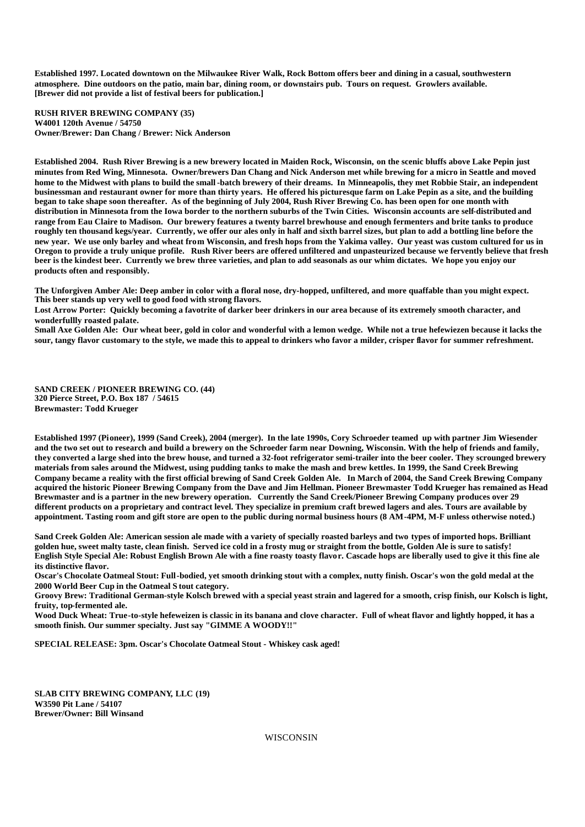**Established 1997. Located downtown on the Milwaukee River Walk, Rock Bottom offers beer and dining in a casual, southwestern atmosphere. Dine outdoors on the patio, main bar, dining room, or downstairs pub. Tours on request. Growlers available. [Brewer did not provide a list of festival beers for publication.]**

**RUSH RIVER BREWING COMPANY (35) W4001 120th Avenue / 54750 Owner/Brewer: Dan Chang / Brewer: Nick Anderson**

**Established 2004. Rush River Brewing is a new brewery located in Maiden Rock, Wisconsin, on the scenic bluffs above Lake Pepin just minutes from Red Wing, Minnesota. Owner/brewers Dan Chang and Nick Anderson met while brewing for a micro in Seattle and moved home to the Midwest with plans to build the small -batch brewery of their dreams. In Minneapolis, they met Robbie Stair, an independent businessman and restaurant owner for more than thirty years. He offered his picturesque farm on Lake Pepin as a site, and the building began to take shape soon thereafter. As of the beginning of July 2004, Rush River Brewing Co. has been open for one month with distribution in Minnesota from the Iowa border to the northern suburbs of the Twin Cities. Wisconsin accounts are self-distributed and range from Eau Claire to Madison. Our brewery features a twenty barrel brewhouse and enough fermenters and brite tanks to produce roughly ten thousand kegs/year. Currently, we offer our ales only in half and sixth barrel sizes, but plan to add a bottling line before the new year. We use only barley and wheat from Wisconsin, and fresh hops from the Yakima valley. Our yeast was custom cultured for us in Oregon to provide a truly unique profile. Rush River beers are offered unfiltered and unpasteurized because we fervently believe that fresh beer is the kindest beer. Currently we brew three varieties, and plan to add seasonals as our whim dictates. We hope you enjoy our products often and responsibly.**

**The Unforgiven Amber Ale: Deep amber in color with a floral nose, dry-hopped, unfiltered, and more quaffable than you might expect. This beer stands up very well to good food with strong flavors.**

**Lost Arrow Porter: Quickly becoming a favotrite of darker beer drinkers in our area because of its extremely smooth character, and wonderfullly roasted palate.**

**Small Axe Golden Ale: Our wheat beer, gold in color and wonderful with a lemon wedge. While not a true hefewiezen because it lacks the sour, tangy flavor customary to the style, we made this to appeal to drinkers who favor a milder, crisper flavor for summer refreshment.**

**SAND CREEK / PIONEER BREWING CO. (44) 320 Pierce Street, P.O. Box 187 / 54615 Brewmaster: Todd Krueger**

**Established 1997 (Pioneer), 1999 (Sand Creek), 2004 (merger). In the late 1990s, Cory Schroeder teamed up with partner Jim Wiesender and the two set out to research and build a brewery on the Schroeder farm near Downing, Wisconsin. With the help of friends and family, they converted a large shed into the brew house, and turned a 32-foot refrigerator semi-trailer into the beer cooler. They scrounged brewery materials from sales around the Midwest, using pudding tanks to make the mash and brew kettles. In 1999, the Sand Creek Brewing Company became a reality with the first official brewing of Sand Creek Golden Ale. In March of 2004, the Sand Creek Brewing Company acquired the historic Pioneer Brewing Company from the Dave and Jim Hellman. Pioneer Brewmaster Todd Krueger has remained as Head Brewmaster and is a partner in the new brewery operation. Currently the Sand Creek/Pioneer Brewing Company produces over 29 different products on a proprietary and contract level. They specialize in premium craft brewed lagers and ales. Tours are available by appointment. Tasting room and gift store are open to the public during normal business hours (8 AM-4PM, M-F unless otherwise noted.)**

**Sand Creek Golden Ale: American session ale made with a variety of specially roasted barleys and two types of imported hops. Brilliant golden hue, sweet malty taste, clean finish. Served ice cold in a frosty mug or straight from the bottle, Golden Ale is sure to satisfy! English Style Special Ale: Robust English Brown Ale with a fine roasty toasty flavor. Cascade hops are liberally used to give it this fine ale its distinctive flavor.**

**Oscar's Chocolate Oatmeal Stout: Full-bodied, yet smooth drinking stout with a complex, nutty finish. Oscar's won the gold medal at the 2000 World Beer Cup in the Oatmeal S tout category.**

**Groovy Brew: Traditional German-style Kolsch brewed with a special yeast strain and lagered for a smooth, crisp finish, our Kolsch is light, fruity, top-fermented ale.**

**Wood Duck Wheat: True-to-style hefeweizen is classic in its banana and clove character. Full of wheat flavor and lightly hopped, it has a smooth finish. Our summer specialty. Just say "GIMME A WOODY!!"**

**SPECIAL RELEASE: 3pm. Oscar's Chocolate Oatmeal Stout - Whiskey cask aged!**

**SLAB CITY BREWING COMPANY, LLC (19) W3590 Pit Lane / 54107 Brewer/Owner: Bill Winsand**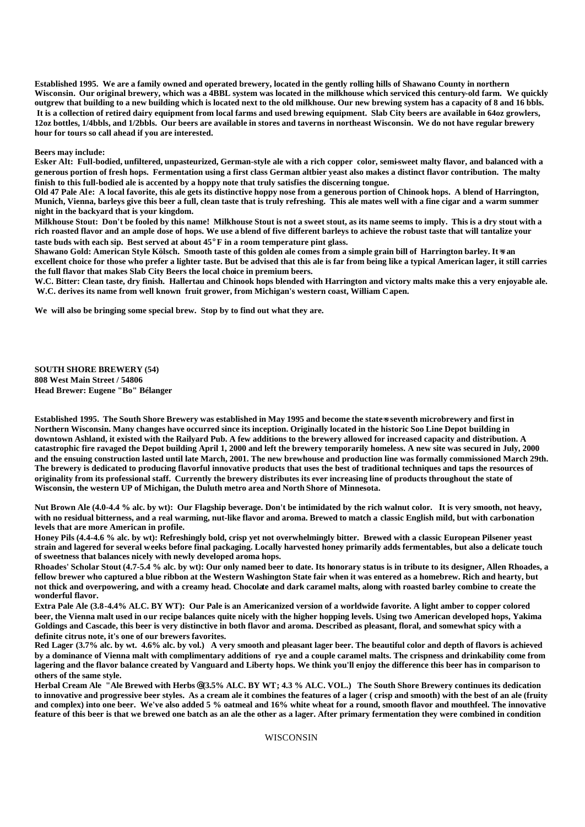**Established 1995. We are a family owned and operated brewery, located in the gently rolling hills of Shawano County in northern Wisconsin. Our original brewery, which was a 4BBL system was located in the milkhouse which serviced this century-old farm. We quickly outgrew that building to a new building which is located next to the old milkhouse. Our new brewing system has a capacity of 8 and 16 bbls. It is a collection of retired dairy equipment from local farms and used brewing equipment. Slab City beers are available in 64oz growlers, 12oz bottles, 1/4bbls, and 1/2bbls. Our beers are available in stores and taverns in northeast Wisconsin. We do not have regular brewery hour for tours so call ahead if you are interested.** 

#### **Beers may include:**

**Esker Alt: Full-bodied, unfiltered, unpasteurized, German-style ale with a rich copper color, semi-sweet malty flavor, and balanced with a generous portion of fresh hops. Fermentation using a first class German altbier yeast also makes a distinct flavor contribution. The malty finish to this full-bodied ale is accented by a hoppy note that truly satisfies the discerning tongue.**

**Old 47 Pale Ale: A local favorite, this ale gets its distinctive hoppy nose from a generous portion of Chinook hops. A blend of Harrington, Munich, Vienna, barleys give this beer a full, clean taste that is truly refreshing. This ale mates well with a fine cigar and a warm summer night in the backyard that is your kingdom.**

**Milkhouse Stout: Don't be fooled by this name! Milkhouse Stout is not a sweet stout, as its name seems to imply. This is a dry stout with a rich roasted flavor and an ample dose of hops. We use a blend of five different barleys to achieve the robust taste that will tantalize your taste buds with each sip. Best served at about 45**° **F in a room temperature pint glass.**

Shawano Gold: American Style Kölsch. Smooth taste of this golden ale comes from a simple grain bill of Harrington barley. It<sup>\*</sup> an **excellent choice for those who prefer a lighter taste. But be advised that this ale is far from being like a typical American lager, it still carries the full flavor that makes Slab City Beers the local choice in premium beers.**

**W.C. Bitter: Clean taste, dry finish. Hallertau and Chinook hops blended with Harrington and victory malts make this a very enjoyable ale. W.C. derives its name from well known fruit grower, from Michigan's western coast, William Capen.**

**We will also be bringing some special brew. Stop by to find out what they are.**

**SOUTH SHORE BREWERY (54) 808 West Main Street / 54806 Head Brewer: Eugene "Bo" Bélanger**

**Established 1995. The South Shore Brewery was established in May 1995 and become the state-s seventh microbrewery and first in Northern Wisconsin. Many changes have occurred since its inception. Originally located in the historic Soo Line Depot building in downtown Ashland, it existed with the Railyard Pub. A few additions to the brewery allowed for increased capacity and distribution. A catastrophic fire ravaged the Depot building April 1, 2000 and left the brewery temporarily homeless. A new site was secured in July, 2000 and the ensuing construction lasted until late March, 2001. The new brewhouse and production line was formally commissioned March 29th. The brewery is dedicated to producing flavorful innovative products that uses the best of traditional techniques and taps the resources of originality from its professional staff. Currently the brewery distributes its ever increasing line of products throughout the state of Wisconsin, the western UP of Michigan, the Duluth metro area and North Shore of Minnesota.**

**Nut Brown Ale (4.0-4.4 % alc. by wt): Our Flagship beverage. Don't be intimidated by the rich walnut color. It is very smooth, not heavy, with no residual bitterness, and a real warming, nut-like flavor and aroma. Brewed to match a classic English mild, but with carbonation levels that are more American in profile.**

**Honey Pils (4.4-4.6 % alc. by wt): Refreshingly bold, crisp yet not overwhelmingly bitter. Brewed with a classic European Pilsener yeast strain and lagered for several weeks before final packaging. Locally harvested honey primarily adds fermentables, but also a delicate touch of sweetness that balances nicely with newly developed aroma hops.**

**Rhoades' Scholar Stout (4.7-5.4 % alc. by wt): Our only named beer to date. Its honorary status is in tribute to its designer, Allen Rhoades, a fellow brewer who captured a blue ribbon at the Western Washington State fair when it was entered as a homebrew. Rich and hearty, but not thick and overpowering, and with a creamy head. Chocolate and dark caramel malts, along with roasted barley combine to create the wonderful flavor.**

**Extra Pale Ale (3.8-4.4% ALC. BY WT): Our Pale is an Americanized version of a worldwide favorite. A light amber to copper colored beer, the Vienna malt used in our recipe balances quite nicely with the higher hopping levels. Using two American developed hops, Yakima Goldings and Cascade, this beer is very distinctive in both flavor and aroma. Described as pleasant, floral, and somewhat spicy with a definite citrus note, it's one of our brewers favorites.** 

**Red Lager (3.7% alc. by wt. 4.6% alc. by vol.) A very smooth and pleasant lager beer. The beautiful color and depth of flavors is achieved by a dominance of Vienna malt with complimentary additions of rye and a couple caramel malts. The crispness and drinkability come from lagering and the flavor balance created by Vanguard and Liberty hops. We think you'll enjoy the difference this beer has in comparison to others of the same style.** 

**Herbal Cream Ale "Ale Brewed with Herbs@ (3.5% ALC. BY WT; 4.3 % ALC. VOL.) The South Shore Brewery continues its dedication to innovative and progressive beer styles. As a cream ale it combines the features of a lager ( crisp and smooth) with the best of an ale (fruity and complex) into one beer. We've also added 5 % oatmeal and 16% white wheat for a round, smooth flavor and mouthfeel. The innovative feature of this beer is that we brewed one batch as an ale the other as a lager. After primary fermentation they were combined in condition**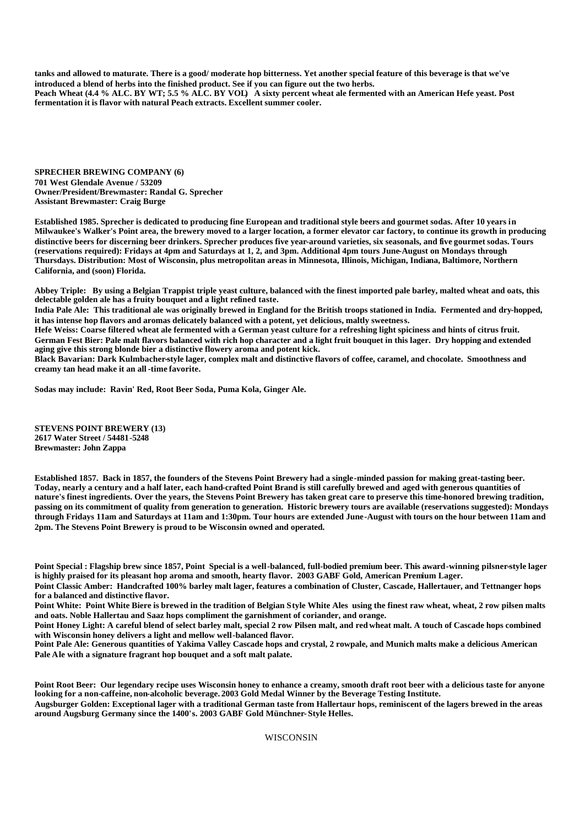**tanks and allowed to maturate. There is a good/ moderate hop bitterness. Yet another special feature of this beverage is that we've introduced a blend of herbs into the finished product. See if you can figure out the two herbs. Peach Wheat (4.4 % ALC. BY WT; 5.5 % ALC. BY VOL) A sixty percent wheat ale fermented with an American Hefe yeast. Post fermentation it is flavor with natural Peach extracts. Excellent summer cooler.**

**SPRECHER BREWING COMPANY (6) 701 West Glendale Avenue / 53209 Owner/President/Brewmaster: Randal G. Sprecher Assistant Brewmaster: Craig Burge**

**Established 1985. Sprecher is dedicated to producing fine European and traditional style beers and gourmet sodas. After 10 years in Milwaukee's Walker's Point area, the brewery moved to a larger location, a former elevator car factory, to continue its growth in producing distinctive beers for discerning beer drinkers. Sprecher produces five year-around varieties, six seasonals, and five gourmet sodas. Tours (reservations required): Fridays at 4pm and Saturdays at 1, 2, and 3pm. Additional 4pm tours June-August on Mondays through Thursdays. Distribution: Most of Wisconsin, plus metropolitan areas in Minnesota, Illinois, Michigan, Indiana, Baltimore, Northern California, and (soon) Florida.**

**Abbey Triple: By using a Belgian Trappist triple yeast culture, balanced with the finest imported pale barley, malted wheat and oats, this delectable golden ale has a fruity bouquet and a light refined taste.**

**India Pale Ale: This traditional ale was originally brewed in England for the British troops stationed in India. Fermented and dry-hopped, it has intense hop flavors and aromas delicately balanced with a potent, yet delicious, maltly sweetness.** 

**Hefe Weiss: Coarse filtered wheat ale fermented with a German yeast culture for a refreshing light spiciness and hints of citrus fruit. German Fest Bier: Pale malt flavors balanced with rich hop character and a light fruit bouquet in this lager. Dry hopping and extended aging give this strong blonde bier a distinctive flowery aroma and potent kick.**

**Black Bavarian: Dark Kulmbacher-style lager, complex malt and distinctive flavors of coffee, caramel, and chocolate. Smoothness and creamy tan head make it an all -time favorite.**

**Sodas may include: Ravin' Red, Root Beer Soda, Puma Kola, Ginger Ale.**

**STEVENS POINT BREWERY (13) 2617 Water Street / 54481-5248 Brewmaster: John Zappa**

**Established 1857. Back in 1857, the founders of the Stevens Point Brewery had a single-minded passion for making great-tasting beer. Today, nearly a century and a half later, each hand-crafted Point Brand is still carefully brewed and aged with generous quantities of nature's finest ingredients. Over the years, the Stevens Point Brewery has taken great care to preserve this time-honored brewing tradition, passing on its commitment of quality from generation to generation. Historic brewery tours are available (reservations suggested): Mondays through Fridays 11am and Saturdays at 11am and 1:30pm. Tour hours are extended June-August with tours on the hour between 11am and 2pm. The Stevens Point Brewery is proud to be Wisconsin owned and operated.**

**Point Special : Flagship brew since 1857, Point Special is a well-balanced, full-bodied premium beer. This award-winning pilsner-style lager is highly praised for its pleasant hop aroma and smooth, hearty flavor. 2003 GABF Gold, American Premium Lager.**

**Point Classic Amber: Handcrafted 100% barley malt lager, features a combination of Cluster, Cascade, Hallertauer, and Tettnanger hops for a balanced and distinctive flavor.**

**Point White: Point White Biere is brewed in the tradition of Belgian Style White Ales using the finest raw wheat, wheat, 2 row pilsen malts and oats. Noble Hallertau and Saaz hops compliment the garnishment of coriander, and orange.**

**Point Honey Light: A careful blend of select barley malt, special 2 row Pilsen malt, and red wheat malt. A touch of Cascade hops combined with Wisconsin honey delivers a light and mellow well-balanced flavor.**

**Point Pale Ale: Generous quantities of Yakima Valley Cascade hops and crystal, 2 rowpale, and Munich malts make a delicious American Pale Ale with a signature fragrant hop bouquet and a soft malt palate.**

**Point Root Beer: Our legendary recipe uses Wisconsin honey to enhance a creamy, smooth draft root beer with a delicious taste for anyone looking for a non-caffeine, non-alcoholic beverage. 2003 Gold Medal Winner by the Beverage Testing Institute.**

**Augsburger Golden: Exceptional lager with a traditional German taste from Hallertaur hops, reminiscent of the lagers brewed in the areas around Augsburg Germany since the 1400's. 2003 GABF Gold Münchner- Style Helles.**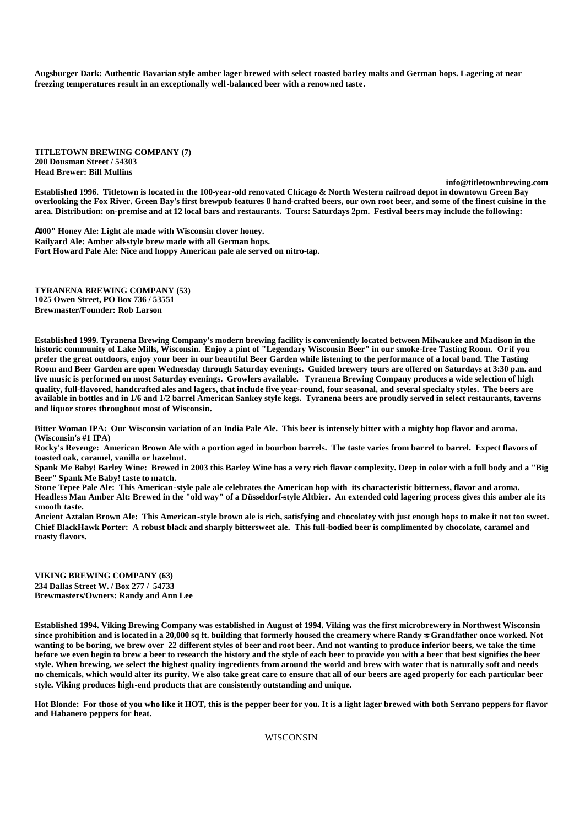**Augsburger Dark: Authentic Bavarian style amber lager brewed with select roasted barley malts and German hops. Lagering at near freezing temperatures result in an exceptionally well-balanced beer with a renowned taste.**

**TITLETOWN BREWING COMPANY (7) 200 Dousman Street / 54303 Head Brewer: Bill Mullins** 

**info@titletownbrewing.com**

**Established 1996. Titletown is located in the 100-year-old renovated Chicago & North Western railroad depot in downtown Green Bay overlooking the Fox River. Green Bay's first brewpub features 8 hand-crafted beers, our own root beer, and some of the finest cuisine in the area. Distribution: on-premise and at 12 local bars and restaurants. Tours: Saturdays 2pm. Festival beers may include the following:**

**A400" Honey Ale: Light ale made with Wisconsin clover honey. Railyard Ale: Amber alt-style brew made with all German hops. Fort Howard Pale Ale: Nice and hoppy American pale ale served on nitro-tap.**

**TYRANENA BREWING COMPANY (53) 1025 Owen Street, PO Box 736 / 53551 Brewmaster/Founder: Rob Larson**

**Established 1999. Tyranena Brewing Company's modern brewing facility is conveniently located between Milwaukee and Madison in the historic community of Lake Mills, Wisconsin. Enjoy a pint of "Legendary Wisconsin Beer" in our smoke-free Tasting Room. Or if you prefer the great outdoors, enjoy your beer in our beautiful Beer Garden while listening to the performance of a local band. The Tasting Room and Beer Garden are open Wednesday through Saturday evenings. Guided brewery tours are offered on Saturdays at 3:30 p.m. and live music is performed on most Saturday evenings. Growlers available. Tyranena Brewing Company produces a wide selection of high quality, full-flavored, handcrafted ales and lagers, that include five year-round, four seasonal, and several specialty styles. The beers are available in bottles and in 1/6 and 1/2 barrel American Sankey style kegs. Tyranena beers are proudly served in select restaurants, taverns and liquor stores throughout most of Wisconsin.**

**Bitter Woman IPA: Our Wisconsin variation of an India Pale Ale. This beer is intensely bitter with a mighty hop flavor and aroma. (Wisconsin's #1 IPA)**

**Rocky's Revenge: American Brown Ale with a portion aged in bourbon barrels. The taste varies from barrel to barrel. Expect flavors of toasted oak, caramel, vanilla or hazelnut.**

**Spank Me Baby! Barley Wine: Brewed in 2003 this Barley Wine has a very rich flavor complexity. Deep in color with a full body and a "Big Beer" Spank Me Baby! taste to match.**

**Stone Tepee Pale Ale: This American-style pale ale celebrates the American hop with its characteristic bitterness, flavor and aroma. Headless Man Amber Alt: Brewed in the "old way" of a Düsseldorf-style Altbier. An extended cold lagering process gives this amber ale its smooth taste.**

**Ancient Aztalan Brown Ale: This American-style brown ale is rich, satisfying and chocolatey with just enough hops to make it not too sweet. Chief BlackHawk Porter: A robust black and sharply bittersweet ale. This full-bodied beer is complimented by chocolate, caramel and roasty flavors.**

**VIKING BREWING COMPANY (63) 234 Dallas Street W. / Box 277 / 54733 Brewmasters/Owners: Randy and Ann Lee**

**Established 1994. Viking Brewing Company was established in August of 1994. Viking was the first microbrewery in Northwest Wisconsin**  since prohibition and is located in a 20,000 sq ft. building that formerly housed the creamery where Randy ⇒ Grandfather once worked. Not **wanting to be boring, we brew over 22 different styles of beer and root beer. And not wanting to produce inferior beers, we take the time before we even begin to brew a beer to research the history and the style of each beer to provide you with a beer that best signifies the beer style. When brewing, we select the highest quality ingredients from around the world and brew with water that is naturally soft and needs no chemicals, which would alter its purity. We also take great care to ensure that all of our beers are aged properly for each particular beer style. Viking produces high-end products that are consistently outstanding and unique.**

**Hot Blonde: For those of you who like it HOT, this is the pepper beer for you. It is a light lager brewed with both Serrano peppers for flavor and Habanero peppers for heat.**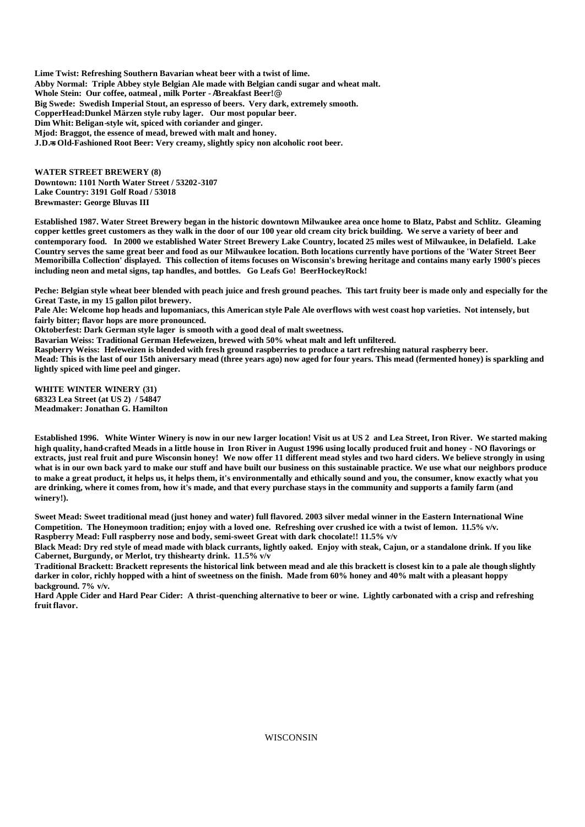**Lime Twist: Refreshing Southern Bavarian wheat beer with a twist of lime. Abby Normal: Triple Abbey style Belgian Ale made with Belgian candi sugar and wheat malt. Whole Stein: Our coffee, oatmeal , milk Porter -** A**Breakfast Beer!**@ **Big Swede: Swedish Imperial Stout, an espresso of beers. Very dark, extremely smooth. CopperHead:Dunkel Märzen style ruby lager. Our most popular beer. Dim Whit: Beligan-style wit, spiced with coriander and ginger. Mjod: Braggot, the essence of mead, brewed with malt and honey. J.D.=s Old-Fashioned Root Beer: Very creamy, slightly spicy non alcoholic root beer.**

**WATER STREET BREWERY (8) Downtown: 1101 North Water Street / 53202-3107 Lake Country: 3191 Golf Road / 53018 Brewmaster: George Bluvas III**

**Established 1987. Water Street Brewery began in the historic downtown Milwaukee area once home to Blatz, Pabst and Schlitz. Gleaming copper kettles greet customers as they walk in the door of our 100 year old cream city brick building. We serve a variety of beer and contemporary food. In 2000 we established Water Street Brewery Lake Country, located 25 miles west of Milwaukee, in Delafield. Lake Country serves the same great beer and food as our Milwaukee location. Both locations currently have portions of the 'Water Street Beer Memoribilla Collection' displayed. This collection of items focuses on Wisconsin's brewing heritage and contains many early 1900's pieces including neon and metal signs, tap handles, and bottles. Go Leafs Go! BeerHockeyRock!**

**Peche: Belgian style wheat beer blended with peach juice and fresh ground peaches. This tart fruity beer is made only and especially for the Great Taste, in my 15 gallon pilot brewery.**

**Pale Ale: Welcome hop heads and lupomaniacs, this American style Pale Ale overflows with west coast hop varieties. Not intensely, but fairly bitter; flavor hops are more pronounced.**

**Oktoberfest: Dark German style lager is smooth with a good deal of malt sweetness.**

**Bavarian Weiss: Traditional German Hefeweizen, brewed with 50% wheat malt and left unfiltered.**

**Raspberry Weiss: Hefeweizen is blended with fresh ground raspberries to produce a tart refreshing natural raspberry beer.**

**Mead: This is the last of our 15th aniversary mead (three years ago) now aged for four years. This mead (fermented honey) is sparkling and lightly spiced with lime peel and ginger.**

**WHITE WINTER WINERY (31) 68323 Lea Street (at US 2) / 54847 Meadmaker: Jonathan G. Hamilton**

**Established 1996. White Winter Winery is now in our new larger location! Visit us at US 2 and Lea Street, Iron River. We started making high quality, hand-crafted Meads in a little house in Iron River in August 1996 using locally produced fruit and honey - NO flavorings or extracts, just real fruit and pure Wisconsin honey! We now offer 11 different mead styles and two hard ciders. We believe strongly in using what is in our own back yard to make our stuff and have built our business on this sustainable practice. We use what our neighbors produce to make a great product, it helps us, it helps them, it's environmentally and ethically sound and you, the consumer, know exactly what you are drinking, where it comes from, how it's made, and that every purchase stays in the community and supports a family farm (and winery!).**

**Sweet Mead: Sweet traditional mead (just honey and water) full flavored. 2003 silver medal winner in the Eastern International Wine Competition. The Honeymoon tradition; enjoy with a loved one. Refreshing over crushed ice with a twist of lemon. 11.5% v/v. Raspberry Mead: Full raspberry nose and body, semi-sweet Great with dark chocolate!! 11.5% v/v**

**Black Mead: Dry red style of mead made with black currants, lightly oaked. Enjoy with steak, Cajun, or a standalone drink. If you like Cabernet, Burgundy, or Merlot, try thishearty drink. 11.5% v/v**

**Traditional Brackett: Brackett represents the historical link between mead and ale this brackett is closest kin to a pale ale though slightly darker in color, richly hopped with a hint of sweetness on the finish. Made from 60% honey and 40% malt with a pleasant hoppy background. 7% v/v.**

**Hard Apple Cider and Hard Pear Cider: A thrist-quenching alternative to beer or wine. Lightly carbonated with a crisp and refreshing fruit flavor.**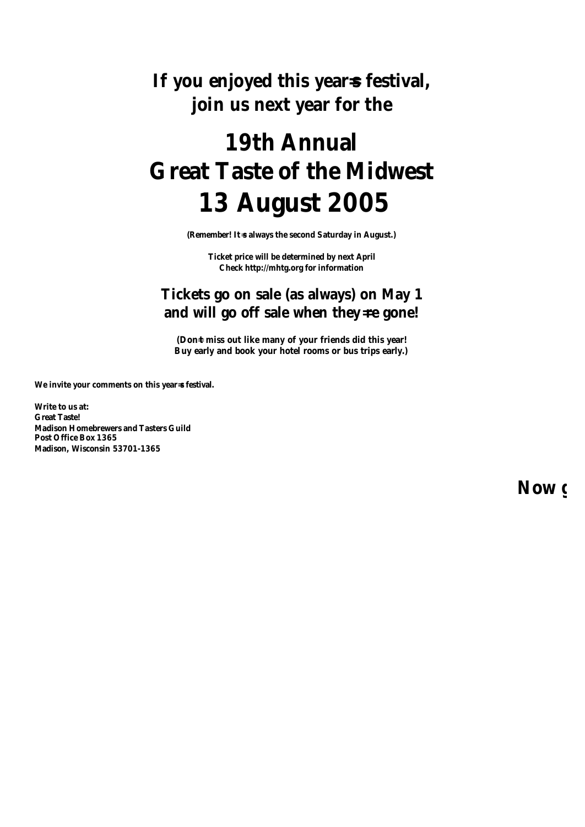**If you enjoyed this year=s festival, join us next year for the**

# **19th Annual Great Taste of the Midwest 13 August 2005**

**(Remember! It**=**s always the second Saturday in August.)**

**Ticket price will be determined by next April Check http://mhtg.org for information**

## **Tickets go on sale (as always) on May 1** and will go off sale when they=**re** gone!

**(Don**=**t miss out like many of your friends did this year! Buy early and book your hotel rooms or bus trips early.)**

**We invite your comments on this year= s festival.**

**Write to us at: Great Taste! Madison Homebrewers and Tasters Guild Post Office Box 1365 Madison, Wisconsin 53701-1365**

**Now**  $\epsilon$